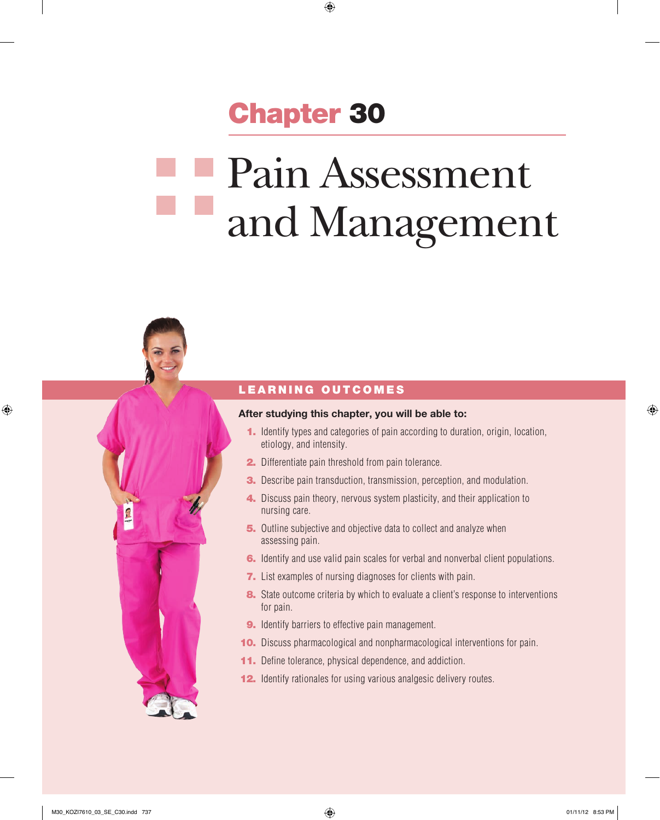# **Chapter 30**

# Pain Assessment and Management



### **After studying this chapter, you will be able to:**

- **1.** Identify types and categories of pain according to duration, origin, location, etiology, and intensity.
- **2.** Differentiate pain threshold from pain tolerance.
- **3.** Describe pain transduction, transmission, perception, and modulation.
- **4.** Discuss pain theory, nervous system plasticity, and their application to nursing care.
- **5.** Outline subjective and objective data to collect and analyze when assessing pain.
- **6.** Identify and use valid pain scales for verbal and nonverbal client populations.
- **7.** List examples of nursing diagnoses for clients with pain.
- **8.** State outcome criteria by which to evaluate a client's response to interventions for pain.
- **9.** Identify barriers to effective pain management.
- **10.** Discuss pharmacological and nonpharmacological interventions for pain.
- **11.** Define tolerance, physical dependence, and addiction.
- **12.** Identify rationales for using various analgesic delivery routes.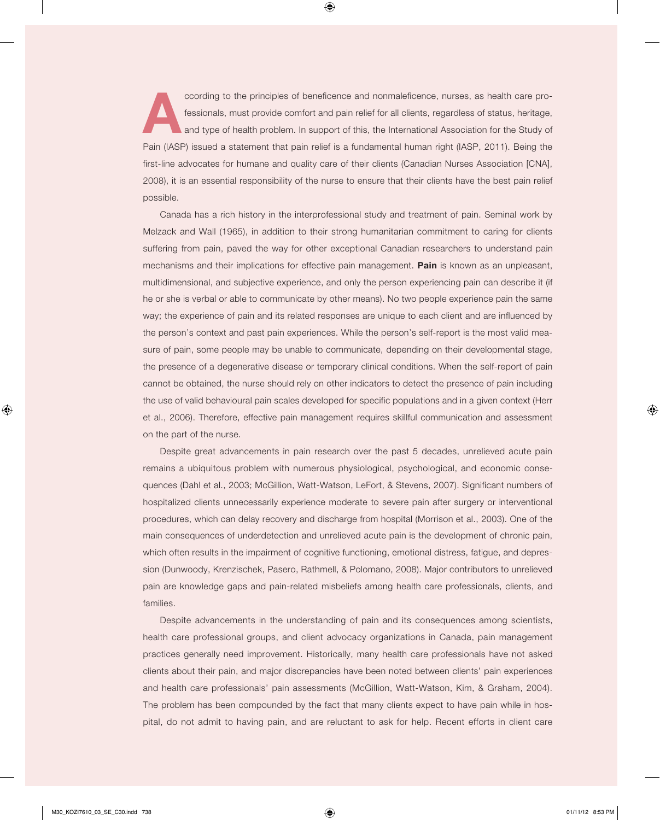**Excording to the principles of beneficence and nonmaleficence, nurses, as health care pro-<br>fessionals, must provide comfort and pain relief for all clients, regardless of status, heritage,<br>and type of health problem. In s** fessionals, must provide comfort and pain relief for all clients, regardless of status, heritage, and type of health problem. In support of this, the International Association for the Study of Pain (IASP) issued a statement that pain relief is a fundamental human right (IASP, 2011). Being the first-line advocates for humane and quality care of their clients (Canadian Nurses Association [CNA], 2008), it is an essential responsibility of the nurse to ensure that their clients have the best pain relief possible.

Canada has a rich history in the interprofessional study and treatment of pain. Seminal work by Melzack and Wall (1965), in addition to their strong humanitarian commitment to caring for clients suffering from pain, paved the way for other exceptional Canadian researchers to understand pain mechanisms and their implications for effective pain management. **Pain** is known as an unpleasant, multidimensional, and subjective experience, and only the person experiencing pain can describe it (if he or she is verbal or able to communicate by other means). No two people experience pain the same way; the experience of pain and its related responses are unique to each client and are influenced by the person's context and past pain experiences. While the person's self‐report is the most valid measure of pain, some people may be unable to communicate, depending on their developmental stage, the presence of a degenerative disease or temporary clinical conditions. When the self-report of pain cannot be obtained, the nurse should rely on other indicators to detect the presence of pain including the use of valid behavioural pain scales developed for specific populations and in a given context (Herr et al., 2006). Therefore, effective pain management requires skillful communication and assessment on the part of the nurse.

Despite great advancements in pain research over the past 5 decades, unrelieved acute pain remains a ubiquitous problem with numerous physiological, psychological, and economic consequences (Dahl et al., 2003; McGillion, Watt‐Watson, LeFort, & Stevens, 2007). Significant numbers of hospitalized clients unnecessarily experience moderate to severe pain after surgery or interventional procedures, which can delay recovery and discharge from hospital (Morrison et al., 2003). One of the main consequences of underdetection and unrelieved acute pain is the development of chronic pain, which often results in the impairment of cognitive functioning, emotional distress, fatigue, and depression (Dunwoody, Krenzischek, Pasero, Rathmell, & Polomano, 2008). Major contributors to unrelieved pain are knowledge gaps and pain‐related misbeliefs among health care professionals, clients, and families.

Despite advancements in the understanding of pain and its consequences among scientists, health care professional groups, and client advocacy organizations in Canada, pain management practices generally need improvement. Historically, many health care professionals have not asked clients about their pain, and major discrepancies have been noted between clients' pain experiences and health care professionals' pain assessments (McGillion, Watt‐Watson, Kim, & Graham, 2004). The problem has been compounded by the fact that many clients expect to have pain while in hospital, do not admit to having pain, and are reluctant to ask for help. Recent efforts in client care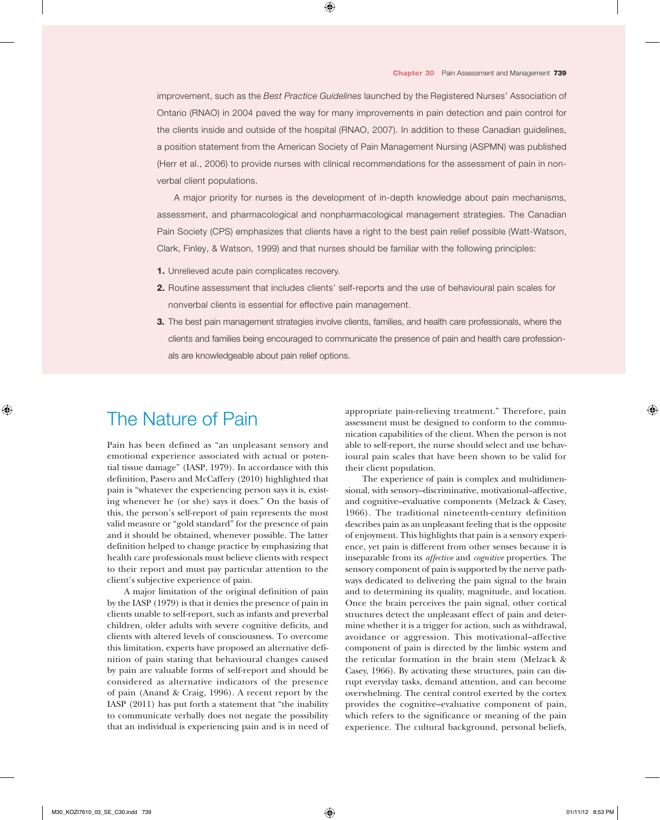improvement, such as the Best Practice Guidelines launched by the Registered Nurses' Association of Ontario (RNAO) in 2004 paved the way for many improvements in pain detection and pain control for the clients inside and outside of the hospital (RNAO, 2007). In addition to these Canadian guidelines, a position statement from the American Society of Pain Management Nursing (ASPMN) was published (Herr et al., 2006) to provide nurses with clinical recommendations for the assessment of pain in nonverbal client populations.

A major priority for nurses is the development of in‐depth knowledge about pain mechanisms, assessment, and pharmacological and nonpharmacological management strategies. The Canadian Pain Society (CPS) emphasizes that clients have a right to the best pain relief possible (Watt‐Watson, Clark, Finley, & Watson, 1999) and that nurses should be familiar with the following principles:

- **1.** Unrelieved acute pain complicates recovery.
- **2.** Routine assessment that includes clients' self‐reports and the use of behavioural pain scales for nonverbal clients is essential for effective pain management.
- **3.** The best pain management strategies involve clients, families, and health care professionals, where the clients and families being encouraged to communicate the presence of pain and health care professionals are knowledgeable about pain relief options.

# The Nature of Pain

Pain has been defined as "an unpleasant sensory and emotional experience associated with actual or potential tissue damage" (IASP, 1979). In accordance with this definition, Pasero and McCaffery (2010) highlighted that pain is "whatever the experiencing person says it is, existing whenever he (or she) says it does." On the basis of this, the person's self‐report of pain represents the most valid measure or "gold standard" for the presence of pain and it should be obtained, whenever possible. The latter definition helped to change practice by emphasizing that health care professionals must believe clients with respect to their report and must pay particular attention to the client's subjective experience of pain.

A major limitation of the original definition of pain by the IASP (1979) is that it denies the presence of pain in clients unable to self‐report, such as infants and preverbal children, older adults with severe cognitive deficits, and clients with altered levels of consciousness. To overcome this limitation, experts have proposed an alternative definition of pain stating that behavioural changes caused by pain are valuable forms of self‐report and should be considered as alternative indicators of the presence of pain (Anand & Craig, 1996). A recent report by the IASP (2011) has put forth a statement that "the inability to communicate verbally does not negate the possibility that an individual is experiencing pain and is in need of appropriate pain‐relieving treatment." Therefore, pain assessment must be designed to conform to the communication capabilities of the client. When the person is not able to self‐report, the nurse should select and use behavioural pain scales that have been shown to be valid for their client population.

The experience of pain is complex and multidimensional, with sensory–discriminative, motivational–affective, and cognitive–evaluative components (Melzack & Casey, 1966). The traditional nineteenth-century definition describes pain as an unpleasant feeling that is the opposite of enjoyment. This highlights that pain is a sensory experience, yet pain is different from other senses because it is inseparable from its *affective* and *cognitive* properties. The sensory component of pain is supported by the nerve pathways dedicated to delivering the pain signal to the brain and to determining its quality, magnitude, and location. Once the brain perceives the pain signal, other cortical structures detect the unpleasant effect of pain and determine whether it is a trigger for action, such as withdrawal, avoidance or aggression. This motivational-affective component of pain is directed by the limbic system and the reticular formation in the brain stem (Melzack & Casey, 1966). By activating these structures, pain can disrupt everyday tasks, demand attention, and can become overwhelming. The central control exerted by the cortex provides the cognitive–evaluative component of pain, which refers to the significance or meaning of the pain experience. The cultural background, personal beliefs,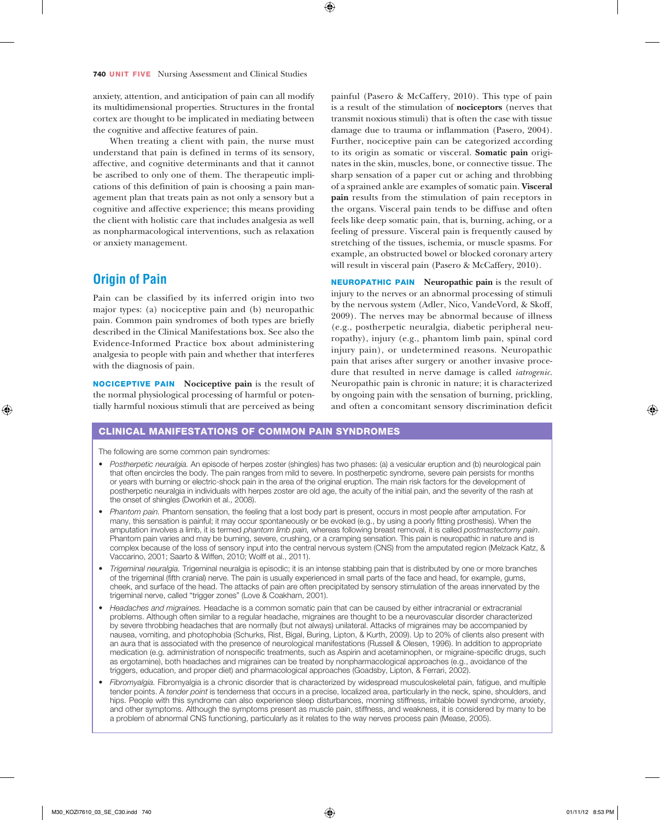anxiety, attention, and anticipation of pain can all modify its multidimensional properties. Structures in the frontal cortex are thought to be implicated in mediating between the cognitive and affective features of pain.

When treating a client with pain, the nurse must understand that pain is defined in terms of its sensory, affective, and cognitive determinants and that it cannot be ascribed to only one of them. The therapeutic implications of this definition of pain is choosing a pain management plan that treats pain as not only a sensory but a cognitive and affective experience; this means providing the client with holistic care that includes analgesia as well as nonpharmacological interventions, such as relaxation or anxiety management.

### **Origin of Pain**

Pain can be classified by its inferred origin into two major types: (a) nociceptive pain and (b) neuropathic pain. Common pain syndromes of both types are briefly described in the Clinical Manifestations box. See also the Evidence-Informed Practice box about administering analgesia to people with pain and whether that interferes with the diagnosis of pain.

**NOCICEPTIVE PAIN Nociceptive pain** is the result of the normal physiological processing of harmful or potentially harmful noxious stimuli that are perceived as being

painful (Pasero & McCaffery, 2010). This type of pain is a result of the stimulation of **nociceptors** (nerves that transmit noxious stimuli) that is often the case with tissue damage due to trauma or inflammation (Pasero, 2004). Further, nociceptive pain can be categorized according to its origin as somatic or visceral. **Somatic pain** originates in the skin, muscles, bone, or connective tissue. The sharp sensation of a paper cut or aching and throbbing of a sprained ankle are examples of somatic pain. **Visceral pain** results from the stimulation of pain receptors in the organs. Visceral pain tends to be diffuse and often feels like deep somatic pain, that is, burning, aching, or a feeling of pressure. Visceral pain is frequently caused by stretching of the tissues, ischemia, or muscle spasms. For example, an obstructed bowel or blocked coronary artery will result in visceral pain (Pasero & McCaffery, 2010).

**NEUROPATHIC PAIN Neuropathic pain** is the result of injury to the nerves or an abnormal processing of stimuli by the nervous system (Adler, Nico, VandeVord, & Skoff, 2009). The nerves may be abnormal because of illness (e.g., postherpetic neuralgia, diabetic peripheral neuropathy), injury (e.g., phantom limb pain, spinal cord injury pain), or undetermined reasons. Neuropathic pain that arises after surgery or another invasive procedure that resulted in nerve damage is called *iatrogenic* . Neuropathic pain is chronic in nature; it is characterized by ongoing pain with the sensation of burning, prickling, and often a concomitant sensory discrimination deficit

### **CLINICAL MANIFESTATIONS OF COMMON PAIN SYNDROMES**

The following are some common pain syndromes:

- Postherpetic neuralgia. An episode of herpes zoster (shingles) has two phases: (a) a vesicular eruption and (b) neurological pain that often encircles the body. The pain ranges from mild to severe. In postherpetic syndrome, severe pain persists for months or years with burning or electric‐shock pain in the area of the original eruption. The main risk factors for the development of postherpetic neuralgia in individuals with herpes zoster are old age, the acuity of the initial pain, and the severity of the rash at the onset of shingles (Dworkin et al., 2008).
- Phantom pain. Phantom sensation, the feeling that a lost body part is present, occurs in most people after amputation. For many, this sensation is painful; it may occur spontaneously or be evoked (e.g., by using a poorly fitting prosthesis). When the amputation involves a limb, it is termed phantom limb pain, whereas following breast removal, it is called postmastectomy pain. Phantom pain varies and may be burning, severe, crushing, or a cramping sensation. This pain is neuropathic in nature and is complex because of the loss of sensory input into the central nervous system (CNS) from the amputated region (Melzack Katz, & Vaccarino, 2001; Saarto & Wiffen, 2010; Wolff et al., 2011).
- Trigeminal neuralgia. Trigeminal neuralgia is episodic; it is an intense stabbing pain that is distributed by one or more branches of the trigeminal (fifth cranial) nerve. The pain is usually experienced in small parts of the face and head, for example, gums, cheek, and surface of the head. The attacks of pain are often precipitated by sensory stimulation of the areas innervated by the trigeminal nerve, called "trigger zones" (Love & Coakham, 2001).
- Headaches and migraines. Headache is a common somatic pain that can be caused by either intracranial or extracranial problems. Although often similar to a regular headache, migraines are thought to be a neurovascular disorder characterized by severe throbbing headaches that are normally (but not always) unilateral. Attacks of migraines may be accompanied by nausea, vomiting, and photophobia (Schurks, Rist, Bigal, Buring, Lipton, & Kurth, 2009). Up to 20% of clients also present with an aura that is associated with the presence of neurological manifestations (Russell & Olesen, 1996). In addition to appropriate medication (e.g. administration of nonspecific treatments, such as Aspirin and acetaminophen, or migraine‐specific drugs, such as ergotamine), both headaches and migraines can be treated by nonpharmacological approaches (e.g., avoidance of the triggers, education, and proper diet) and pharmacological approaches (Goadsby, Lipton, & Ferrari, 2002).
- Fibromyalgia. Fibromyalgia is a chronic disorder that is characterized by widespread musculoskeletal pain, fatigue, and multiple tender points. A tender point is tenderness that occurs in a precise, localized area, particularly in the neck, spine, shoulders, and hips. People with this syndrome can also experience sleep disturbances, morning stiffness, irritable bowel syndrome, anxiety, and other symptoms. Although the symptoms present as muscle pain, stiffness, and weakness, it is considered by many to be a problem of abnormal CNS functioning, particularly as it relates to the way nerves process pain (Mease, 2005).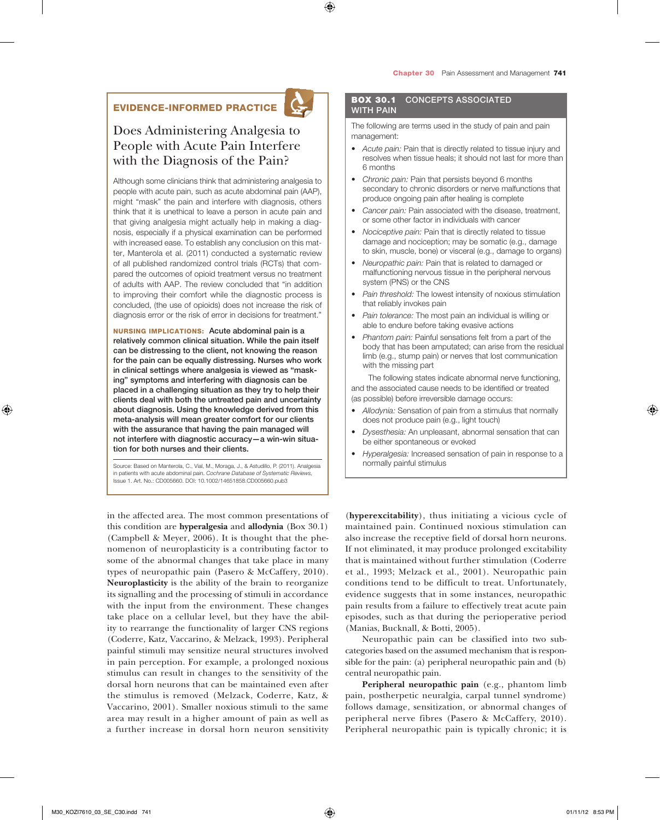### **EVIDENCE‐INFORMED PRACTICE**



### Does Administering Analgesia to People with Acute Pain Interfere with the Diagnosis of the Pain?

Although some clinicians think that administering analgesia to people with acute pain, such as acute abdominal pain (AAP), might "mask" the pain and interfere with diagnosis, others think that it is unethical to leave a person in acute pain and that giving analgesia might actually help in making a diagnosis, especially if a physical examination can be performed with increased ease. To establish any conclusion on this matter, Manterola et al. (2011) conducted a systematic review of all published randomized control trials (RCTs) that compared the outcomes of opioid treatment versus no treatment of adults with AAP. The review concluded that "in addition to improving their comfort while the diagnostic process is concluded, (the use of opioids) does not increase the risk of diagnosis error or the risk of error in decisions for treatment."

**NURSING IMPLICATIONS: Acute abdominal pain is a relatively common clinical situation. While the pain itself can be distressing to the client, not knowing the reason for the pain can be equally distressing. Nurses who work in clinical settings where analgesia is viewed as "masking" symptoms and interfering with diagnosis can be placed in a challenging situation as they try to help their clients deal with both the untreated pain and uncertainty about diagnosis. Using the knowledge derived from this meta‐analysis will mean greater comfort for our clients with the assurance that having the pain managed will not interfere with diagnostic accuracy—a win‐win situation for both nurses and their clients.** 

 Source: Based on Manterola, C., Vial, M., Moraga, J., & Astudillo, P. (2011). Analgesia in patients with acute abdominal pain. Cochrane Database of Systematic Reviews, Issue 1. Art. No.: CD005660. DOI: 10.1002/14651858.CD005660.pub3

in the affected area. The most common presentations of this condition are **hyperalgesia** and **allodynia** ( Box 30.1 ) (Campbell & Meyer, 2006). It is thought that the phenomenon of neuroplasticity is a contributing factor to some of the abnormal changes that take place in many types of neuropathic pain (Pasero & McCaffery, 2010). **Neuroplasticity** is the ability of the brain to reorganize its signalling and the processing of stimuli in accordance with the input from the environment. These changes take place on a cellular level, but they have the ability to rearrange the functionality of larger CNS regions (Coderre, Katz, Vaccarino, & Melzack, 1993). Peripheral painful stimuli may sensitize neural structures involved in pain perception. For example, a prolonged noxious stimulus can result in changes to the sensitivity of the dorsal horn neurons that can be maintained even after the stimulus is removed (Melzack, Coderre, Katz, & Vaccarino, 2001). Smaller noxious stimuli to the same area may result in a higher amount of pain as well as a further increase in dorsal horn neuron sensitivity

### **BOX 30.1 CONCEPTS ASSOCIATED WITH PAIN**

The following are terms used in the study of pain and pain management:

- Acute pain: Pain that is directly related to tissue injury and resolves when tissue heals; it should not last for more than 6 months
- Chronic pain: Pain that persists beyond 6 months secondary to chronic disorders or nerve malfunctions that produce ongoing pain after healing is complete
- Cancer pain: Pain associated with the disease, treatment, or some other factor in individuals with cancer
- Nociceptive pain: Pain that is directly related to tissue damage and nociception; may be somatic (e.g., damage to skin, muscle, bone) or visceral (e.g., damage to organs)
- Neuropathic pain: Pain that is related to damaged or malfunctioning nervous tissue in the peripheral nervous system (PNS) or the CNS
- Pain threshold: The lowest intensity of noxious stimulation that reliably invokes pain
- Pain tolerance: The most pain an individual is willing or able to endure before taking evasive actions
- Phantom pain: Painful sensations felt from a part of the body that has been amputated; can arise from the residual limb (e.g., stump pain) or nerves that lost communication with the missing part

The following states indicate abnormal nerve functioning, and the associated cause needs to be identified or treated (as possible) before irreversible damage occurs:

- Allodynia: Sensation of pain from a stimulus that normally does not produce pain (e.g., light touch)
- Dysesthesia: An unpleasant, abnormal sensation that can be either spontaneous or evoked
- Hyperalgesia: Increased sensation of pain in response to a normally painful stimulus

( **hyperexcitability**), thus initiating a vicious cycle of maintained pain. Continued noxious stimulation can also increase the receptive field of dorsal horn neurons. If not eliminated, it may produce prolonged excitability that is maintained without further stimulation (Coderre et al., 1993; Melzack et al., 2001). Neuropathic pain conditions tend to be difficult to treat. Unfortunately, evidence suggests that in some instances, neuropathic pain results from a failure to effectively treat acute pain episodes, such as that during the perioperative period (Manias, Bucknall, & Botti, 2005).

Neuropathic pain can be classified into two sub‐ categories based on the assumed mechanism that is responsible for the pain: (a) peripheral neuropathic pain and (b) central neuropathic pain.

**Peripheral neuropathic pain** (e.g., phantom limb pain, postherpetic neuralgia, carpal tunnel syndrome) follows damage, sensitization, or abnormal changes of peripheral nerve fibres (Pasero & McCaffery, 2010). Peripheral neuropathic pain is typically chronic; it is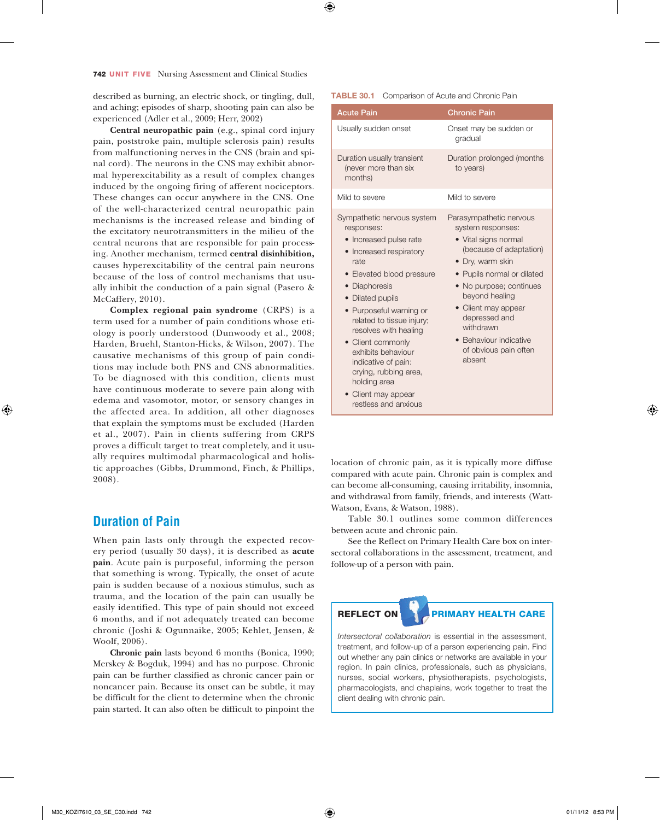described as burning, an electric shock, or tingling, dull, and aching; episodes of sharp, shooting pain can also be experienced (Adler et al., 2009; Herr, 2002)

**Central neuropathic pain** (e.g., spinal cord injury pain, poststroke pain, multiple sclerosis pain) results from malfunctioning nerves in the CNS (brain and spinal cord). The neurons in the CNS may exhibit abnormal hyperexcitability as a result of complex changes induced by the ongoing firing of afferent nociceptors. These changes can occur anywhere in the CNS. One of the well‐characterized central neuropathic pain mechanisms is the increased release and binding of the excitatory neurotransmitters in the milieu of the central neurons that are responsible for pain processing. Another mechanism, termed **central disinhibition,** causes hyperexcitability of the central pain neurons because of the loss of control mechanisms that usually inhibit the conduction of a pain signal (Pasero & McCaffery, 2010).

**Complex regional pain syndrome** (CRPS) is a term used for a number of pain conditions whose etiology is poorly understood (Dunwoody et al., 2008; Harden, Bruehl, Stanton‐Hicks, & Wilson, 2007). The causative mechanisms of this group of pain conditions may include both PNS and CNS abnormalities. To be diagnosed with this condition, clients must have continuous moderate to severe pain along with edema and vasomotor, motor, or sensory changes in the affected area. In addition, all other diagnoses that explain the symptoms must be excluded (Harden et al., 2007). Pain in clients suffering from CRPS proves a difficult target to treat completely, and it usually requires multimodal pharmacological and holistic approaches (Gibbs, Drummond, Finch, & Phillips, 2008).

### **Duration of Pain**

When pain lasts only through the expected recovery period (usually 30 days), it is described as **acute pain**. Acute pain is purposeful, informing the person that something is wrong. Typically, the onset of acute pain is sudden because of a noxious stimulus, such as trauma, and the location of the pain can usually be easily identified. This type of pain should not exceed 6 months, and if not adequately treated can become chronic (Joshi & Ogunnaike, 2005; Kehlet, Jensen, & Woolf, 2006).

**Chronic pain** lasts beyond 6 months (Bonica, 1990; Merskey & Bogduk, 1994) and has no purpose. Chronic pain can be further classified as chronic cancer pain or noncancer pain. Because its onset can be subtle, it may be difficult for the client to determine when the chronic pain started. It can also often be difficult to pinpoint the

#### **TABLE 30.1** Comparison of Acute and Chronic Pain

| <b>Acute Pain</b>                                                                                                                                                                                                                                                                                                                                                                                                  | <b>Chronic Pain</b>                                                                                                                                                                                                                                                                                              |
|--------------------------------------------------------------------------------------------------------------------------------------------------------------------------------------------------------------------------------------------------------------------------------------------------------------------------------------------------------------------------------------------------------------------|------------------------------------------------------------------------------------------------------------------------------------------------------------------------------------------------------------------------------------------------------------------------------------------------------------------|
| Usually sudden onset                                                                                                                                                                                                                                                                                                                                                                                               | Onset may be sudden or<br>gradual                                                                                                                                                                                                                                                                                |
| Duration usually transient<br>(never more than six<br>months)                                                                                                                                                                                                                                                                                                                                                      | Duration prolonged (months<br>to years)                                                                                                                                                                                                                                                                          |
| Mild to severe                                                                                                                                                                                                                                                                                                                                                                                                     | Mild to severe                                                                                                                                                                                                                                                                                                   |
| Sympathetic nervous system<br>responses:<br>• Increased pulse rate<br>• Increased respiratory<br>rate<br>• Elevated blood pressure<br>• Diaphoresis<br>• Dilated pupils<br>• Purposeful warning or<br>related to tissue injury;<br>resolves with healing<br>• Client commonly<br>exhibits behaviour<br>indicative of pain:<br>crying, rubbing area,<br>holding area<br>• Client may appear<br>restless and anxious | Parasympathetic nervous<br>system responses:<br>• Vital signs normal<br>(because of adaptation)<br>· Dry, warm skin<br>• Pupils normal or dilated<br>• No purpose; continues<br>beyond healing<br>• Client may appear<br>depressed and<br>withdrawn<br>• Behaviour indicative<br>of obvious pain often<br>absent |

location of chronic pain, as it is typically more diffuse compared with acute pain. Chronic pain is complex and can become all‐consuming, causing irritability, insomnia, and withdrawal from family, friends, and interests (Watt-Watson, Evans, & Watson, 1988).

Table 30.1 outlines some common differences between acute and chronic pain.

See the Reflect on Primary Health Care box on intersectoral collaborations in the assessment, treatment, and follow‐up of a person with pain.



Intersectoral collaboration is essential in the assessment, treatment, and follow‐up of a person experiencing pain. Find out whether any pain clinics or networks are available in your region. In pain clinics, professionals, such as physicians, nurses, social workers, physiotherapists, psychologists, pharmacologists, and chaplains, work together to treat the client dealing with chronic pain.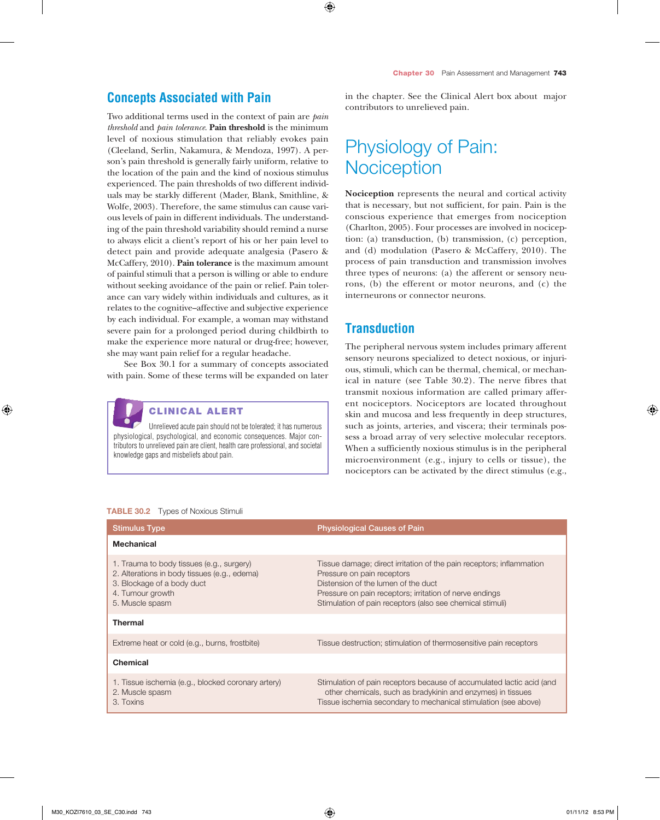### **Concepts Associated with Pain**

Two additional terms used in the context of pain are *pain threshold* and *pain tolerance*. **Pain threshold** is the minimum level of noxious stimulation that reliably evokes pain (Cleeland, Serlin, Nakamura, & Mendoza, 1997). A person's pain threshold is generally fairly uniform, relative to the location of the pain and the kind of noxious stimulus experienced. The pain thresholds of two different individuals may be starkly different (Mader, Blank, Smithline, & Wolfe, 2003). Therefore, the same stimulus can cause various levels of pain in different individuals. The understanding of the pain threshold variability should remind a nurse to always elicit a client's report of his or her pain level to detect pain and provide adequate analgesia (Pasero & McCaffery, 2010). **Pain tolerance** is the maximum amount of painful stimuli that a person is willing or able to endure without seeking avoidance of the pain or relief. Pain tolerance can vary widely within individuals and cultures, as it relates to the cognitive–affective and subjective experience by each individual. For example, a woman may withstand severe pain for a prolonged period during childbirth to make the experience more natural or drug-free; however, she may want pain relief for a regular headache.

See Box 30.1 for a summary of concepts associated with pain. Some of these terms will be expanded on later

### **CL IN ICAL ALERT**  Unrelieved acute pain should not be tolerated; it has numerous physiological, psychological, and economic consequences. Major con-

tributors to unrelieved pain are client, health care professional, and societal

in the chapter. See the Clinical Alert box about major contributors to unrelieved pain.

# Physiology of Pain: **Nociception**

**Nociception** represents the neural and cortical activity that is necessary, but not sufficient, for pain. Pain is the conscious experience that emerges from nociception (Charlton, 2005). Four processes are involved in nociception: (a) transduction, (b) transmission, (c) perception, and (d) modulation (Pasero & McCaffery, 2010). The process of pain transduction and transmission involves three types of neurons: (a) the afferent or sensory neurons, (b) the efferent or motor neurons, and (c) the interneurons or connector neurons.

### **Transduction**

The peripheral nervous system includes primary afferent sensory neurons specialized to detect noxious, or injurious, stimuli, which can be thermal, chemical, or mechanical in nature (see Table 30.2). The nerve fibres that transmit noxious information are called primary afferent nociceptors. Nociceptors are located throughout skin and mucosa and less frequently in deep structures, such as joints, arteries, and viscera; their terminals possess a broad array of very selective molecular receptors. When a sufficiently noxious stimulus is in the peripheral microenvironment (e.g., injury to cells or tissue), the nociceptors can be activated by the direct stimulus (e.g.,

| <b>Stimulus Type</b>                                                                                                                                           | <b>Physiological Causes of Pain</b>                                                                                                                                                                                                                               |
|----------------------------------------------------------------------------------------------------------------------------------------------------------------|-------------------------------------------------------------------------------------------------------------------------------------------------------------------------------------------------------------------------------------------------------------------|
| <b>Mechanical</b>                                                                                                                                              |                                                                                                                                                                                                                                                                   |
| 1. Trauma to body tissues (e.g., surgery)<br>2. Alterations in body tissues (e.g., edema)<br>3. Blockage of a body duct<br>4. Tumour growth<br>5. Muscle spasm | Tissue damage; direct irritation of the pain receptors; inflammation<br>Pressure on pain receptors<br>Distension of the lumen of the duct<br>Pressure on pain receptors; irritation of nerve endings<br>Stimulation of pain receptors (also see chemical stimuli) |
| <b>Thermal</b>                                                                                                                                                 |                                                                                                                                                                                                                                                                   |
| Extreme heat or cold (e.g., burns, frostbite)                                                                                                                  | Tissue destruction; stimulation of thermosensitive pain receptors                                                                                                                                                                                                 |
| <b>Chemical</b>                                                                                                                                                |                                                                                                                                                                                                                                                                   |
| 1. Tissue ischemia (e.g., blocked coronary artery)<br>2. Muscle spasm<br>3. Toxins                                                                             | Stimulation of pain receptors because of accumulated lactic acid (and<br>other chemicals, such as bradykinin and enzymes) in tissues<br>Tissue ischemia secondary to mechanical stimulation (see above)                                                           |

#### **TABLE 30.2** Types of Noxious Stimuli

knowledge gaps and misbeliefs about pain.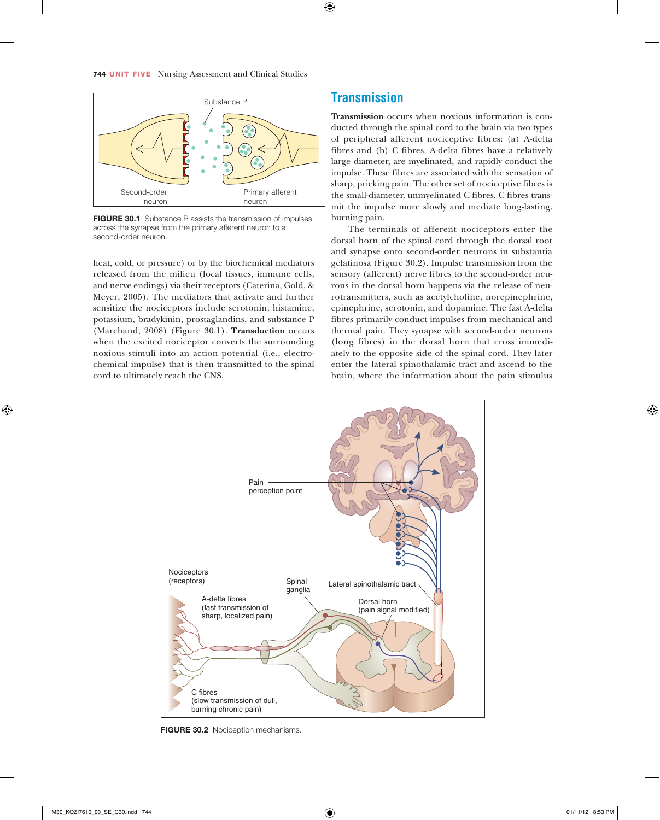

**FIGURE 30.1** Substance P assists the transmission of impulses across the synapse from the primary afferent neuron to a second‐order neuron.

heat, cold, or pressure) or by the biochemical mediators released from the milieu (local tissues, immune cells, and nerve endings) via their receptors (Caterina, Gold, & Meyer, 2005). The mediators that activate and further sensitize the nociceptors include serotonin, histamine, potassium, bradykinin, prostaglandins, and substance P (Marchand, 2008) ( Figure 30.1 ). **Transduction** occurs when the excited nociceptor converts the surrounding noxious stimuli into an action potential (i.e., electrochemical impulse) that is then transmitted to the spinal cord to ultimately reach the CNS.

### **Transmission**

**Transmission** occurs when noxious information is conducted through the spinal cord to the brain via two types of peripheral afferent nociceptive fibres: (a) A‐delta fibres and (b) C fibres. A‐delta fibres have a relatively large diameter, are myelinated, and rapidly conduct the impulse. These fibres are associated with the sensation of sharp, pricking pain. The other set of nociceptive fibres is the small-diameter, unmyelinated C fibres. C fibres transmit the impulse more slowly and mediate long‐lasting, burning pain.

The terminals of afferent nociceptors enter the dorsal horn of the spinal cord through the dorsal root and synapse onto second‐order neurons in substantia gelatinosa ( Figure 30.2 ). Impulse transmission from the sensory (afferent) nerve fibres to the second-order neurons in the dorsal horn happens via the release of neurotransmitters, such as acetylcholine, norepinephrine, epinephrine, serotonin, and dopamine. The fast A‐delta fibres primarily conduct impulses from mechanical and thermal pain. They synapse with second‐order neurons (long fibres) in the dorsal horn that cross immediately to the opposite side of the spinal cord. They later enter the lateral spinothalamic tract and ascend to the brain, where the information about the pain stimulus



**FIGURE 30.2** Nociception mechanisms.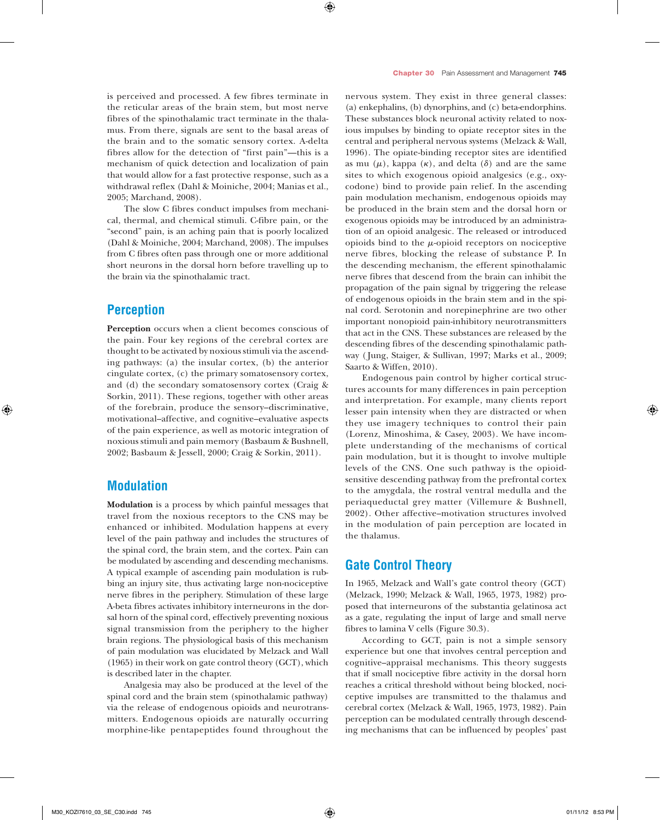is perceived and processed. A few fibres terminate in the reticular areas of the brain stem, but most nerve fibres of the spinothalamic tract terminate in the thalamus. From there, signals are sent to the basal areas of the brain and to the somatic sensory cortex. A‐delta fibres allow for the detection of "first pain"—this is a mechanism of quick detection and localization of pain that would allow for a fast protective response, such as a withdrawal reflex (Dahl & Moiniche, 2004; Manias et al., 2005; Marchand, 2008).

The slow C fibres conduct impulses from mechanical, thermal, and chemical stimuli. C‐fibre pain, or the "second" pain, is an aching pain that is poorly localized (Dahl & Moiniche, 2004; Marchand, 2008). The impulses from C fibres often pass through one or more additional short neurons in the dorsal horn before travelling up to the brain via the spinothalamic tract.

### **Perception**

**Perception** occurs when a client becomes conscious of the pain. Four key regions of the cerebral cortex are thought to be activated by noxious stimuli via the ascending pathways: (a) the insular cortex, (b) the anterior cingulate cortex, (c) the primary somatosensory cortex, and (d) the secondary somatosensory cortex (Craig & Sorkin, 2011). These regions, together with other areas of the forebrain, produce the sensory–discriminative, motivational–affective, and cognitive–evaluative aspects of the pain experience, as well as motoric integration of noxious stimuli and pain memory (Basbaum & Bushnell, 2002; Basbaum & Jessell, 2000; Craig & Sorkin, 2011).

### **Modulation**

**Modulation** is a process by which painful messages that travel from the noxious receptors to the CNS may be enhanced or inhibited. Modulation happens at every level of the pain pathway and includes the structures of the spinal cord, the brain stem, and the cortex. Pain can be modulated by ascending and descending mechanisms. A typical example of ascending pain modulation is rubbing an injury site, thus activating large non-nociceptive nerve fibres in the periphery. Stimulation of these large A‐beta fibres activates inhibitory interneurons in the dorsal horn of the spinal cord, effectively preventing noxious signal transmission from the periphery to the higher brain regions. The physiological basis of this mechanism of pain modulation was elucidated by Melzack and Wall (1965) in their work on gate control theory (GCT), which is described later in the chapter.

Analgesia may also be produced at the level of the spinal cord and the brain stem (spinothalamic pathway) via the release of endogenous opioids and neurotransmitters. Endogenous opioids are naturally occurring morphine‐like pentapeptides found throughout the

nervous system. They exist in three general classes: (a) enkephalins, (b) dynorphins, and (c) beta‐endorphins. These substances block neuronal activity related to noxious impulses by binding to opiate receptor sites in the central and peripheral nervous systems (Melzack & Wall, 1996). The opiate‐binding receptor sites are identified as mu  $(\mu)$ , kappa  $(\kappa)$ , and delta  $(\delta)$  and are the same sites to which exogenous opioid analgesics (e.g., oxycodone) bind to provide pain relief. In the ascending pain modulation mechanism, endogenous opioids may be produced in the brain stem and the dorsal horn or exogenous opioids may be introduced by an administration of an opioid analgesic. The released or introduced opioids bind to the  $\mu$ -opioid receptors on nociceptive nerve fibres, blocking the release of substance P. In the descending mechanism, the efferent spinothalamic nerve fibres that descend from the brain can inhibit the propagation of the pain signal by triggering the release of endogenous opioids in the brain stem and in the spinal cord. Serotonin and norepinephrine are two other important nonopioid pain‐inhibitory neurotransmitters that act in the CNS. These substances are released by the descending fibres of the descending spinothalamic pathway ( Jung, Staiger, & Sullivan, 1997; Marks et al., 2009; Saarto & Wiffen, 2010).

Endogenous pain control by higher cortical structures accounts for many differences in pain perception and interpretation. For example, many clients report lesser pain intensity when they are distracted or when they use imagery techniques to control their pain (Lorenz, Minoshima, & Casey, 2003). We have incomplete understanding of the mechanisms of cortical pain modulation, but it is thought to involve multiple levels of the CNS. One such pathway is the opioid‐ sensitive descending pathway from the prefrontal cortex to the amygdala, the rostral ventral medulla and the periaqueductal grey matter (Villemure & Bushnell, 2002). Other affective–motivation structures involved in the modulation of pain perception are located in the thalamus.

### **Gate Control Theory**

In 1965, Melzack and Wall's gate control theory (GCT) (Melzack, 1990; Melzack & Wall, 1965, 1973, 1982) proposed that interneurons of the substantia gelatinosa act as a gate, regulating the input of large and small nerve fibres to lamina  $V$  cells (Figure 30.3).

According to GCT, pain is not a simple sensory experience but one that involves central perception and cognitive–appraisal mechanisms. This theory suggests that if small nociceptive fibre activity in the dorsal horn reaches a critical threshold without being blocked, nociceptive impulses are transmitted to the thalamus and cerebral cortex (Melzack & Wall, 1965, 1973, 1982). Pain perception can be modulated centrally through descending mechanisms that can be influenced by peoples' past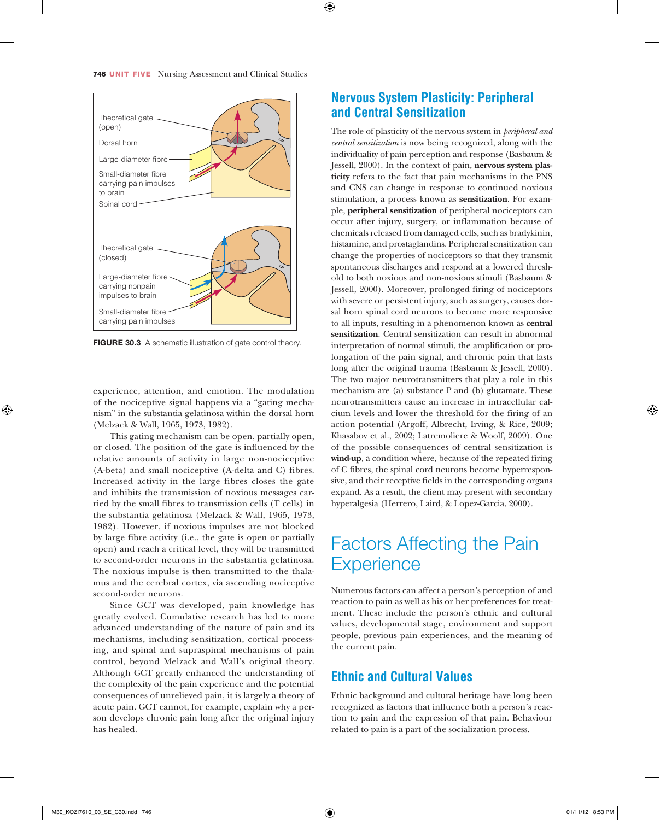

**FIGURE 30.3** A schematic illustration of gate control theory.

experience, attention, and emotion. The modulation of the nociceptive signal happens via a "gating mechanism" in the substantia gelatinosa within the dorsal horn (Melzack & Wall, 1965, 1973, 1982).

This gating mechanism can be open, partially open, or closed. The position of the gate is influenced by the relative amounts of activity in large non-nociceptive (A‐beta) and small nociceptive (A‐delta and C) fibres. Increased activity in the large fibres closes the gate and inhibits the transmission of noxious messages carried by the small fibres to transmission cells (T cells) in the substantia gelatinosa (Melzack & Wall, 1965, 1973, 1982). However, if noxious impulses are not blocked by large fibre activity (i.e., the gate is open or partially open) and reach a critical level, they will be transmitted to second‐order neurons in the substantia gelatinosa. The noxious impulse is then transmitted to the thalamus and the cerebral cortex, via ascending nociceptive second‐order neurons.

Since GCT was developed, pain knowledge has greatly evolved. Cumulative research has led to more advanced understanding of the nature of pain and its mechanisms, including sensitization, cortical processing, and spinal and supraspinal mechanisms of pain control, beyond Melzack and Wall's original theory. Although GCT greatly enhanced the understanding of the complexity of the pain experience and the potential consequences of unrelieved pain, it is largely a theory of acute pain. GCT cannot, for example, explain why a person develops chronic pain long after the original injury has healed.

### **Nervous System Plasticity: Peripheral and Central Sensitization**

The role of plasticity of the nervous system in *peripheral and central sensitization* is now being recognized, along with the individuality of pain perception and response (Basbaum & Jessell, 2000). In the context of pain, **nervous system plasticity** refers to the fact that pain mechanisms in the PNS and CNS can change in response to continued noxious stimulation, a process known as **sensitization**. For example, **peripheral sensitization** of peripheral nociceptors can occur after injury, surgery, or inflammation because of chemicals released from damaged cells, such as bradykinin, histamine, and prostaglandins. Peripheral sensitization can change the properties of nociceptors so that they transmit spontaneous discharges and respond at a lowered threshold to both noxious and non-noxious stimuli (Basbaum & Jessell, 2000). Moreover, prolonged firing of nociceptors with severe or persistent injury, such as surgery, causes dorsal horn spinal cord neurons to become more responsive to all inputs, resulting in a phenomenon known as **central sensitization**. Central sensitization can result in abnormal interpretation of normal stimuli, the amplification or prolongation of the pain signal, and chronic pain that lasts long after the original trauma (Basbaum & Jessell, 2000). The two major neurotransmitters that play a role in this mechanism are (a) substance P and (b) glutamate. These neurotransmitters cause an increase in intracellular calcium levels and lower the threshold for the firing of an action potential (Argoff, Albrecht, Irving, & Rice, 2009; Khasabov et al., 2002; Latremoliere & Woolf, 2009). One of the possible consequences of central sensitization is **wind-up**, a condition where, because of the repeated firing of C fibres, the spinal cord neurons become hyperresponsive, and their receptive fields in the corresponding organs expand. As a result, the client may present with secondary hyperalgesia (Herrero, Laird, & Lopez‐Garcia, 2000).

# Factors Affecting the Pain **Experience**

Numerous factors can affect a person's perception of and reaction to pain as well as his or her preferences for treatment. These include the person's ethnic and cultural values, developmental stage, environment and support people, previous pain experiences, and the meaning of the current pain.

### **Ethnic and Cultural Values**

Ethnic background and cultural heritage have long been recognized as factors that influence both a person's reaction to pain and the expression of that pain. Behaviour related to pain is a part of the socialization process.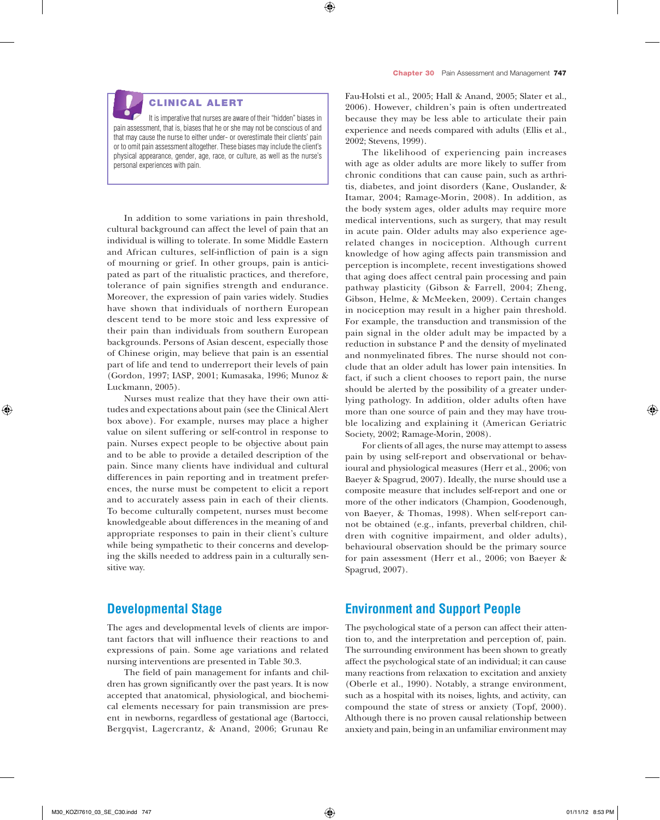### **CL IN ICAL ALERT**

 It is imperative that nurses are aware of their "hidden" biases in pain assessment, that is, biases that he or she may not be conscious of and that may cause the nurse to either under‐ or overestimate their clients' pain or to omit pain assessment altogether. These biases may include the client's physical appearance, gender, age, race, or culture, as well as the nurse's personal experiences with pain.

In addition to some variations in pain threshold, cultural background can affect the level of pain that an individual is willing to tolerate. In some Middle Eastern and African cultures, self‐infliction of pain is a sign of mourning or grief. In other groups, pain is anticipated as part of the ritualistic practices, and therefore, tolerance of pain signifies strength and endurance. Moreover, the expression of pain varies widely. Studies have shown that individuals of northern European descent tend to be more stoic and less expressive of their pain than individuals from southern European backgrounds. Persons of Asian descent, especially those of Chinese origin, may believe that pain is an essential part of life and tend to underreport their levels of pain (Gordon, 1997; IASP, 2001; Kumasaka, 1996; Munoz & Luckmann, 2005).

Nurses must realize that they have their own attitudes and expectations about pain (see the Clinical Alert box above). For example, nurses may place a higher value on silent suffering or self‐control in response to pain. Nurses expect people to be objective about pain and to be able to provide a detailed description of the pain. Since many clients have individual and cultural differences in pain reporting and in treatment preferences, the nurse must be competent to elicit a report and to accurately assess pain in each of their clients. To become culturally competent, nurses must become knowledgeable about differences in the meaning of and appropriate responses to pain in their client's culture while being sympathetic to their concerns and developing the skills needed to address pain in a culturally sensitive way.

### **Developmental Stage**

The ages and developmental levels of clients are important factors that will influence their reactions to and expressions of pain. Some age variations and related nursing interventions are presented in Table 30.3 .

The field of pain management for infants and children has grown significantly over the past years. It is now accepted that anatomical, physiological, and biochemical elements necessary for pain transmission are present in newborns, regardless of gestational age (Bartocci, Bergqvist, Lagercrantz, & Anand, 2006; Grunau Re

Fau‐Holsti et al., 2005; Hall & Anand, 2005; Slater et al., 2006). However, children's pain is often undertreated because they may be less able to articulate their pain experience and needs compared with adults (Ellis et al., 2002; Stevens, 1999).

The likelihood of experiencing pain increases with age as older adults are more likely to suffer from chronic conditions that can cause pain, such as arthritis, diabetes, and joint disorders (Kane, Ouslander, & Itamar, 2004; Ramage‐Morin, 2008). In addition, as the body system ages, older adults may require more medical interventions, such as surgery, that may result in acute pain. Older adults may also experience agerelated changes in nociception. Although current knowledge of how aging affects pain transmission and perception is incomplete, recent investigations showed that aging does affect central pain processing and pain pathway plasticity (Gibson & Farrell, 2004; Zheng, Gibson, Helme, & McMeeken, 2009). Certain changes in nociception may result in a higher pain threshold. For example, the transduction and transmission of the pain signal in the older adult may be impacted by a reduction in substance P and the density of myelinated and nonmyelinated fibres. The nurse should not conclude that an older adult has lower pain intensities. In fact, if such a client chooses to report pain, the nurse should be alerted by the possibility of a greater underlying pathology. In addition, older adults often have more than one source of pain and they may have trouble localizing and explaining it (American Geriatric Society, 2002; Ramage‐Morin, 2008).

For clients of all ages, the nurse may attempt to assess pain by using self-report and observational or behavioural and physiological measures (Herr et al., 2006; von Baeyer & Spagrud, 2007). Ideally, the nurse should use a composite measure that includes self‐report and one or more of the other indicators (Champion, Goodenough, von Baeyer, & Thomas, 1998). When self‐report cannot be obtained (e.g., infants, preverbal children, children with cognitive impairment, and older adults), behavioural observation should be the primary source for pain assessment (Herr et al., 2006; von Baeyer & Spagrud, 2007).

### **Environment and Support People**

The psychological state of a person can affect their attention to, and the interpretation and perception of, pain. The surrounding environment has been shown to greatly affect the psychological state of an individual; it can cause many reactions from relaxation to excitation and anxiety (Oberle et al., 1990). Notably, a strange environment, such as a hospital with its noises, lights, and activity, can compound the state of stress or anxiety (Topf, 2000). Although there is no proven causal relationship between anxiety and pain, being in an unfamiliar environment may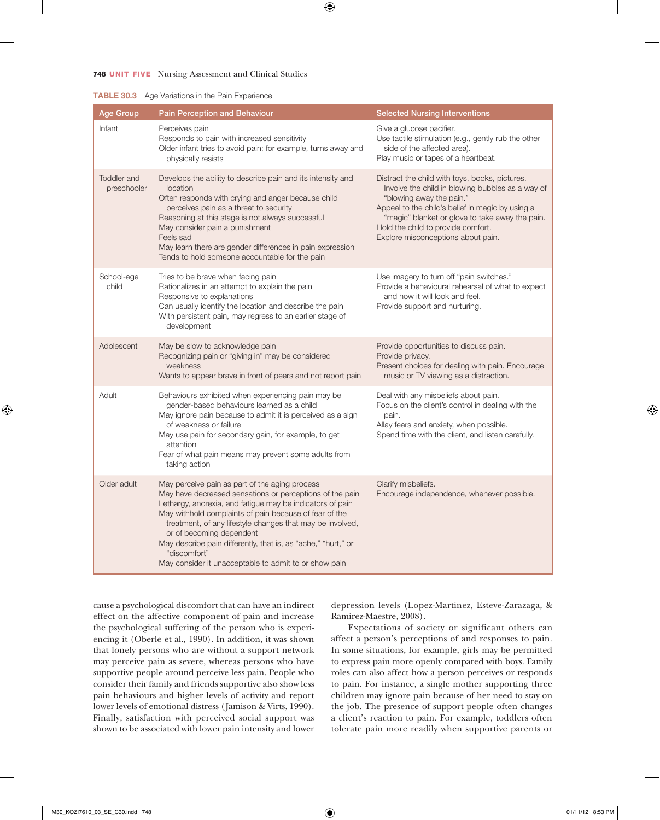#### **TABLE 30.3** Age Variations in the Pain Experience

| <b>Age Group</b>                  | <b>Pain Perception and Behaviour</b>                                                                                                                                                                                                                                                                                                                                                                                                                                 | <b>Selected Nursing Interventions</b>                                                                                                                                                                                                                                                                             |
|-----------------------------------|----------------------------------------------------------------------------------------------------------------------------------------------------------------------------------------------------------------------------------------------------------------------------------------------------------------------------------------------------------------------------------------------------------------------------------------------------------------------|-------------------------------------------------------------------------------------------------------------------------------------------------------------------------------------------------------------------------------------------------------------------------------------------------------------------|
| Infant                            | Perceives pain<br>Responds to pain with increased sensitivity<br>Older infant tries to avoid pain; for example, turns away and<br>physically resists                                                                                                                                                                                                                                                                                                                 | Give a glucose pacifier.<br>Use tactile stimulation (e.g., gently rub the other<br>side of the affected area).<br>Play music or tapes of a heartbeat.                                                                                                                                                             |
| <b>Toddler</b> and<br>preschooler | Develops the ability to describe pain and its intensity and<br>location<br>Often responds with crying and anger because child<br>perceives pain as a threat to security<br>Reasoning at this stage is not always successful<br>May consider pain a punishment<br>Feels sad<br>May learn there are gender differences in pain expression<br>Tends to hold someone accountable for the pain                                                                            | Distract the child with toys, books, pictures.<br>Involve the child in blowing bubbles as a way of<br>"blowing away the pain."<br>Appeal to the child's belief in magic by using a<br>"magic" blanket or glove to take away the pain.<br>Hold the child to provide comfort.<br>Explore misconceptions about pain. |
| School-age<br>child               | Tries to be brave when facing pain<br>Rationalizes in an attempt to explain the pain<br>Responsive to explanations<br>Can usually identify the location and describe the pain<br>With persistent pain, may regress to an earlier stage of<br>development                                                                                                                                                                                                             | Use imagery to turn off "pain switches."<br>Provide a behavioural rehearsal of what to expect<br>and how it will look and feel.<br>Provide support and nurturing.                                                                                                                                                 |
| Adolescent                        | May be slow to acknowledge pain<br>Recognizing pain or "giving in" may be considered<br>weakness<br>Wants to appear brave in front of peers and not report pain                                                                                                                                                                                                                                                                                                      | Provide opportunities to discuss pain.<br>Provide privacy.<br>Present choices for dealing with pain. Encourage<br>music or TV viewing as a distraction.                                                                                                                                                           |
| Adult                             | Behaviours exhibited when experiencing pain may be<br>gender-based behaviours learned as a child<br>May ignore pain because to admit it is perceived as a sign<br>of weakness or failure<br>May use pain for secondary gain, for example, to get<br>attention<br>Fear of what pain means may prevent some adults from<br>taking action                                                                                                                               | Deal with any misbeliefs about pain.<br>Focus on the client's control in dealing with the<br>pain.<br>Allay fears and anxiety, when possible.<br>Spend time with the client, and listen carefully.                                                                                                                |
| Older adult                       | May perceive pain as part of the aging process<br>May have decreased sensations or perceptions of the pain<br>Lethargy, anorexia, and fatigue may be indicators of pain<br>May withhold complaints of pain because of fear of the<br>treatment, of any lifestyle changes that may be involved,<br>or of becoming dependent<br>May describe pain differently, that is, as "ache," "hurt," or<br>"discomfort"<br>May consider it unacceptable to admit to or show pain | Clarify misbeliefs.<br>Encourage independence, whenever possible.                                                                                                                                                                                                                                                 |

cause a psychological discomfort that can have an indirect effect on the affective component of pain and increase the psychological suffering of the person who is experiencing it (Oberle et al., 1990). In addition, it was shown that lonely persons who are without a support network may perceive pain as severe, whereas persons who have supportive people around perceive less pain. People who consider their family and friends supportive also show less pain behaviours and higher levels of activity and report lower levels of emotional distress (Jamison & Virts, 1990). Finally, satisfaction with perceived social support was shown to be associated with lower pain intensity and lower

depression levels (Lopez‐Martinez, Esteve‐Zarazaga, & Ramirez‐Maestre, 2008).

Expectations of society or significant others can affect a person's perceptions of and responses to pain. In some situations, for example, girls may be permitted to express pain more openly compared with boys. Family roles can also affect how a person perceives or responds to pain. For instance, a single mother supporting three children may ignore pain because of her need to stay on the job. The presence of support people often changes a client's reaction to pain. For example, toddlers often tolerate pain more readily when supportive parents or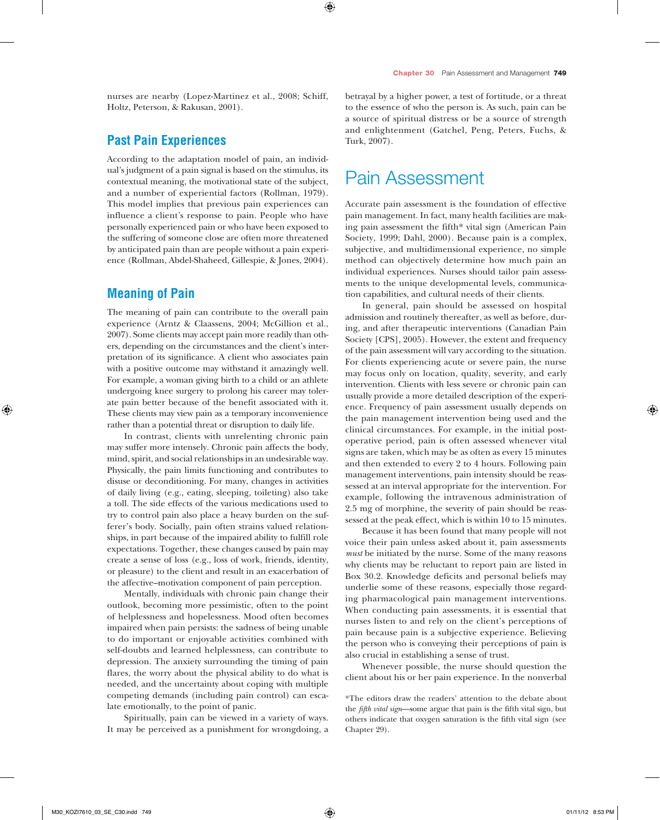nurses are nearby (Lopez‐Martinez et al., 2008; Schiff, Holtz, Peterson, & Rakusan, 2001).

### **Past Pain Experiences**

According to the adaptation model of pain, an individual's judgment of a pain signal is based on the stimulus, its contextual meaning, the motivational state of the subject, and a number of experiential factors (Rollman, 1979). This model implies that previous pain experiences can influence a client's response to pain. People who have personally experienced pain or who have been exposed to the suffering of someone close are often more threatened by anticipated pain than are people without a pain experience (Rollman, Abdel‐Shaheed, Gillespie, & Jones, 2004).

### **Meaning of Pain**

The meaning of pain can contribute to the overall pain experience (Arntz & Claassens, 2004; McGillion et al., 2007). Some clients may accept pain more readily than others, depending on the circumstances and the client's interpretation of its significance. A client who associates pain with a positive outcome may withstand it amazingly well. For example, a woman giving birth to a child or an athlete undergoing knee surgery to prolong his career may tolerate pain better because of the benefit associated with it. These clients may view pain as a temporary inconvenience rather than a potential threat or disruption to daily life.

In contrast, clients with unrelenting chronic pain may suffer more intensely. Chronic pain affects the body, mind, spirit, and social relationships in an undesirable way. Physically, the pain limits functioning and contributes to disuse or deconditioning. For many, changes in activities of daily living (e.g., eating, sleeping, toileting) also take a toll. The side effects of the various medications used to try to control pain also place a heavy burden on the sufferer's body. Socially, pain often strains valued relationships, in part because of the impaired ability to fulfill role expectations. Together, these changes caused by pain may create a sense of loss (e.g., loss of work, friends, identity, or pleasure) to the client and result in an exacerbation of the affective–motivation component of pain perception.

Mentally, individuals with chronic pain change their outlook, becoming more pessimistic, often to the point of helplessness and hopelessness. Mood often becomes impaired when pain persists: the sadness of being unable to do important or enjoyable activities combined with self‐doubts and learned helplessness, can contribute to depression. The anxiety surrounding the timing of pain flares, the worry about the physical ability to do what is needed, and the uncertainty about coping with multiple competing demands (including pain control) can escalate emotionally, to the point of panic.

Spiritually, pain can be viewed in a variety of ways. It may be perceived as a punishment for wrongdoing, a betrayal by a higher power, a test of fortitude, or a threat to the essence of who the person is. As such, pain can be a source of spiritual distress or be a source of strength and enlightenment (Gatchel, Peng, Peters, Fuchs, & Turk, 2007).

## Pain Assessment

Accurate pain assessment is the foundation of effective pain management. In fact, many health facilities are making pain assessment the fifth\* vital sign (American Pain Society, 1999; Dahl, 2000). Because pain is a complex, subjective, and multidimensional experience, no simple method can objectively determine how much pain an individual experiences. Nurses should tailor pain assessments to the unique developmental levels, communication capabilities, and cultural needs of their clients.

In general, pain should be assessed on hospital admission and routinely thereafter, as well as before, during, and after therapeutic interventions (Canadian Pain Society [CPS], 2005). However, the extent and frequency of the pain assessment will vary according to the situation. For clients experiencing acute or severe pain, the nurse may focus only on location, quality, severity, and early intervention. Clients with less severe or chronic pain can usually provide a more detailed description of the experience. Frequency of pain assessment usually depends on the pain management intervention being used and the clinical circumstances. For example, in the initial postoperative period, pain is often assessed whenever vital signs are taken, which may be as often as every 15 minutes and then extended to every 2 to 4 hours. Following pain management interventions, pain intensity should be reassessed at an interval appropriate for the intervention. For example, following the intravenous administration of 2.5 mg of morphine, the severity of pain should be reassessed at the peak effect, which is within 10 to 15 minutes.

Because it has been found that many people will not voice their pain unless asked about it, pain assessments *must* be initiated by the nurse. Some of the many reasons why clients may be reluctant to report pain are listed in Box 30.2 . Knowledge deficits and personal beliefs may underlie some of these reasons, especially those regarding pharmacological pain management interventions. When conducting pain assessments, it is essential that nurses listen to and rely on the client's perceptions of pain because pain is a subjective experience. Believing the person who is conveying their perceptions of pain is also crucial in establishing a sense of trust.

Whenever possible, the nurse should question the client about his or her pain experience. In the nonverbal

\* The editors draw the readers' attention to the debate about the *fifth vital sign*—some argue that pain is the fifth vital sign, but others indicate that oxygen saturation is the fifth vital sign (see Chapter 29).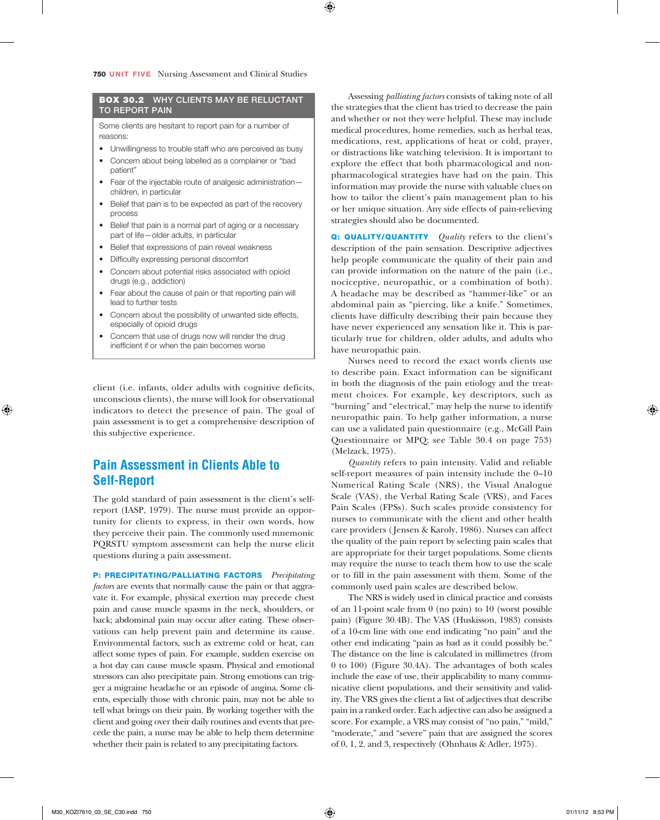### **BOX 30.2 WHY CLIENTS MAY BE RELUCTANT TO REPORT PAIN**

 Some clients are hesitant to report pain for a number of reasons:

- Unwillingness to trouble staff who are perceived as busy
- Concern about being labelled as a complainer or "bad patient"
- Fear of the injectable route of analgesic administration children, in particular
- Belief that pain is to be expected as part of the recovery process
- Belief that pain is a normal part of aging or a necessary part of life—older adults, in particular
- Belief that expressions of pain reveal weakness
- Difficulty expressing personal discomfort
- Concern about potential risks associated with opioid drugs (e.g., addiction)
- Fear about the cause of pain or that reporting pain will lead to further tests
- Concern about the possibility of unwanted side effects, especially of opioid drugs
- Concern that use of drugs now will render the drug inefficient if or when the pain becomes worse

client (i.e. infants, older adults with cognitive deficits, unconscious clients), the nurse will look for observational indicators to detect the presence of pain. The goal of pain assessment is to get a comprehensive description of this subjective experience.

### **Pain Assessment in Clients Able to Self‐Report**

The gold standard of pain assessment is the client's self‐ report (IASP, 1979). The nurse must provide an opportunity for clients to express, in their own words, how they perceive their pain. The commonly used mnemonic PQRSTU symptom assessment can help the nurse elicit questions during a pain assessment.

**P: PRECIPITATING/PALLIATING FACTORS** *Precipitating factors* are events that normally cause the pain or that aggravate it. For example, physical exertion may precede chest pain and cause muscle spasms in the neck, shoulders, or back; abdominal pain may occur after eating. These observations can help prevent pain and determine its cause. Environmental factors, such as extreme cold or heat, can affect some types of pain. For example, sudden exercise on a hot day can cause muscle spasm. Physical and emotional stressors can also precipitate pain. Strong emotions can trigger a migraine headache or an episode of angina. Some clients, especially those with chronic pain, may not be able to tell what brings on their pain. By working together with the client and going over their daily routines and events that precede the pain, a nurse may be able to help them determine whether their pain is related to any precipitating factors.

Assessing *palliating factors* consists of taking note of all the strategies that the client has tried to decrease the pain and whether or not they were helpful. These may include medical procedures, home remedies, such as herbal teas, medications, rest, applications of heat or cold, prayer, or distractions like watching television. It is important to explore the effect that both pharmacological and nonpharmacological strategies have had on the pain. This information may provide the nurse with valuable clues on how to tailor the client's pain management plan to his or her unique situation. Any side effects of pain‐relieving strategies should also be documented.

**Q: QUALITY/QUANTITY** *Quality* refers to the client's description of the pain sensation. Descriptive adjectives help people communicate the quality of their pain and can provide information on the nature of the pain (i.e., nociceptive, neuropathic, or a combination of both). A headache may be described as "hammer‐like" or an abdominal pain as "piercing, like a knife." Sometimes, clients have difficulty describing their pain because they have never experienced any sensation like it. This is particularly true for children, older adults, and adults who have neuropathic pain.

Nurses need to record the exact words clients use to describe pain. Exact information can be significant in both the diagnosis of the pain etiology and the treatment choices. For example, key descriptors, such as "burning" and "electrical," may help the nurse to identify neuropathic pain. To help gather information, a nurse can use a validated pain questionnaire (e.g., McGill Pain Questionnaire or MPQ; see Table 30.4 on page 753) (Melzack, 1975).

*Quantity* refers to pain intensity. Valid and reliable self-report measures of pain intensity include the 0–10 Numerical Rating Scale (NRS), the Visual Analogue Scale (VAS), the Verbal Rating Scale (VRS), and Faces Pain Scales (FPSs). Such scales provide consistency for nurses to communicate with the client and other health care providers ( Jensen & Karoly, 1986). Nurses can affect the quality of the pain report by selecting pain scales that are appropriate for their target populations. Some clients may require the nurse to teach them how to use the scale or to fill in the pain assessment with them. Some of the commonly used pain scales are described below.

The NRS is widely used in clinical practice and consists of an 11‐point scale from 0 (no pain) to 10 (worst possible pain) (Figure 30.4B). The VAS (Huskisson, 1983) consists of a 10‐cm line with one end indicating "no pain" and the other end indicating "pain as bad as it could possibly be." The distance on the line is calculated in millimetres (from 0 to 100) (Figure 30.4A). The advantages of both scales include the ease of use, their applicability to many communicative client populations, and their sensitivity and validity. The VRS gives the client a list of adjectives that describe pain in a ranked order. Each adjective can also be assigned a score. For example, a VRS may consist of "no pain," "mild," "moderate," and "severe" pain that are assigned the scores of 0, 1, 2, and 3, respectively (Ohnhaus & Adler, 1975).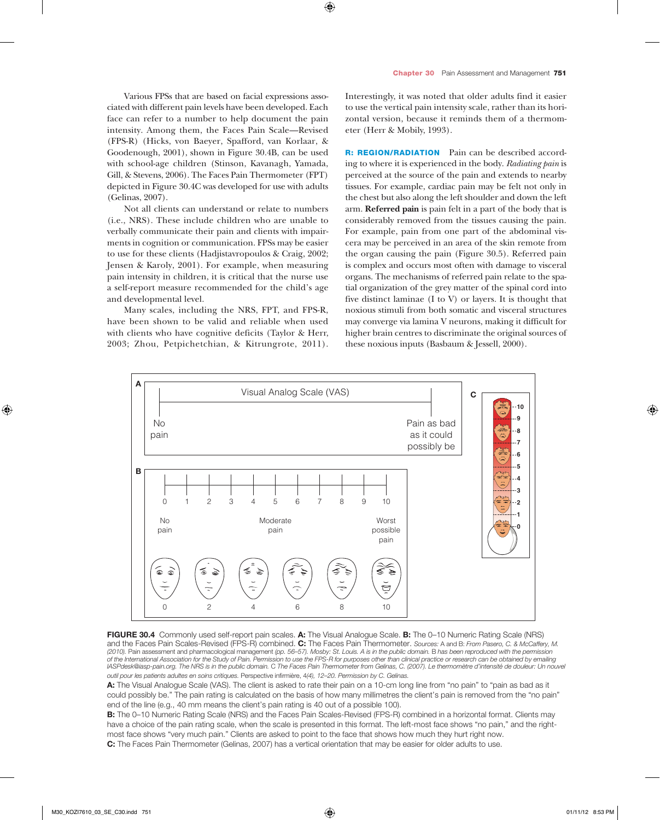Various FPSs that are based on facial expressions associated with different pain levels have been developed. Each face can refer to a number to help document the pain intensity. Among them, the Faces Pain Scale—Revised (FPS‐R) (Hicks, von Baeyer, Spafford, van Korlaar, & Goodenough, 2001), shown in Figure 30.4B, can be used with school‐age children (Stinson, Kavanagh, Yamada, Gill, & Stevens, 2006). The Faces Pain Thermometer (FPT) depicted in Figure 30.4C was developed for use with adults (Gelinas, 2007).

Not all clients can understand or relate to numbers (i.e., NRS). These include children who are unable to verbally communicate their pain and clients with impairments in cognition or communication. FPSs may be easier to use for these clients (Hadjistavropoulos & Craig, 2002; Jensen & Karoly, 2001). For example, when measuring pain intensity in children, it is critical that the nurse use a self‐report measure recommended for the child's age and developmental level.

Many scales, including the NRS, FPT, and FPS‐R, have been shown to be valid and reliable when used with clients who have cognitive deficits (Taylor & Herr, 2003; Zhou, Petpichetchian, & Kitrungrote, 2011). Interestingly, it was noted that older adults find it easier to use the vertical pain intensity scale, rather than its horizontal version, because it reminds them of a thermometer (Herr & Mobily, 1993).

**R: REGION/RADIATION** Pain can be described according to where it is experienced in the body. *Radiating pain* is perceived at the source of the pain and extends to nearby tissues. For example, cardiac pain may be felt not only in the chest but also along the left shoulder and down the left arm. **Referred pain** is pain felt in a part of the body that is considerably removed from the tissues causing the pain. For example, pain from one part of the abdominal viscera may be perceived in an area of the skin remote from the organ causing the pain (Figure 30.5). Referred pain is complex and occurs most often with damage to visceral organs. The mechanisms of referred pain relate to the spatial organization of the grey matter of the spinal cord into five distinct laminae (I to V) or layers. It is thought that noxious stimuli from both somatic and visceral structures may converge via lamina V neurons, making it difficult for higher brain centres to discriminate the original sources of these noxious inputs (Basbaum & Jessell, 2000).



**FIGURE 30.4** Commonly used self-report pain scales. **A:** The Visual Analogue Scale. **B:** The 0–10 Numeric Rating Scale (NRS) and the Faces Pain Scales-Revised (FPS-R) combined. **C:** The Faces Pain Thermometer. Sources: A and B: From Pasero, C. & McCaffery, M. (2010). Pain assessment and pharmacological management (pp. 56-57). Mosby: St. Louis. A is in the public domain. B has been reproduced with the permission of the International Association for the Study of Pain. Permission to use the FPS‐R for purposes other than clinical practice or research can be obtained by emailing IASPdesk@iasp‐pain.org. The NRS is in the public domain. C The Faces Pain Thermometer from Gelinas, C. (2007). Le thermomètre d'intensité de douleur: Un nouvel outil pour les patients adultes en soins critiques. Perspective infirmière, 4(4), 12–20. Permission by C. Gelinas.

**A:** The Visual Analogue Scale (VAS). The client is asked to rate their pain on a 10‐cm long line from "no pain" to "pain as bad as it could possibly be." The pain rating is calculated on the basis of how many millimetres the client's pain is removed from the "no pain" end of the line (e.g., 40 mm means the client's pain rating is 40 out of a possible 100).

**B:** The 0–10 Numeric Rating Scale (NRS) and the Faces Pain Scales‐Revised (FPS‐R) combined in a horizontal format. Clients may have a choice of the pain rating scale, when the scale is presented in this format. The left-most face shows "no pain," and the rightmost face shows "very much pain." Clients are asked to point to the face that shows how much they hurt right now.  **C:** The Faces Pain Thermometer (Gelinas, 2007) has a vertical orientation that may be easier for older adults to use.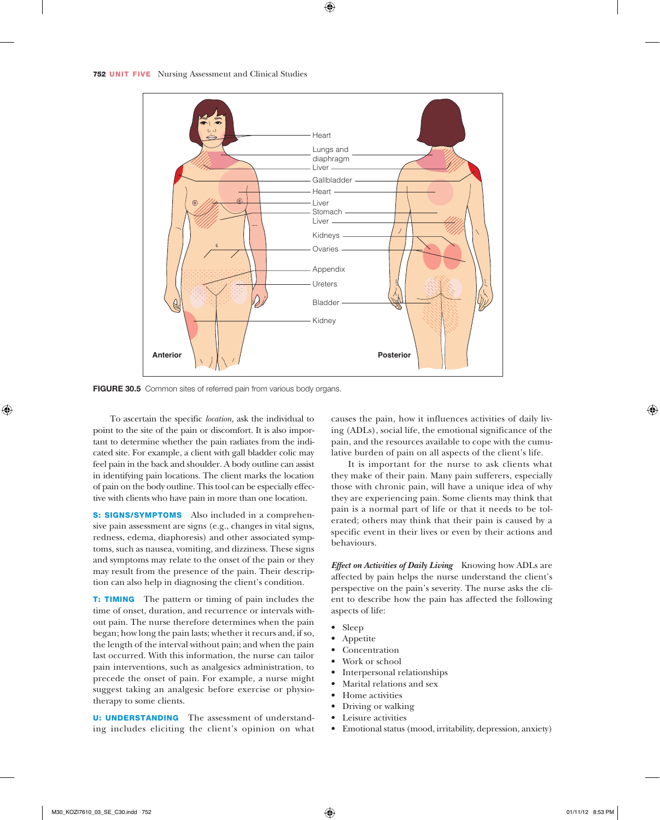

**FIGURE 30.5** Common sites of referred pain from various body organs.

To ascertain the specific *location,* ask the individual to point to the site of the pain or discomfort. It is also important to determine whether the pain radiates from the indicated site. For example, a client with gall bladder colic may feel pain in the back and shoulder. A body outline can assist in identifying pain locations. The client marks the location of pain on the body outline. This tool can be especially effective with clients who have pain in more than one location.

**S: SIGNS/SYMPTOMS** Also included in a comprehensive pain assessment are signs (e.g., changes in vital signs, redness, edema, diaphoresis) and other associated symptoms, such as nausea, vomiting, and dizziness. These signs and symptoms may relate to the onset of the pain or they may result from the presence of the pain. Their description can also help in diagnosing the client's condition.

**T: TIMING** The pattern or timing of pain includes the time of onset, duration, and recurrence or intervals without pain. The nurse therefore determines when the pain began; how long the pain lasts; whether it recurs and, if so, the length of the interval without pain; and when the pain last occurred. With this information, the nurse can tailor pain interventions, such as analgesics administration, to precede the onset of pain. For example, a nurse might suggest taking an analgesic before exercise or physiotherapy to some clients.

**U: UNDERSTANDING** The assessment of understanding includes eliciting the client's opinion on what causes the pain, how it influences activities of daily living (ADLs), social life, the emotional significance of the pain, and the resources available to cope with the cumulative burden of pain on all aspects of the client's life.

It is important for the nurse to ask clients what they make of their pain. Many pain sufferers, especially those with chronic pain, will have a unique idea of why they are experiencing pain. Some clients may think that pain is a normal part of life or that it needs to be tolerated; others may think that their pain is caused by a specific event in their lives or even by their actions and behaviours.

*Effect on Activities of Daily Living* Knowing how ADLs are affected by pain helps the nurse understand the client's perspective on the pain's severity. The nurse asks the client to describe how the pain has affected the following aspects of life:

- Sleep
- Appetite
- **Concentration**
- Work or school
- Interpersonal relationships
- Marital relations and sex
- Home activities
- Driving or walking
- Leisure activities
- Emotional status (mood, irritability, depression, anxiety)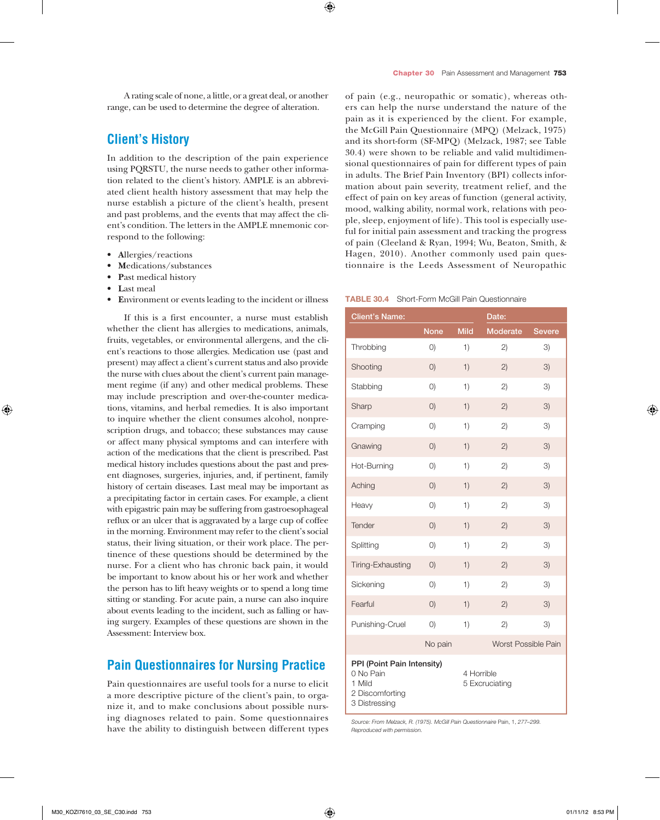A rating scale of none, a little, or a great deal, or another range, can be used to determine the degree of alteration.

### **Client's History**

In addition to the description of the pain experience using PQRSTU, the nurse needs to gather other information related to the client's history. AMPLE is an abbreviated client health history assessment that may help the nurse establish a picture of the client's health, present and past problems, and the events that may affect the client's condition. The letters in the AMPLE mnemonic correspond to the following:

- **Allergies**/reactions
- Medications/substances
- Past medical history
- Last meal
- **E**nvironment or events leading to the incident or illness

If this is a first encounter, a nurse must establish whether the client has allergies to medications, animals, fruits, vegetables, or environmental allergens, and the client's reactions to those allergies. Medication use (past and present) may affect a client's current status and also provide the nurse with clues about the client's current pain management regime (if any) and other medical problems. These may include prescription and over-the-counter medications, vitamins, and herbal remedies. It is also important to inquire whether the client consumes alcohol, nonprescription drugs, and tobacco; these substances may cause or affect many physical symptoms and can interfere with action of the medications that the client is prescribed. Past medical history includes questions about the past and present diagnoses, surgeries, injuries, and, if pertinent, family history of certain diseases. Last meal may be important as a precipitating factor in certain cases. For example, a client with epigastric pain may be suffering from gastroesophageal reflux or an ulcer that is aggravated by a large cup of coffee in the morning. Environment may refer to the client's social status, their living situation, or their work place. The pertinence of these questions should be determined by the nurse. For a client who has chronic back pain, it would be important to know about his or her work and whether the person has to lift heavy weights or to spend a long time sitting or standing. For acute pain, a nurse can also inquire about events leading to the incident, such as falling or having surgery. Examples of these questions are shown in the Assessment: Interview box.

### **Pain Questionnaires for Nursing Practice**

Pain questionnaires are useful tools for a nurse to elicit a more descriptive picture of the client's pain, to organize it, and to make conclusions about possible nursing diagnoses related to pain. Some questionnaires have the ability to distinguish between different types

of pain (e.g., neuropathic or somatic), whereas others can help the nurse understand the nature of the pain as it is experienced by the client. For example, the McGill Pain Questionnaire (MPQ) (Melzack, 1975) and its short‐form (SF‐MPQ) (Melzack, 1987; see Table 30.4 ) were shown to be reliable and valid multidimensional questionnaires of pain for different types of pain in adults. The Brief Pain Inventory (BPI) collects information about pain severity, treatment relief, and the effect of pain on key areas of function (general activity, mood, walking ability, normal work, relations with people, sleep, enjoyment of life). This tool is especially useful for initial pain assessment and tracking the progress of pain (Cleeland & Ryan, 1994; Wu, Beaton, Smith, & Hagen, 2010). Another commonly used pain questionnaire is the Leeds Assessment of Neuropathic

**TABLE 30.4** Short‐Form McGill Pain Questionnaire

| <b>Client's Name:</b><br>Date:                                                        |             |             |                     |               |
|---------------------------------------------------------------------------------------|-------------|-------------|---------------------|---------------|
|                                                                                       | <b>None</b> | <b>Mild</b> | Moderate            | <b>Severe</b> |
| Throbbing                                                                             | O)          | 1)          | 2)                  | 3)            |
| Shooting                                                                              | O)          | 1)          | 2)                  | 3)            |
| Stabbing                                                                              | $\circ$     | 1)          | 2)                  | 3)            |
| Sharp                                                                                 | O)          | 1)          | 2)                  | 3)            |
| Cramping                                                                              | O)          | 1)          | 2)                  | 3)            |
| Gnawing                                                                               | O)          | 1)          | 2)                  | 3)            |
| Hot-Burning                                                                           | O)          | 1)          | 2)                  | 3)            |
| Aching                                                                                | O)          | 1)          | 2)                  | 3)            |
| Heavy                                                                                 | O)          | 1)          | 2)                  | 3)            |
| Tender                                                                                | O)          | 1)          | 2)                  | 3)            |
| Splitting                                                                             | $\circ$     | 1)          | 2)                  | 3)            |
| Tiring-Exhausting                                                                     | O)          | 1)          | 2)                  | 3)            |
| Sickening                                                                             | $\circ$     | 1)          | 2)                  | 3)            |
| Fearful                                                                               | O)          | 1)          | 2)                  | 3)            |
| Punishing-Cruel                                                                       | $\circ$     | 1)          | 2)                  | 3)            |
|                                                                                       | No pain     |             | Worst Possible Pain |               |
| PPI (Point Pain Intensity)<br>0 No Pain<br>1 Mild<br>2 Discomforting<br>3 Distressing |             | 4 Horrible  | 5 Excruciating      |               |

Source: From Melzack, R. (1975). McGill Pain Questionnaire Pain, 1, 277–299. Reproduced with permission.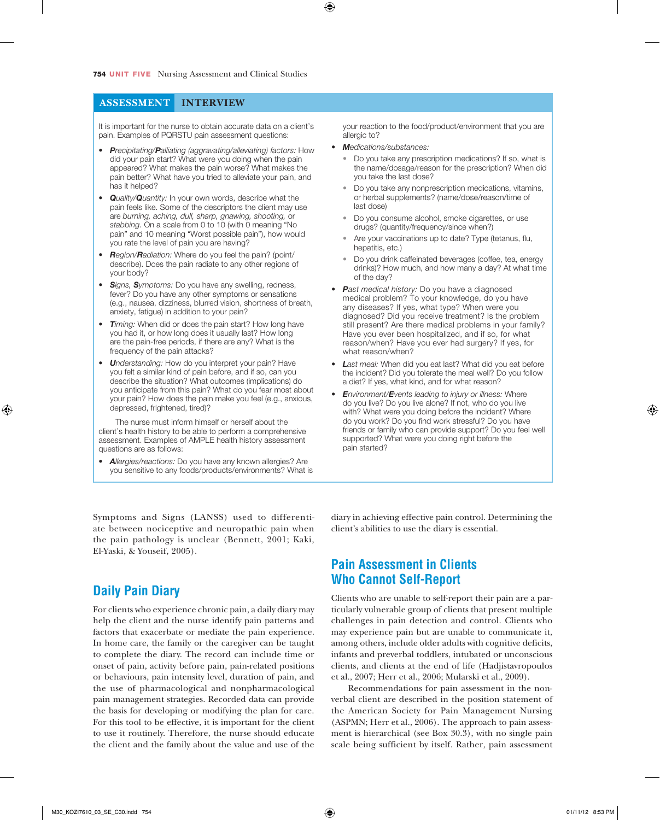### **ASSESSMENT INTERVIEW**

It is important for the nurse to obtain accurate data on a client's pain. Examples of PQRSTU pain assessment questions:

- *P*recipitating/*P*alliating (aggravating/alleviating) factors: How did your pain start? What were you doing when the pain appeared? What makes the pain worse? What makes the pain better? What have you tried to alleviate your pain, and has it helped?
- *Q*uality/*Q*uantity: In your own words, describe what the pain feels like. Some of the descriptors the client may use are burning, aching, dull, sharp, gnawing, shooting, or stabbing. On a scale from 0 to 10 (with 0 meaning "No pain" and 10 meaning "Worst possible pain"), how would you rate the level of pain you are having?
- *R*egion/*R*adiation: Where do you feel the pain? (point/ describe). Does the pain radiate to any other regions of your body?
- *S*igns, *S*ymptoms: Do you have any swelling, redness, fever? Do you have any other symptoms or sensations (e.g., nausea, dizziness, blurred vision, shortness of breath, anxiety, fatigue) in addition to your pain?
- *T*iming: When did or does the pain start? How long have you had it, or how long does it usually last? How long are the pain‐free periods, if there are any? What is the frequency of the pain attacks?
- *U*nderstanding: How do you interpret your pain? Have you felt a similar kind of pain before, and if so, can you describe the situation? What outcomes (implications) do you anticipate from this pain? What do you fear most about your pain? How does the pain make you feel (e.g., anxious, depressed, frightened, tired)?

 The nurse must inform himself or herself about the client's health history to be able to perform a comprehensive assessment. Examples of AMPLE health history assessment questions are as follows:

Allergies/reactions: Do you have any known allergies? Are you sensitive to any foods/products/environments? What is your reaction to the food/product/environment that you are allergic to?

- *M*edications/substances:
	- Do you take any prescription medications? If so, what is the name/dosage/reason for the prescription? When did you take the last dose?
	- Do you take any nonprescription medications, vitamins, or herbal supplements? (name/dose/reason/time of last dose)
	- Do you consume alcohol, smoke cigarettes, or use drugs? (quantity/frequency/since when?)
	- Are your vaccinations up to date? Type (tetanus, flu, hepatitis, etc.)
	- Do you drink caffeinated beverages (coffee, tea, energy drinks)? How much, and how many a day? At what time of the day?
- *P*ast medical history: Do you have a diagnosed medical problem? To your knowledge, do you have any diseases? If yes, what type? When were you diagnosed? Did you receive treatment? Is the problem still present? Are there medical problems in your family? Have you ever been hospitalized, and if so, for what reason/when? Have you ever had surgery? If yes, for what reason/when?
- *L*ast meal: When did you eat last? What did you eat before the incident? Did you tolerate the meal well? Do you follow a diet? If yes, what kind, and for what reason?
- *E*nvironment/*E*vents leading to injury or illness: Where do you live? Do you live alone? If not, who do you live with? What were you doing before the incident? Where do you work? Do you find work stressful? Do you have friends or family who can provide support? Do you feel well supported? What were you doing right before the pain started?

Symptoms and Signs (LANSS) used to differentiate between nociceptive and neuropathic pain when the pain pathology is unclear (Bennett, 2001; Kaki, El‐Yaski, & Youseif, 2005).

### **Daily Pain Diary**

For clients who experience chronic pain, a daily diary may help the client and the nurse identify pain patterns and factors that exacerbate or mediate the pain experience. In home care, the family or the caregiver can be taught to complete the diary. The record can include time or onset of pain, activity before pain, pain‐related positions or behaviours, pain intensity level, duration of pain, and the use of pharmacological and nonpharmacological pain management strategies. Recorded data can provide the basis for developing or modifying the plan for care. For this tool to be effective, it is important for the client to use it routinely. Therefore, the nurse should educate the client and the family about the value and use of the

diary in achieving effective pain control. Determining the client's abilities to use the diary is essential.

### **Pain Assessment in Clients Who Cannot Self‐Report**

Clients who are unable to self‐report their pain are a particularly vulnerable group of clients that present multiple challenges in pain detection and control. Clients who may experience pain but are unable to communicate it, among others, include older adults with cognitive deficits, infants and preverbal toddlers, intubated or unconscious clients, and clients at the end of life (Hadjistavropoulos et al., 2007; Herr et al., 2006; Mularski et al., 2009).

Recommendations for pain assessment in the nonverbal client are described in the position statement of the American Society for Pain Management Nursing (ASPMN; Herr et al., 2006). The approach to pain assessment is hierarchical (see Box 30.3), with no single pain scale being sufficient by itself. Rather, pain assessment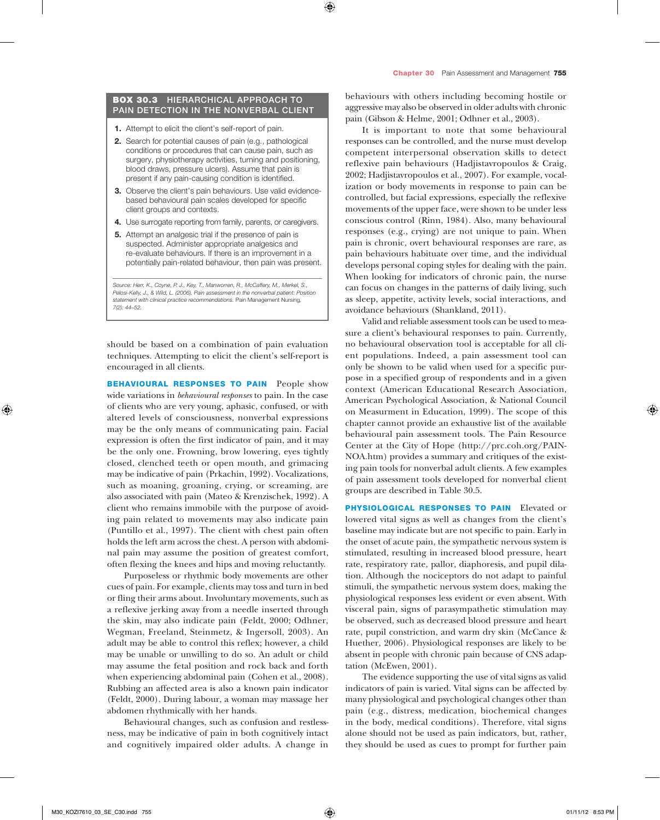### **BOX 30.3 HIERARCHICAL APPROACH TO PAIN DETECTION IN THE NONVERBAL CLIENT**

- **1.** Attempt to elicit the client's self‐report of pain.
- **2.** Search for potential causes of pain (e.g., pathological conditions or procedures that can cause pain, such as surgery, physiotherapy activities, turning and positioning, blood draws, pressure ulcers). Assume that pain is present if any pain‐causing condition is identified.
- **3.** Observe the client's pain behaviours. Use valid evidencebased behavioural pain scales developed for specific client groups and contexts.
- **4.** Use surrogate reporting from family, parents, or caregivers.
- **5.** Attempt an analgesic trial if the presence of pain is suspected. Administer appropriate analgesics and re-evaluate behaviours. If there is an improvement in a potentially pain‐related behaviour, then pain was present.

Source: Herr, K., Coyne, P. J., Key, T., Manworren, R., McCaffery, M., Merkel, S., Pelosi‐Kelly, J., & Wild, L. (2006). Pain assessment in the nonverbal patient: Position statement with clinical practice recommendations. Pain Management Nursing, 7 (2): 44–52.

should be based on a combination of pain evaluation techniques. Attempting to elicit the client's self‐report is encouraged in all clients.

**BEHAVIOURAL RESPONSES TO PAIN** People show wide variations in *behavioural responses* to pain. In the case of clients who are very young, aphasic, confused, or with altered levels of consciousness, nonverbal expressions may be the only means of communicating pain. Facial expression is often the first indicator of pain, and it may be the only one. Frowning, brow lowering, eyes tightly closed, clenched teeth or open mouth, and grimacing may be indicative of pain (Prkachin, 1992). Vocalizations, such as moaning, groaning, crying, or screaming, are also associated with pain (Mateo & Krenzischek, 1992). A client who remains immobile with the purpose of avoiding pain related to movements may also indicate pain (Puntillo et al., 1997). The client with chest pain often holds the left arm across the chest. A person with abdominal pain may assume the position of greatest comfort, often flexing the knees and hips and moving reluctantly.

Purposeless or rhythmic body movements are other cues of pain. For example, clients may toss and turn in bed or fling their arms about. Involuntary movements, such as a reflexive jerking away from a needle inserted through the skin, may also indicate pain (Feldt, 2000; Odhner, Wegman, Freeland, Steinmetz, & Ingersoll, 2003). An adult may be able to control this reflex; however, a child may be unable or unwilling to do so. An adult or child may assume the fetal position and rock back and forth when experiencing abdominal pain (Cohen et al., 2008). Rubbing an affected area is also a known pain indicator (Feldt, 2000). During labour, a woman may massage her abdomen rhythmically with her hands.

Behavioural changes, such as confusion and restlessness, may be indicative of pain in both cognitively intact and cognitively impaired older adults. A change in

behaviours with others including becoming hostile or aggressive may also be observed in older adults with chronic pain (Gibson & Helme, 2001; Odhner et al., 2003).

It is important to note that some behavioural responses can be controlled, and the nurse must develop competent interpersonal observation skills to detect reflexive pain behaviours (Hadjistavropoulos & Craig, 2002; Hadjistavropoulos et al., 2007). For example, vocalization or body movements in response to pain can be controlled, but facial expressions, especially the reflexive movements of the upper face, were shown to be under less conscious control (Rinn, 1984). Also, many behavioural responses (e.g., crying) are not unique to pain. When pain is chronic, overt behavioural responses are rare, as pain behaviours habituate over time, and the individual develops personal coping styles for dealing with the pain. When looking for indicators of chronic pain, the nurse can focus on changes in the patterns of daily living, such as sleep, appetite, activity levels, social interactions, and avoidance behaviours (Shankland, 2011).

Valid and reliable assessment tools can be used to measure a client's behavioural responses to pain. Currently, no behavioural observation tool is acceptable for all client populations. Indeed, a pain assessment tool can only be shown to be valid when used for a specific purpose in a specified group of respondents and in a given context (American Educational Research Association, American Psychological Association, & National Council on Measurment in Education, 1999). The scope of this chapter cannot provide an exhaustive list of the available behavioural pain assessment tools. The Pain Resource Center at the City of Hope (http://prc.coh.org/PAIN-NOA.htm) provides a summary and critiques of the existing pain tools for nonverbal adult clients. A few examples of pain assessment tools developed for nonverbal client groups are described in Table 30.5 .

**PHYSIOLOGICAL RESPONSES TO PAIN** Elevated or lowered vital signs as well as changes from the client's baseline may indicate but are not specific to pain. Early in the onset of acute pain, the sympathetic nervous system is stimulated, resulting in increased blood pressure, heart rate, respiratory rate, pallor, diaphoresis, and pupil dilation. Although the nociceptors do not adapt to painful stimuli, the sympathetic nervous system does, making the physiological responses less evident or even absent. With visceral pain, signs of parasympathetic stimulation may be observed, such as decreased blood pressure and heart rate, pupil constriction, and warm dry skin (McCance & Huether, 2006). Physiological responses are likely to be absent in people with chronic pain because of CNS adaptation (McEwen, 2001).

The evidence supporting the use of vital signs as valid indicators of pain is varied. Vital signs can be affected by many physiological and psychological changes other than pain (e.g., distress, medication, biochemical changes in the body, medical conditions). Therefore, vital signs alone should not be used as pain indicators, but, rather, they should be used as cues to prompt for further pain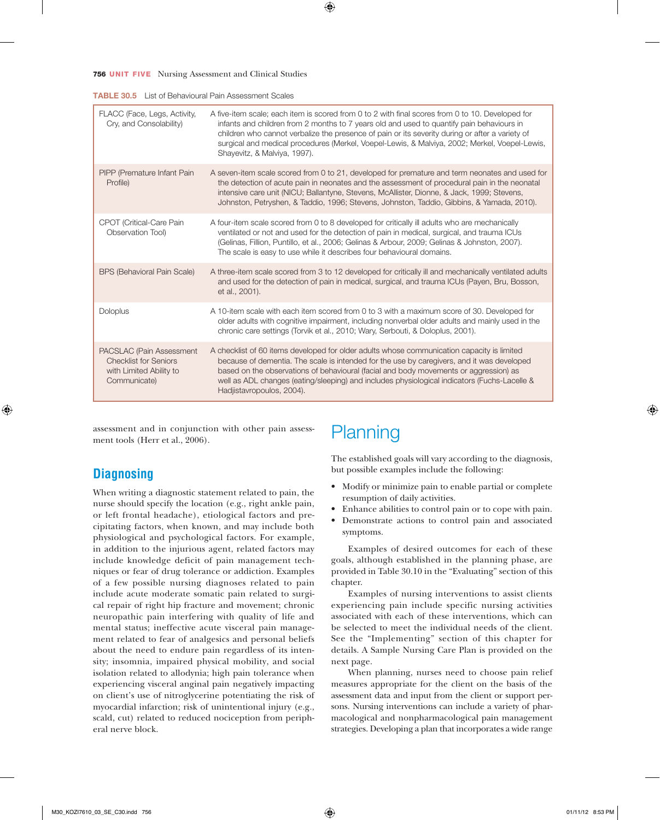| <b>TABLE 30.5</b> List of Behavioural Pain Assessment Scales |
|--------------------------------------------------------------|
|                                                              |

| FLACC (Face, Legs, Activity,<br>Cry, and Consolability)                                                    | A five-item scale; each item is scored from 0 to 2 with final scores from 0 to 10. Developed for<br>infants and children from 2 months to 7 years old and used to quantify pain behaviours in<br>children who cannot verbalize the presence of pain or its severity during or after a variety of<br>surgical and medical procedures (Merkel, Voepel-Lewis, & Malviya, 2002; Merkel, Voepel-Lewis,<br>Shayevitz, & Malviya, 1997). |
|------------------------------------------------------------------------------------------------------------|-----------------------------------------------------------------------------------------------------------------------------------------------------------------------------------------------------------------------------------------------------------------------------------------------------------------------------------------------------------------------------------------------------------------------------------|
| PIPP (Premature Infant Pain<br>Profile)                                                                    | A seven-item scale scored from 0 to 21, developed for premature and term neonates and used for<br>the detection of acute pain in neonates and the assessment of procedural pain in the neonatal<br>intensive care unit (NICU; Ballantyne, Stevens, McAllister, Dionne, & Jack, 1999; Stevens,<br>Johnston, Petryshen, & Taddio, 1996; Stevens, Johnston, Taddio, Gibbins, & Yamada, 2010).                                        |
| CPOT (Critical-Care Pain<br>Observation Tool)                                                              | A four-item scale scored from 0 to 8 developed for critically ill adults who are mechanically<br>ventilated or not and used for the detection of pain in medical, surgical, and trauma ICUs<br>(Gelinas, Fillion, Puntillo, et al., 2006; Gelinas & Arbour, 2009; Gelinas & Johnston, 2007).<br>The scale is easy to use while it describes four behavioural domains.                                                             |
| <b>BPS (Behavioral Pain Scale)</b>                                                                         | A three-item scale scored from 3 to 12 developed for critically ill and mechanically ventilated adults<br>and used for the detection of pain in medical, surgical, and trauma ICUs (Payen, Bru, Bosson,<br>et al., 2001).                                                                                                                                                                                                         |
| <b>Doloplus</b>                                                                                            | A 10-item scale with each item scored from 0 to 3 with a maximum score of 30. Developed for<br>older adults with cognitive impairment, including nonverbal older adults and mainly used in the<br>chronic care settings (Torvik et al., 2010; Wary, Serbouti, & Doloplus, 2001).                                                                                                                                                  |
| <b>PACSLAC (Pain Assessment</b><br><b>Checklist for Seniors</b><br>with Limited Ability to<br>Communicate) | A checklist of 60 items developed for older adults whose communication capacity is limited<br>because of dementia. The scale is intended for the use by caregivers, and it was developed<br>based on the observations of behavioural (facial and body movements or aggression) as<br>well as ADL changes (eating/sleeping) and includes physiological indicators (Fuchs-Lacelle &<br>Hadjistavropoulos, 2004).                    |

assessment and in conjunction with other pain assessment tools (Herr et al., 2006).

### **Diagnosing**

When writing a diagnostic statement related to pain, the nurse should specify the location (e.g., right ankle pain, or left frontal headache), etiological factors and precipitating factors, when known, and may include both physiological and psychological factors. For example, in addition to the injurious agent, related factors may include knowledge deficit of pain management techniques or fear of drug tolerance or addiction. Examples of a few possible nursing diagnoses related to pain include acute moderate somatic pain related to surgical repair of right hip fracture and movement; chronic neuropathic pain interfering with quality of life and mental status; ineffective acute visceral pain management related to fear of analgesics and personal beliefs about the need to endure pain regardless of its intensity; insomnia, impaired physical mobility, and social isolation related to allodynia; high pain tolerance when experiencing visceral anginal pain negatively impacting on client's use of nitroglycerine potentiating the risk of myocardial infarction; risk of unintentional injury (e.g., scald, cut) related to reduced nociception from peripheral nerve block.

# **Planning**

The established goals will vary according to the diagnosis, but possible examples include the following:

- Modify or minimize pain to enable partial or complete resumption of daily activities.
- Enhance abilities to control pain or to cope with pain.
- Demonstrate actions to control pain and associated symptoms.

Examples of desired outcomes for each of these goals, although established in the planning phase, are provided in Table 30.10 in the "Evaluating" section of this chapter.

Examples of nursing interventions to assist clients experiencing pain include specific nursing activities associated with each of these interventions, which can be selected to meet the individual needs of the client. See the "Implementing" section of this chapter for details. A Sample Nursing Care Plan is provided on the next page.

When planning, nurses need to choose pain relief measures appropriate for the client on the basis of the assessment data and input from the client or support persons. Nursing interventions can include a variety of pharmacological and nonpharmacological pain management strategies. Developing a plan that incorporates a wide range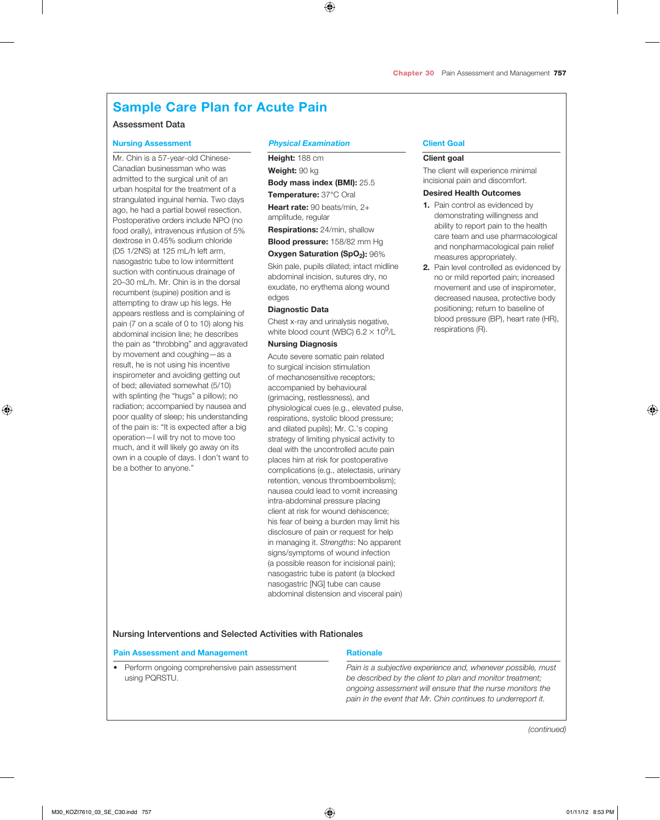### **Sample Care Plan for Acute Pain**

### **Assessment Data**

Mr. Chin is a 57‐year‐old Chinese‐ Canadian businessman who was admitted to the surgical unit of an urban hospital for the treatment of a strangulated inguinal hernia. Two days ago, he had a partial bowel resection. Postoperative orders include NPO (no food orally), intravenous infusion of 5% dextrose in 0.45% sodium chloride (D5 1/2NS) at 125 mL/h left arm, nasogastric tube to low intermittent suction with continuous drainage of 20–30 mL/h. Mr. Chin is in the dorsal recumbent (supine) position and is attempting to draw up his legs. He appears restless and is complaining of pain (7 on a scale of 0 to 10) along his abdominal incision line; he describes the pain as "throbbing" and aggravated by movement and coughing—as a result, he is not using his incentive inspirometer and avoiding getting out of bed; alleviated somewhat (5/10) with splinting (he "hugs" a pillow); no radiation; accompanied by nausea and poor quality of sleep; his understanding of the pain is: "It is expected after a big operation—I will try not to move too much, and it will likely go away on its own in a couple of days. I don't want to be a bother to anyone."

### **Nursing Assessment** *Physical Examination* **Client Goal**

**Height:** 188 cm **Weight:** 90 kg **Body mass index (BMI):** 25.5 **Temperature:** 37°C Oral

**Heart rate:** 90 beats/min, 2+ amplitude, regular

**Respirations:** 24/min, shallow

**Blood pressure:** 158/82 mm Hg

**Oxygen Saturation (SpO2): 96%**  Skin pale, pupils dilated; intact midline abdominal incision, sutures dry, no exudate, no erythema along wound

### **Diagnostic Data**

edges

 Chest x‐ray and urinalysis negative, white blood count (WBC)  $6.2 \times 10^9$ /L

### **Nursing Diagnosis**

 Acute severe somatic pain related to surgical incision stimulation of mechanosensitive receptors; accompanied by behavioural (grimacing, restlessness), and physiological cues (e.g., elevated pulse, respirations, systolic blood pressure; and dilated pupils); Mr. C.'s coping strategy of limiting physical activity to deal with the uncontrolled acute pain places him at risk for postoperative complications (e.g., atelectasis, urinary retention, venous thromboembolism); nausea could lead to vomit increasing intra-abdominal pressure placing client at risk for wound dehiscence; his fear of being a burden may limit his disclosure of pain or request for help in managing it. Strengths: No apparent signs/symptoms of wound infection (a possible reason for incisional pain); nasogastric tube is patent (a blocked nasogastric [NG] tube can cause abdominal distension and visceral pain)

#### **Client goal**

 The client will experience minimal incisional pain and discomfort.

### **Desired Health Outcomes**

- **1.** Pain control as evidenced by demonstrating willingness and ability to report pain to the health care team and use pharmacological and nonpharmacological pain relief measures appropriately.
- **2.** Pain level controlled as evidenced by no or mild reported pain; increased movement and use of inspirometer, decreased nausea, protective body positioning; return to baseline of blood pressure (BP), heart rate (HR), respirations (R).

#### **Nursing Interventions and Selected Activities with Rationales**

#### **Pain Assessment and Management Access Access Paragement Rationale**

• Perform ongoing comprehensive pain assessment using PQRSTU.

 Pain is a subjective experience and, whenever possible, must be described by the client to plan and monitor treatment; ongoing assessment will ensure that the nurse monitors the pain in the event that Mr. Chin continues to underreport it.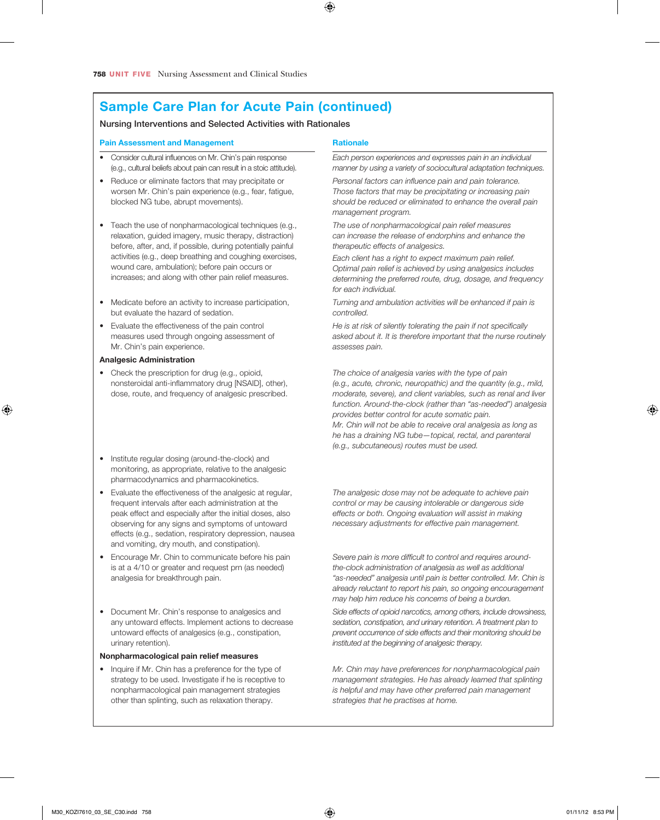### **Sample Care Plan for Acute Pain (continued)**

**Nursing Interventions and Selected Activities with Rationales**

#### **Pain Assessment and Management Alleman Rationale Rationale Alleman Rationale**

- Consider cultural influences on Mr. Chin's pain response (e.g., cultural beliefs about pain can result in a stoic attitude).
- Reduce or eliminate factors that may precipitate or worsen Mr. Chin's pain experience (e.g., fear, fatigue, blocked NG tube, abrupt movements).
- Teach the use of nonpharmacological techniques (e.g., relaxation, guided imagery, music therapy, distraction) before, after, and, if possible, during potentially painful activities (e.g., deep breathing and coughing exercises, wound care, ambulation); before pain occurs or increases; and along with other pain relief measures.
- Medicate before an activity to increase participation, but evaluate the hazard of sedation.
- Evaluate the effectiveness of the pain control measures used through ongoing assessment of Mr. Chin's pain experience.

#### **Analgesic Administration**

- Check the prescription for drug (e.g., opioid, nonsteroidal anti-inflammatory drug [NSAID], other), dose, route, and frequency of analgesic prescribed.
- Institute regular dosing (around-the-clock) and monitoring, as appropriate, relative to the analgesic pharmacodynamics and pharmacokinetics.
- Evaluate the effectiveness of the analgesic at regular, frequent intervals after each administration at the peak effect and especially after the initial doses, also observing for any signs and symptoms of untoward effects (e.g., sedation, respiratory depression, nausea and vomiting, dry mouth, and constipation).
- Encourage Mr. Chin to communicate before his pain is at a 4/10 or greater and request prn (as needed) analgesia for breakthrough pain.
- Document Mr. Chin's response to analgesics and any untoward effects. Implement actions to decrease untoward effects of analgesics (e.g., constipation, urinary retention).

#### **Nonpharmacological pain relief measures**

• Inquire if Mr. Chin has a preference for the type of strategy to be used. Investigate if he is receptive to nonpharmacological pain management strategies other than splinting, such as relaxation therapy.

Each person experiences and expresses pain in an individual manner by using a variety of sociocultural adaptation techniques.

 Personal factors can influence pain and pain tolerance. Those factors that may be precipitating or increasing pain should be reduced or eliminated to enhance the overall pain management program.

 The use of nonpharmacological pain relief measures can increase the release of endorphins and enhance the therapeutic effects of analgesics.

Each client has a right to expect maximum pain relief. Optimal pain relief is achieved by using analgesics includes determining the preferred route, drug, dosage, and frequency for each individual.

 Turning and ambulation activities will be enhanced if pain is controlled.

 He is at risk of silently tolerating the pain if not specifically asked about it. It is therefore important that the nurse routinely assesses pain.

 The choice of analgesia varies with the type of pain (e.g., acute, chronic, neuropathic) and the quantity (e.g., mild, moderate, severe), and client variables, such as renal and liver function. Around‐the‐clock (rather than "as‐needed") analgesia provides better control for acute somatic pain. Mr. Chin will not be able to receive oral analgesia as long as he has a draining NG tube—topical, rectal, and parenteral (e.g., subcutaneous) routes must be used.

 The analgesic dose may not be adequate to achieve pain control or may be causing intolerable or dangerous side effects or both. Ongoing evaluation will assist in making necessary adjustments for effective pain management.

Severe pain is more difficult to control and requires around‐ the‐clock administration of analgesia as well as additional "as‐needed" analgesia until pain is better controlled. Mr. Chin is already reluctant to report his pain, so ongoing encouragement may help him reduce his concerns of being a burden.

Side effects of opioid narcotics, among others, include drowsiness, sedation, constipation, and urinary retention. A treatment plan to prevent occurrence of side effects and their monitoring should be instituted at the beginning of analgesic therapy.

Mr. Chin may have preferences for nonpharmacological pain management strategies. He has already learned that splinting is helpful and may have other preferred pain management strategies that he practises at home.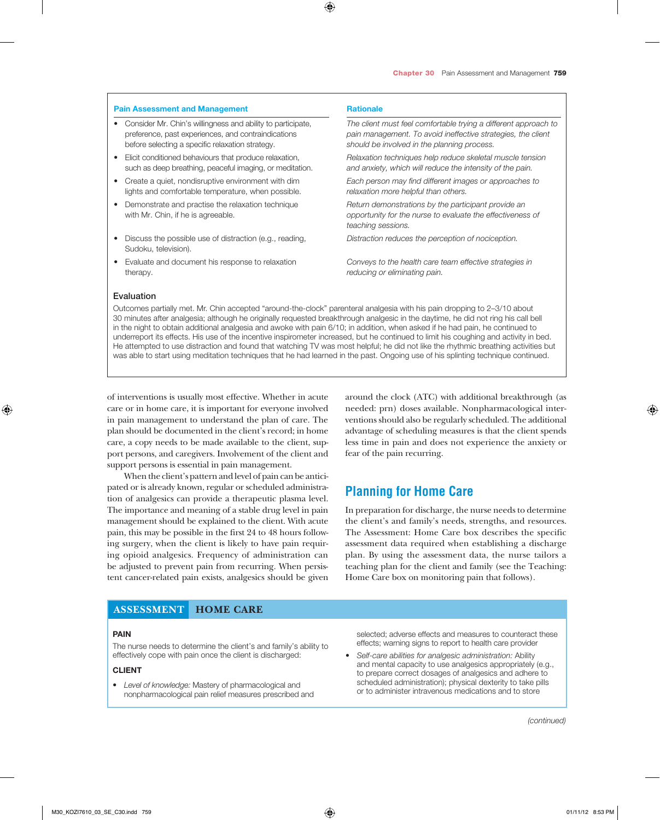| <b>Pain Assessment and Management</b>                                                   | <b>Rationale</b>                                                                                                                        |
|-----------------------------------------------------------------------------------------|-----------------------------------------------------------------------------------------------------------------------------------------|
| Consider Mr. Chin's willingness and ability to participate,                             | The client must feel comfortable trying a different approach to                                                                         |
| preference, past experiences, and contraindications                                     | pain management. To avoid ineffective strategies, the client                                                                            |
| before selecting a specific relaxation strategy.                                        | should be involved in the planning process.                                                                                             |
| Elicit conditioned behaviours that produce relaxation,                                  | Relaxation techniques help reduce skeletal muscle tension                                                                               |
| such as deep breathing, peaceful imaging, or meditation.                                | and anxiety, which will reduce the intensity of the pain.                                                                               |
| Create a quiet, nondisruptive environment with dim                                      | Each person may find different images or approaches to                                                                                  |
| lights and comfortable temperature, when possible.                                      | relaxation more helpful than others.                                                                                                    |
| Demonstrate and practise the relaxation technique<br>with Mr. Chin, if he is agreeable. | Return demonstrations by the participant provide an<br>opportunity for the nurse to evaluate the effectiveness of<br>teaching sessions. |
| Discuss the possible use of distraction (e.g., reading,<br>Sudoku, television).         | Distraction reduces the perception of nociception.                                                                                      |
| Evaluate and document his response to relaxation                                        | Conveys to the health care team effective strategies in                                                                                 |
| therapy.                                                                                | reducing or eliminating pain.                                                                                                           |
| Evaluation                                                                              |                                                                                                                                         |

 Outcomes partially met. Mr. Chin accepted "around‐the‐clock" parenteral analgesia with his pain dropping to 2–3/10 about 30 minutes after analgesia; although he originally requested breakthrough analgesic in the daytime, he did not ring his call bell in the night to obtain additional analgesia and awoke with pain 6/10; in addition, when asked if he had pain, he continued to underreport its effects. His use of the incentive inspirometer increased, but he continued to limit his coughing and activity in bed. He attempted to use distraction and found that watching TV was most helpful; he did not like the rhythmic breathing activities but was able to start using meditation techniques that he had learned in the past. Ongoing use of his splinting technique continued.

of interventions is usually most effective. Whether in acute care or in home care, it is important for everyone involved in pain management to understand the plan of care. The plan should be documented in the client's record; in home care, a copy needs to be made available to the client, support persons, and caregivers. Involvement of the client and support persons is essential in pain management.

When the client's pattern and level of pain can be anticipated or is already known, regular or scheduled administration of analgesics can provide a therapeutic plasma level. The importance and meaning of a stable drug level in pain management should be explained to the client. With acute pain, this may be possible in the first 24 to 48 hours following surgery, when the client is likely to have pain requiring opioid analgesics. Frequency of administration can be adjusted to prevent pain from recurring. When persistent cancer‐related pain exists, analgesics should be given around the clock (ATC) with additional breakthrough (as needed: prn) doses available. Nonpharmacological interventions should also be regularly scheduled. The additional advantage of scheduling measures is that the client spends less time in pain and does not experience the anxiety or fear of the pain recurring.

### **Planning for Home Care**

In preparation for discharge, the nurse needs to determine the client's and family's needs, strengths, and resources. The Assessment: Home Care box describes the specific assessment data required when establishing a discharge plan. By using the assessment data, the nurse tailors a teaching plan for the client and family (see the Teaching: Home Care box on monitoring pain that follows).

### **ASSESSMENT HOME CARE**

#### **PAIN**

The nurse needs to determine the client's and family's ability to effectively cope with pain once the client is discharged:

#### **CLIENT**

• Level of knowledge: Mastery of pharmacological and nonpharmacological pain relief measures prescribed and selected; adverse effects and measures to counteract these effects; warning signs to report to health care provider

Self-care abilities for analgesic administration: Ability and mental capacity to use analgesics appropriately (e.g., to prepare correct dosages of analgesics and adhere to scheduled administration); physical dexterity to take pills or to administer intravenous medications and to store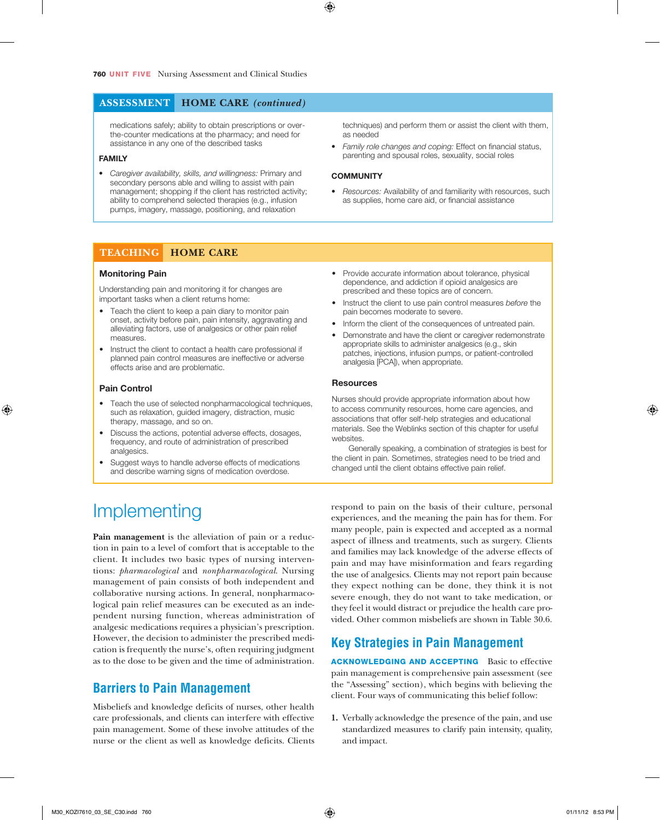### **ASSESSMENT HOME CARE** *(continued)*

medications safely; ability to obtain prescriptions or over‐ the‐counter medications at the pharmacy; and need for assistance in any one of the described tasks

#### **FAMILY**

• Caregiver availability, skills, and willingness: Primary and secondary persons able and willing to assist with pain management; shopping if the client has restricted activity; ability to comprehend selected therapies (e.g., infusion pumps, imagery, massage, positioning, and relaxation

techniques) and perform them or assist the client with them, as needed

• Family role changes and coping: Effect on financial status, parenting and spousal roles, sexuality, social roles

#### **COMMUNITY**

• Resources: Availability of and familiarity with resources, such as supplies, home care aid, or financial assistance

### **TEACHING HOME CARE**

#### **Monitoring Pain**

 Understanding pain and monitoring it for changes are important tasks when a client returns home:

- Teach the client to keep a pain diary to monitor pain onset, activity before pain, pain intensity, aggravating and alleviating factors, use of analgesics or other pain relief measures.
- Instruct the client to contact a health care professional if planned pain control measures are ineffective or adverse effects arise and are problematic.

### **Pain Control**

- Teach the use of selected nonpharmacological techniques, such as relaxation, guided imagery, distraction, music therapy, massage, and so on.
- Discuss the actions, potential adverse effects, dosages, frequency, and route of administration of prescribed analgesics.
- Suggest ways to handle adverse effects of medications and describe warning signs of medication overdose.

# Implementing

**Pain management** is the alleviation of pain or a reduction in pain to a level of comfort that is acceptable to the client. It includes two basic types of nursing interventions: *pharmacological* and *nonpharmacological*. Nursing management of pain consists of both independent and collaborative nursing actions. In general, nonpharmacological pain relief measures can be executed as an independent nursing function, whereas administration of analgesic medications requires a physician's prescription. However, the decision to administer the prescribed medication is frequently the nurse's, often requiring judgment as to the dose to be given and the time of administration.

### **Barriers to Pain Management**

Misbeliefs and knowledge deficits of nurses, other health care professionals, and clients can interfere with effective pain management. Some of these involve attitudes of the nurse or the client as well as knowledge deficits. Clients

- Provide accurate information about tolerance, physical dependence, and addiction if opioid analgesics are prescribed and these topics are of concern.
- Instruct the client to use pain control measures before the pain becomes moderate to severe.
- Inform the client of the consequences of untreated pain.
- Demonstrate and have the client or caregiver redemonstrate appropriate skills to administer analgesics (e.g., skin patches, injections, infusion pumps, or patient‐controlled analgesia [PCA]), when appropriate.

### **Resources**

 Nurses should provide appropriate information about how to access community resources, home care agencies, and associations that offer self‐help strategies and educational materials. See the Weblinks section of this chapter for useful websites.

 Generally speaking, a combination of strategies is best for the client in pain. Sometimes, strategies need to be tried and changed until the client obtains effective pain relief.

respond to pain on the basis of their culture, personal experiences, and the meaning the pain has for them. For many people, pain is expected and accepted as a normal aspect of illness and treatments, such as surgery. Clients and families may lack knowledge of the adverse effects of pain and may have misinformation and fears regarding the use of analgesics. Clients may not report pain because they expect nothing can be done, they think it is not severe enough, they do not want to take medication, or they feel it would distract or prejudice the health care provided. Other common misbeliefs are shown in Table 30.6 .

### **Key Strategies in Pain Management**

**ACKNOWLEDGING AND ACCEPTING** Basic to effective pain management is comprehensive pain assessment (see the "Assessing" section), which begins with believing the client. Four ways of communicating this belief follow:

**1.** Verbally acknowledge the presence of the pain, and use standardized measures to clarify pain intensity, quality, and impact.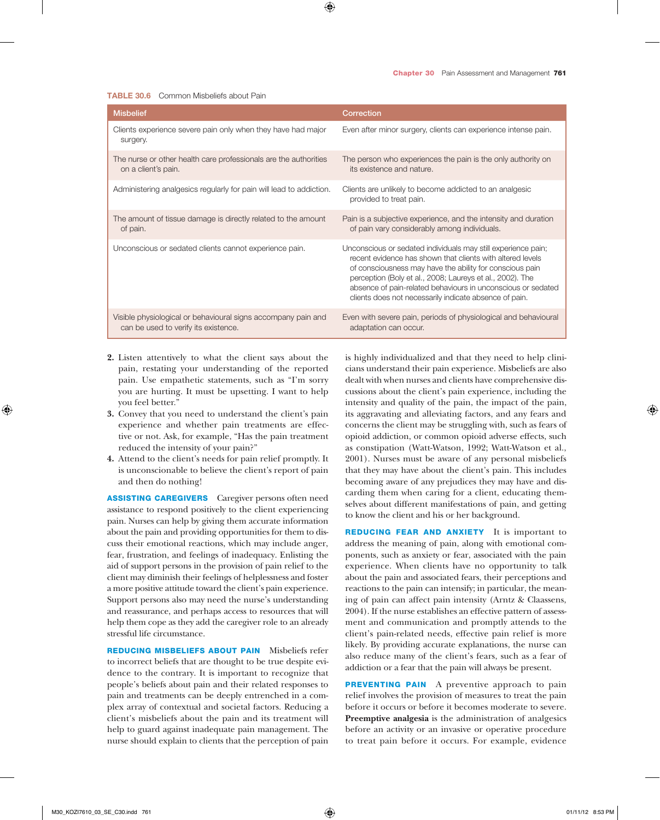#### **TABLE 30.6** Common Misbeliefs about Pain

| <b>Misbelief</b>                                                                                      | Correction                                                                                                                                                                                                                                                                                                                                                                     |
|-------------------------------------------------------------------------------------------------------|--------------------------------------------------------------------------------------------------------------------------------------------------------------------------------------------------------------------------------------------------------------------------------------------------------------------------------------------------------------------------------|
| Clients experience severe pain only when they have had major<br>surgery.                              | Even after minor surgery, clients can experience intense pain.                                                                                                                                                                                                                                                                                                                 |
| The nurse or other health care professionals are the authorities<br>on a client's pain.               | The person who experiences the pain is the only authority on<br>its existence and nature.                                                                                                                                                                                                                                                                                      |
| Administering analgesics regularly for pain will lead to addiction.                                   | Clients are unlikely to become addicted to an analgesic<br>provided to treat pain.                                                                                                                                                                                                                                                                                             |
| The amount of tissue damage is directly related to the amount<br>of pain.                             | Pain is a subjective experience, and the intensity and duration<br>of pain vary considerably among individuals.                                                                                                                                                                                                                                                                |
| Unconscious or sedated clients cannot experience pain.                                                | Unconscious or sedated individuals may still experience pain;<br>recent evidence has shown that clients with altered levels<br>of consciousness may have the ability for conscious pain<br>perception (Boly et al., 2008; Laureys et al., 2002). The<br>absence of pain-related behaviours in unconscious or sedated<br>clients does not necessarily indicate absence of pain. |
| Visible physiological or behavioural signs accompany pain and<br>can be used to verify its existence. | Even with severe pain, periods of physiological and behavioural<br>adaptation can occur.                                                                                                                                                                                                                                                                                       |

- **2.** Listen attentively to what the client says about the pain, restating your understanding of the reported pain. Use empathetic statements, such as "I'm sorry you are hurting. It must be upsetting. I want to help you feel better."
- **3.** Convey that you need to understand the client's pain experience and whether pain treatments are effective or not. Ask, for example, "Has the pain treatment reduced the intensity of your pain?"
- **4.** Attend to the client's needs for pain relief promptly. It is unconscionable to believe the client's report of pain and then do nothing!

**ASSISTING CAREGIVERS** Caregiver persons often need assistance to respond positively to the client experiencing pain. Nurses can help by giving them accurate information about the pain and providing opportunities for them to discuss their emotional reactions, which may include anger, fear, frustration, and feelings of inadequacy. Enlisting the aid of support persons in the provision of pain relief to the client may diminish their feelings of helplessness and foster a more positive attitude toward the client's pain experience. Support persons also may need the nurse's understanding and reassurance, and perhaps access to resources that will help them cope as they add the caregiver role to an already stressful life circumstance.

**REDUCING MISBELIEFS ABOUT PAIN** Misbeliefs refer to incorrect beliefs that are thought to be true despite evidence to the contrary. It is important to recognize that people's beliefs about pain and their related responses to pain and treatments can be deeply entrenched in a complex array of contextual and societal factors. Reducing a client's misbeliefs about the pain and its treatment will help to guard against inadequate pain management. The nurse should explain to clients that the perception of pain is highly individualized and that they need to help clinicians understand their pain experience. Misbeliefs are also dealt with when nurses and clients have comprehensive discussions about the client's pain experience, including the intensity and quality of the pain, the impact of the pain, its aggravating and alleviating factors, and any fears and concerns the client may be struggling with, such as fears of opioid addiction, or common opioid adverse effects, such as constipation (Watt‐Watson, 1992; Watt‐Watson et al., 2001). Nurses must be aware of any personal misbeliefs that they may have about the client's pain. This includes becoming aware of any prejudices they may have and discarding them when caring for a client, educating themselves about different manifestations of pain, and getting to know the client and his or her background.

**REDUCING FEAR AND ANXIETY** It is important to address the meaning of pain, along with emotional components, such as anxiety or fear, associated with the pain experience. When clients have no opportunity to talk about the pain and associated fears, their perceptions and reactions to the pain can intensify; in particular, the meaning of pain can affect pain intensity (Arntz & Claassens, 2004). If the nurse establishes an effective pattern of assessment and communication and promptly attends to the client's pain‐related needs, effective pain relief is more likely. By providing accurate explanations, the nurse can also reduce many of the client's fears, such as a fear of addiction or a fear that the pain will always be present.

**PREVENTING PAIN** A preventive approach to pain relief involves the provision of measures to treat the pain before it occurs or before it becomes moderate to severe. **Preemptive analgesia** is the administration of analgesics before an activity or an invasive or operative procedure to treat pain before it occurs. For example, evidence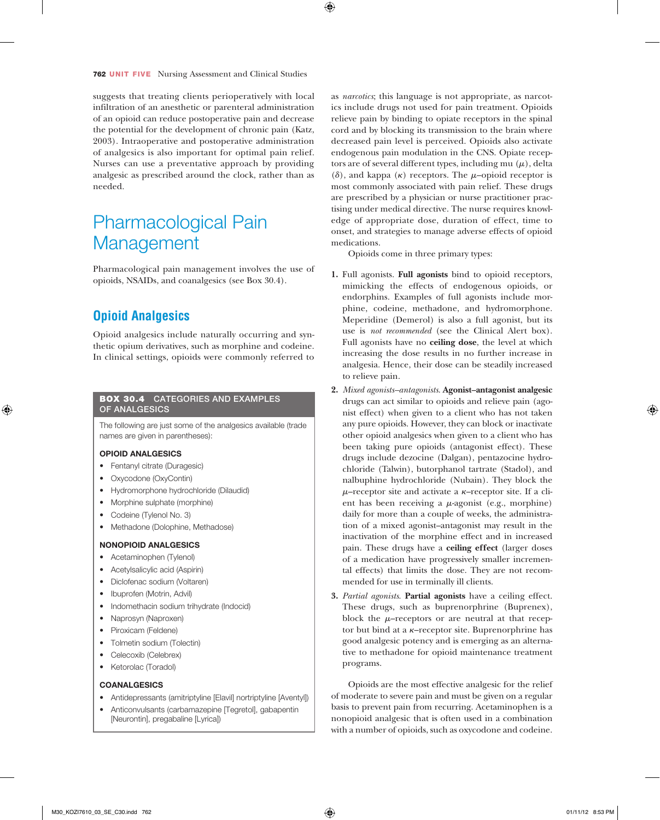suggests that treating clients perioperatively with local infiltration of an anesthetic or parenteral administration of an opioid can reduce postoperative pain and decrease the potential for the development of chronic pain (Katz, 2003). Intraoperative and postoperative administration of analgesics is also important for optimal pain relief. Nurses can use a preventative approach by providing analgesic as prescribed around the clock, rather than as needed.

# Pharmacological Pain Management

Pharmacological pain management involves the use of opioids, NSAIDs, and coanalgesics (see Box 30.4 ).

### **Opioid Analgesics**

Opioid analgesics include naturally occurring and synthetic opium derivatives, such as morphine and codeine. In clinical settings, opioids were commonly referred to

### **BOX 30.4 CATEGORIES AND EXAMPLES OF ANALGESICS**

The following are just some of the analgesics available (trade names are given in parentheses):

### **OPIOID ANALGESICS**

- Fentanyl citrate (Duragesic)
- Oxycodone (OxyContin)
- Hydromorphone hydrochloride (Dilaudid)
- Morphine sulphate (morphine)
- Codeine (Tylenol No. 3)
- Methadone (Dolophine, Methadose)

### **NONOPIOID ANALGESICS**

- Acetaminophen (Tylenol)
- Acetylsalicylic acid (Aspirin)
- Diclofenac sodium (Voltaren)
- Ibuprofen (Motrin, Advil)
- Indomethacin sodium trihydrate (Indocid)
- Naprosyn (Naproxen)
- Piroxicam (Feldene)
- Tolmetin sodium (Tolectin)
- Celecoxib (Celebrex)
- Ketorolac (Toradol)

### **COANALGESICS**

- Antidepressants (amitriptyline [Elavil] nortriptyline [Aventyl])
- Anticonvulsants (carbamazepine [Tegretol], gabapentin [Neurontin], pregabaline [Lyrica])

as *narcotics*; this language is not appropriate, as narcotics include drugs not used for pain treatment. Opioids relieve pain by binding to opiate receptors in the spinal cord and by blocking its transmission to the brain where decreased pain level is perceived. Opioids also activate endogenous pain modulation in the CNS. Opiate receptors are of several different types, including mu  $(\mu)$ , delta  $(\delta)$ , and kappa  $(\kappa)$  receptors. The  $\mu$ -opioid receptor is most commonly associated with pain relief. These drugs are prescribed by a physician or nurse practitioner practising under medical directive. The nurse requires knowledge of appropriate dose, duration of effect, time to onset, and strategies to manage adverse effects of opioid medications.

Opioids come in three primary types:

- **1.** Full agonists. **Full agonists** bind to opioid receptors, mimicking the effects of endogenous opioids, or endorphins. Examples of full agonists include morphine, codeine, methadone, and hydromorphone. Meperidine (Demerol) is also a full agonist, but its use is *not recommended* (see the Clinical Alert box). Full agonists have no **ceiling dose**, the level at which increasing the dose results in no further increase in analgesia. Hence, their dose can be steadily increased to relieve pain.
- **2.** *Mixed agonists–antagonists*. **Agonist–antagonist analgesic** drugs can act similar to opioids and relieve pain (agonist effect) when given to a client who has not taken any pure opioids. However, they can block or inactivate other opioid analgesics when given to a client who has been taking pure opioids (antagonist effect). These drugs include dezocine (Dalgan), pentazocine hydrochloride (Talwin), butorphanol tartrate (Stadol), and nalbuphine hydrochloride (Nubain). They block the  $\mu$ –receptor site and activate a  $\kappa$ –receptor site. If a client has been receiving a  $\mu$ -agonist (e.g., morphine) daily for more than a couple of weeks, the administration of a mixed agonist–antagonist may result in the inactivation of the morphine effect and in increased pain. These drugs have a **ceiling effect** (larger doses of a medication have progressively smaller incremental effects) that limits the dose. They are not recommended for use in terminally ill clients.
- **3.** *Partial agonists*. **Partial agonists** have a ceiling effect. These drugs, such as buprenorphrine (Buprenex), block the  $\mu$ –receptors or are neutral at that receptor but bind at a  $\kappa$ –receptor site. Buprenorphrine has good analgesic potency and is emerging as an alternative to methadone for opioid maintenance treatment programs.

Opioids are the most effective analgesic for the relief of moderate to severe pain and must be given on a regular basis to prevent pain from recurring. Acetaminophen is a nonopioid analgesic that is often used in a combination with a number of opioids, such as oxycodone and codeine.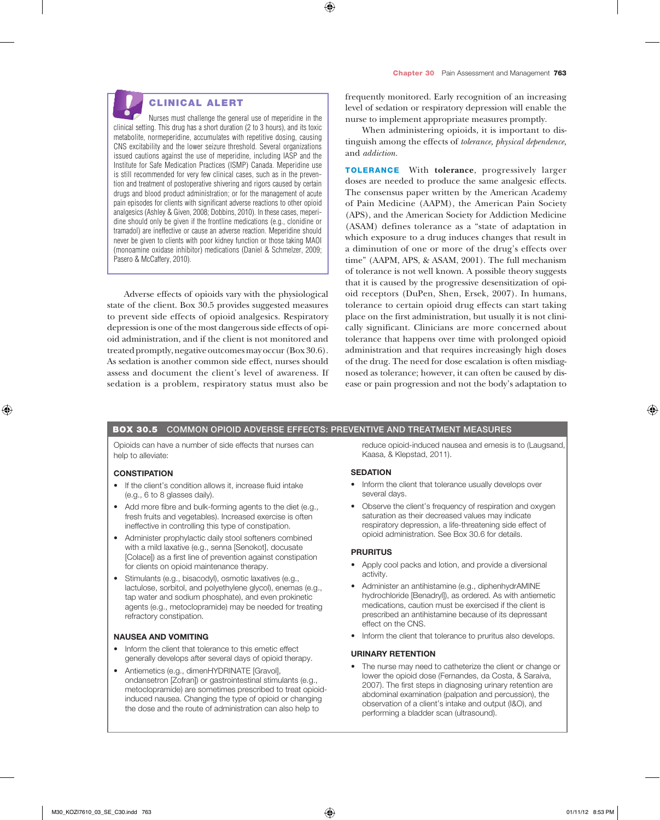### **CL IN ICAL ALERT**

 Nurses must challenge the general use of meperidine in the clinical setting. This drug has a short duration (2 to 3 hours), and its toxic metabolite, normeperidine, accumulates with repetitive dosing, causing CNS excitability and the lower seizure threshold. Several organizations issued cautions against the use of meperidine, including IASP and the Institute for Safe Medication Practices (ISMP) Canada. Meperidine use is still recommended for very few clinical cases, such as in the prevention and treatment of postoperative shivering and rigors caused by certain drugs and blood product administration; or for the management of acute pain episodes for clients with significant adverse reactions to other opioid analgesics (Ashley & Given, 2008; Dobbins, 2010). In these cases, meperidine should only be given if the frontline medications (e.g., clonidine or tramadol) are ineffective or cause an adverse reaction. Meperidine should never be given to clients with poor kidney function or those taking MAOI (monoamine oxidase inhibitor) medications (Daniel & Schmelzer, 2009; Pasero & McCaffery, 2010).

Adverse effects of opioids vary with the physiological state of the client. Box 30.5 provides suggested measures to prevent side effects of opioid analgesics. Respiratory depression is one of the most dangerous side effects of opioid administration, and if the client is not monitored and treated promptly, negative outcomes may occur (Box 30.6). As sedation is another common side effect, nurses should assess and document the client's level of awareness. If sedation is a problem, respiratory status must also be

frequently monitored. Early recognition of an increasing level of sedation or respiratory depression will enable the nurse to implement appropriate measures promptly.

When administering opioids, it is important to distinguish among the effects of *tolerance, physical dependence,* and *addiction.*

**TOLERANCE** With **tolerance**, progressively larger doses are needed to produce the same analgesic effects. The consensus paper written by the American Academy of Pain Medicine (AAPM), the American Pain Society (APS), and the American Society for Addiction Medicine (ASAM) defines tolerance as a "state of adaptation in which exposure to a drug induces changes that result in a diminution of one or more of the drug's effects over time" (AAPM, APS, & ASAM, 2001). The full mechanism of tolerance is not well known. A possible theory suggests that it is caused by the progressive desensitization of opioid receptors (DuPen, Shen, Ersek, 2007). In humans, tolerance to certain opioid drug effects can start taking place on the first administration, but usually it is not clinically significant. Clinicians are more concerned about tolerance that happens over time with prolonged opioid administration and that requires increasingly high doses of the drug. The need for dose escalation is often misdiagnosed as tolerance; however, it can often be caused by disease or pain progression and not the body's adaptation to

#### **BOX 30.5 COMMON OPIOID ADVERSE EFFECTS: PREVENTIVE AND TREATMENT MEASURES**

Opioids can have a number of side effects that nurses can help to alleviate:

#### **CONSTIPATION**

- If the client's condition allows it, increase fluid intake (e.g., 6 to 8 glasses daily).
- Add more fibre and bulk-forming agents to the diet (e.g., fresh fruits and vegetables). Increased exercise is often ineffective in controlling this type of constipation.
- Administer prophylactic daily stool softeners combined with a mild laxative (e.g., senna [Senokot], docusate [Colace]) as a first line of prevention against constipation for clients on opioid maintenance therapy.
- Stimulants (e.g., bisacodyl), osmotic laxatives (e.g., lactulose, sorbitol, and polyethylene glycol), enemas (e.g., tap water and sodium phosphate), and even prokinetic agents (e.g., metoclopramide) may be needed for treating refractory constipation.

#### **NAUSEA AND VOMITING**

- Inform the client that tolerance to this emetic effect generally develops after several days of opioid therapy.
- Antiemetics (e.g., dimenHYDRINATE [Gravol], ondansetron [Zofran]) or gastrointestinal stimulants (e.g., metoclopramide) are sometimes prescribed to treat opioidinduced nausea. Changing the type of opioid or changing the dose and the route of administration can also help to

reduce opioid-induced nausea and emesis is to (Laugsand, Kaasa, & Klepstad, 2011).

#### **SEDATION**

- Inform the client that tolerance usually develops over several days.
- Observe the client's frequency of respiration and oxygen saturation as their decreased values may indicate respiratory depression, a life‐threatening side effect of opioid administration. See Box 30.6 for details.

#### **PRURITUS**

- Apply cool packs and lotion, and provide a diversional activity.
- Administer an antihistamine (e.g., diphenhydrAMINE hydrochloride [Benadryl]), as ordered. As with antiemetic medications, caution must be exercised if the client is prescribed an antihistamine because of its depressant effect on the CNS.
- Inform the client that tolerance to pruritus also develops.

#### **URINARY RETENTION**

• The nurse may need to catheterize the client or change or lower the opioid dose (Fernandes, da Costa, & Saraiva, 2007). The first steps in diagnosing urinary retention are abdominal examination (palpation and percussion), the observation of a client's intake and output (I&O), and performing a bladder scan (ultrasound).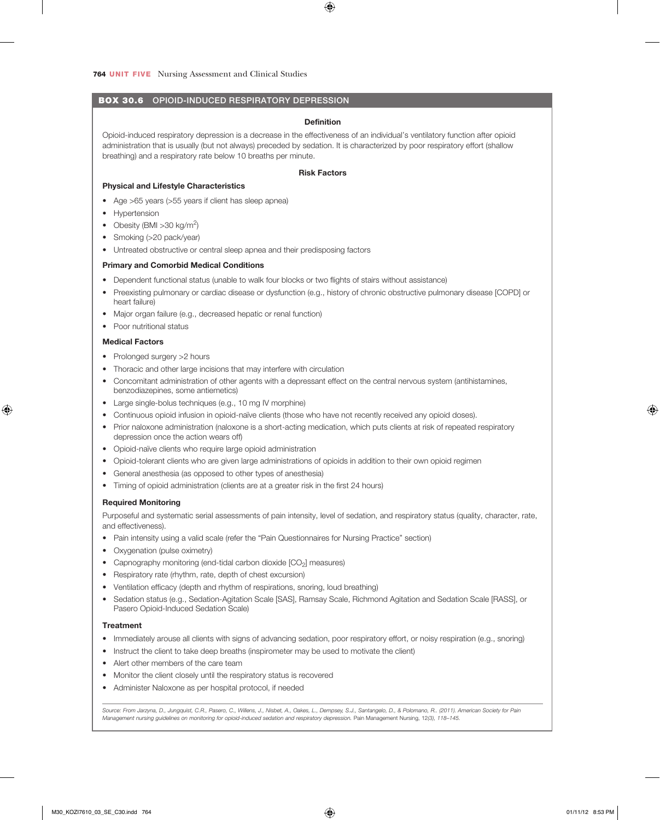### **BOX 30.6 OPIOID‐INDUCED RESPIRATORY DEPRESSION**

#### **Definition**

 Opioid‐induced respiratory depression is a decrease in the effectiveness of an individual's ventilatory function after opioid administration that is usually (but not always) preceded by sedation. It is characterized by poor respiratory effort (shallow breathing) and a respiratory rate below 10 breaths per minute.

#### **Risk Factors**

### **Physical and Lifestyle Characteristics**

- Age >65 years (>55 years if client has sleep apnea)
- Hypertension
- Obesity (BMI > 30 kg/m<sup>2</sup>)
- Smoking (>20 pack/year)
- Untreated obstructive or central sleep apnea and their predisposing factors

#### **Primary and Comorbid Medical Conditions**

- Dependent functional status (unable to walk four blocks or two flights of stairs without assistance)
- Preexisting pulmonary or cardiac disease or dysfunction (e.g., history of chronic obstructive pulmonary disease [COPD] or heart failure)
- Major organ failure (e.g., decreased hepatic or renal function)
- Poor nutritional status

#### **Medical Factors**

- Prolonged surgery >2 hours
- Thoracic and other large incisions that may interfere with circulation
- Concomitant administration of other agents with a depressant effect on the central nervous system (antihistamines, benzodiazepines, some antiemetics)
- Large single-bolus techniques (e.g., 10 mg IV morphine)
- Continuous opioid infusion in opioid‐naïve clients (those who have not recently received any opioid doses).
- Prior naloxone administration (naloxone is a short-acting medication, which puts clients at risk of repeated respiratory depression once the action wears off)
- Opioid-naïve clients who require large opioid administration
- Opioid-tolerant clients who are given large administrations of opioids in addition to their own opioid regimen
- General anesthesia (as opposed to other types of anesthesia)
- Timing of opioid administration (clients are at a greater risk in the first 24 hours)

#### **Required Monitoring**

 Purposeful and systematic serial assessments of pain intensity, level of sedation, and respiratory status (quality, character, rate, and effectiveness).

- Pain intensity using a valid scale (refer the "Pain Questionnaires for Nursing Practice" section)
- Oxygenation (pulse oximetry)
- Capnography monitoring (end-tidal carbon dioxide [CO<sub>2</sub>] measures)
- Respiratory rate (rhythm, rate, depth of chest excursion)
- Ventilation efficacy (depth and rhythm of respirations, snoring, loud breathing)
- Sedation status (e.g., Sedation‐Agitation Scale [SAS], Ramsay Scale, Richmond Agitation and Sedation Scale [RASS], or Pasero Opioid‐Induced Sedation Scale)

#### **Treatment**

- Immediately arouse all clients with signs of advancing sedation, poor respiratory effort, or noisy respiration (e.g., snoring)
- Instruct the client to take deep breaths (inspirometer may be used to motivate the client)
- Alert other members of the care team
- Monitor the client closely until the respiratory status is recovered
- Administer Naloxone as per hospital protocol, if needed

Source: From Jarzyna, D., Jungquist, C.R., Pasero, C., Willens, J., Nisbet, A., Oakes, L., Dempsey, S.J., Santangelo, D., & Polomano, R.. (2011). American Society for Pain Management nursing guidelines on monitoring for opioid‐induced sedation and respiratory depression. Pain Management Nursing, 12(3), 118–145.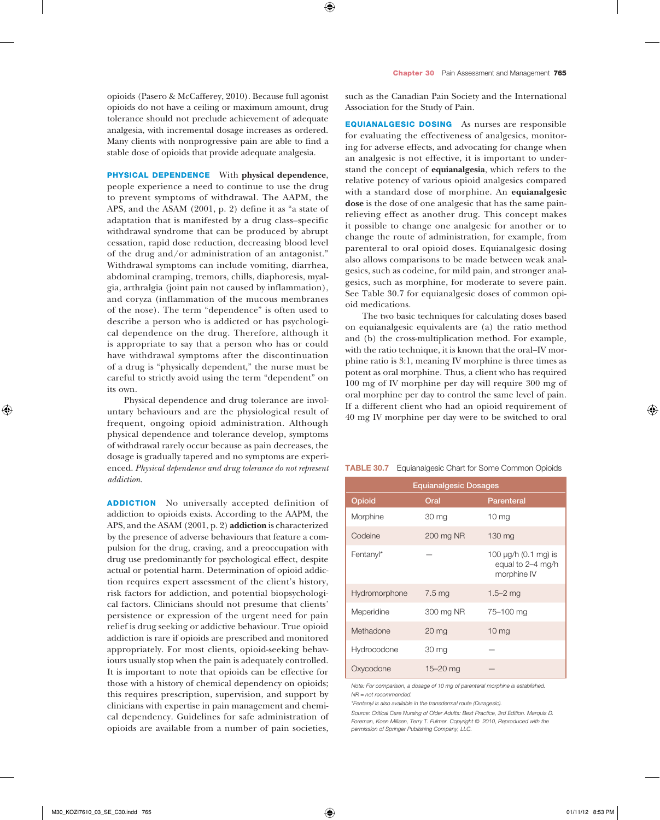**PHYSICAL DEPENDENCE** With physical dependence, people experience a need to continue to use the drug to prevent symptoms of withdrawal. The AAPM, the APS, and the ASAM (2001, p. 2) define it as "a state of adaptation that is manifested by a drug class–specific withdrawal syndrome that can be produced by abrupt cessation, rapid dose reduction, decreasing blood level of the drug and/or administration of an antagonist." Withdrawal symptoms can include vomiting, diarrhea, abdominal cramping, tremors, chills, diaphoresis, myalgia, arthralgia (joint pain not caused by inflammation), and coryza (inflammation of the mucous membranes of the nose). The term "dependence" is often used to describe a person who is addicted or has psychological dependence on the drug. Therefore, although it is appropriate to say that a person who has or could have withdrawal symptoms after the discontinuation of a drug is "physically dependent," the nurse must be careful to strictly avoid using the term "dependent" on its own.

Physical dependence and drug tolerance are involuntary behaviours and are the physiological result of frequent, ongoing opioid administration. Although physical dependence and tolerance develop, symptoms of withdrawal rarely occur because as pain decreases, the dosage is gradually tapered and no symptoms are experienced. *Physical dependence and drug tolerance do not represent addiction* .

**ADDICTION** No universally accepted definition of addiction to opioids exists. According to the AAPM, the APS, and the ASAM (2001, p. 2) **addiction** is characterized by the presence of adverse behaviours that feature a compulsion for the drug, craving, and a preoccupation with drug use predominantly for psychological effect, despite actual or potential harm. Determination of opioid addiction requires expert assessment of the client's history, risk factors for addiction, and potential biopsychological factors. Clinicians should not presume that clients' persistence or expression of the urgent need for pain relief is drug seeking or addictive behaviour. True opioid addiction is rare if opioids are prescribed and monitored appropriately. For most clients, opioid‐seeking behaviours usually stop when the pain is adequately controlled. It is important to note that opioids can be effective for those with a history of chemical dependency on opioids; this requires prescription, supervision, and support by clinicians with expertise in pain management and chemical dependency. Guidelines for safe administration of opioids are available from a number of pain societies, such as the Canadian Pain Society and the International Association for the Study of Pain.

**EQUIANALGESIC DOSING** As nurses are responsible for evaluating the effectiveness of analgesics, monitoring for adverse effects, and advocating for change when an analgesic is not effective, it is important to understand the concept of **equianalgesia**, which refers to the relative potency of various opioid analgesics compared with a standard dose of morphine. An **equianalgesic dose** is the dose of one analgesic that has the same pain‐ relieving effect as another drug. This concept makes it possible to change one analgesic for another or to change the route of administration, for example, from parenteral to oral opioid doses. Equianalgesic dosing also allows comparisons to be made between weak analgesics, such as codeine, for mild pain, and stronger analgesics, such as morphine, for moderate to severe pain. See Table 30.7 for equianalgesic doses of common opioid medications.

The two basic techniques for calculating doses based on equianalgesic equivalents are (a) the ratio method and (b) the cross‐multiplication method. For example, with the ratio technique, it is known that the oral–IV morphine ratio is 3:1, meaning IV morphine is three times as potent as oral morphine. Thus, a client who has required 100 mg of IV morphine per day will require 300 mg of oral morphine per day to control the same level of pain. If a different client who had an opioid requirement of 40 mg IV morphine per day were to be switched to oral

#### **TABLE 30.7** Equianalgesic Chart for Some Common Opioids

| <b>Equianalgesic Dosages</b> |                     |                                                               |  |
|------------------------------|---------------------|---------------------------------------------------------------|--|
| Opioid                       | Oral                | Parenteral                                                    |  |
| Morphine                     | 30 mg               | $10 \mathrm{mg}$                                              |  |
| Codeine                      | 200 mg NR           | 130 mg                                                        |  |
| Fentanyl*                    |                     | 100 $\mu$ g/h (0.1 mg) is<br>equal to 2-4 mg/h<br>morphine IV |  |
| Hydromorphone                | $7.5 \,\mathrm{mg}$ | $1.5 - 2$ mg                                                  |  |
| Meperidine                   | 300 mg NR           | 75-100 mg                                                     |  |
| Methadone                    | $20 \mathrm{mg}$    | $10 \mathrm{mg}$                                              |  |
| Hydrocodone                  | 30 mg               |                                                               |  |
| Oxycodone                    | $15 - 20$ mg        |                                                               |  |

Note: For comparison, a dosage of 10 mg of parenteral morphine is established. NR = not recommended.

\*Fentanyl is also available in the transdermal route (Duragesic).

 Source: Critical Care Nursing of Older Adults: Best Practice, 3rd Edition. Marquis D. Foreman, Koen Milisen, Terry T. Fulmer. Copyright © 2010, Reproduced with the permission of Springer Publishing Company, LLC.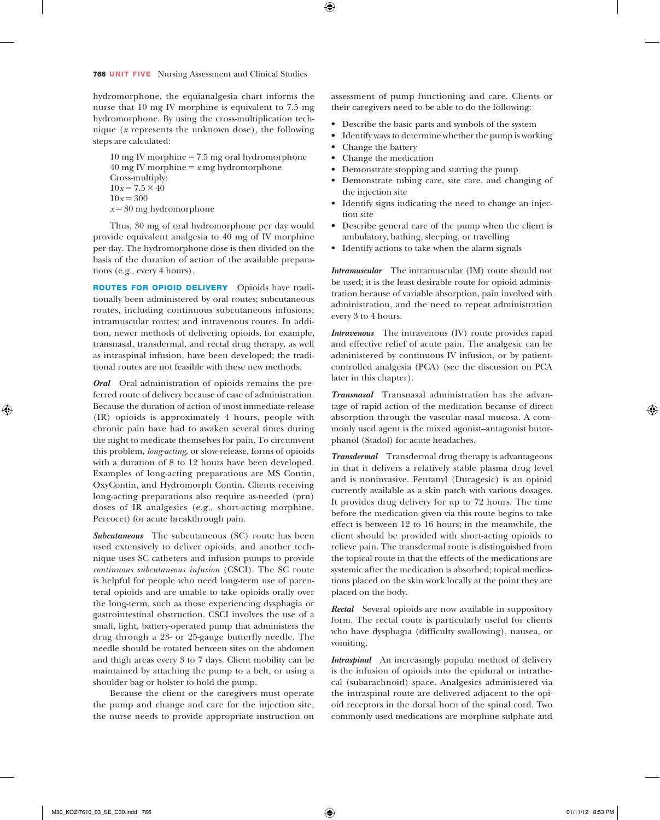hydromorphone, the equianalgesia chart informs the nurse that 10 mg IV morphine is equivalent to 7.5 mg hydromorphone. By using the cross-multiplication technique ( *x* represents the unknown dose), the following steps are calculated:

 $10 \text{ mg}$  IV morphine  $= 7.5 \text{ mg}$  oral hydromorphone  $40 \text{ mg}$  IV morphine  $= x \text{ mg}$  hydromorphone Cross‐multiply:  $10x = 7.5 \times 40$  $10x = 300$ *x* = 30 mg hydromorphone

Thus, 30 mg of oral hydromorphone per day would provide equivalent analgesia to 40 mg of IV morphine per day. The hydromorphone dose is then divided on the basis of the duration of action of the available preparations (e.g., every 4 hours).

**ROUTES FOR OPIOID DELIVERY** Opioids have traditionally been administered by oral routes; subcutaneous routes, including continuous subcutaneous infusions; intramuscular routes; and intravenous routes. In addition, newer methods of delivering opioids, for example, transnasal, transdermal, and rectal drug therapy, as well as intraspinal infusion, have been developed; the traditional routes are not feasible with these new methods.

*Oral* Oral administration of opioids remains the preferred route of delivery because of ease of administration. Because the duration of action of most immediate‐release (IR) opioids is approximately 4 hours, people with chronic pain have had to awaken several times during the night to medicate themselves for pain. To circumvent this problem, *long‐acting,* or slow‐release, forms of opioids with a duration of 8 to 12 hours have been developed. Examples of long‐acting preparations are MS Contin, OxyContin, and Hydromorph Contin. Clients receiving long‐acting preparations also require as‐needed (prn) doses of IR analgesics (e.g., short-acting morphine, Percocet) for acute breakthrough pain.

*Subcutaneous* The subcutaneous (SC) route has been used extensively to deliver opioids, and another technique uses SC catheters and infusion pumps to provide *continuous subcutaneous infusion* (CSCI). The SC route is helpful for people who need long-term use of parenteral opioids and are unable to take opioids orally over the long‐term, such as those experiencing dysphagia or gastrointestinal obstruction. CSCI involves the use of a small, light, battery-operated pump that administers the drug through a 23‐ or 25‐gauge butterfly needle. The needle should be rotated between sites on the abdomen and thigh areas every 3 to 7 days. Client mobility can be maintained by attaching the pump to a belt, or using a shoulder bag or holster to hold the pump.

Because the client or the caregivers must operate the pump and change and care for the injection site, the nurse needs to provide appropriate instruction on assessment of pump functioning and care. Clients or their caregivers need to be able to do the following:

- Describe the basic parts and symbols of the system
- Identify ways to determine whether the pump is working
- Change the battery
- Change the medication
- Demonstrate stopping and starting the pump
- Demonstrate tubing care, site care, and changing of the injection site
- Identify signs indicating the need to change an injection site
- Describe general care of the pump when the client is ambulatory, bathing, sleeping, or travelling
- Identify actions to take when the alarm signals

*Intramuscular* The intramuscular (IM) route should not be used; it is the least desirable route for opioid administration because of variable absorption, pain involved with administration, and the need to repeat administration every 3 to 4 hours.

*Intravenous* The intravenous (IV) route provides rapid and effective relief of acute pain. The analgesic can be administered by continuous IV infusion, or by patient‐ controlled analgesia (PCA) (see the discussion on PCA later in this chapter).

*Transnasal* Transnasal administration has the advantage of rapid action of the medication because of direct absorption through the vascular nasal mucosa. A commonly used agent is the mixed agonist–antagonist butorphanol (Stadol) for acute headaches.

*Transdermal* Transdermal drug therapy is advantageous in that it delivers a relatively stable plasma drug level and is noninvasive. Fentanyl (Duragesic) is an opioid currently available as a skin patch with various dosages. It provides drug delivery for up to 72 hours. The time before the medication given via this route begins to take effect is between 12 to 16 hours; in the meanwhile, the client should be provided with short‐acting opioids to relieve pain. The transdermal route is distinguished from the topical route in that the effects of the medications are systemic after the medication is absorbed; topical medications placed on the skin work locally at the point they are placed on the body.

*Rectal* Several opioids are now available in suppository form. The rectal route is particularly useful for clients who have dysphagia (difficulty swallowing), nausea, or vomiting.

*Intraspinal* An increasingly popular method of delivery is the infusion of opioids into the epidural or intrathecal (subarachnoid) space. Analgesics administered via the intraspinal route are delivered adjacent to the opioid receptors in the dorsal horn of the spinal cord. Two commonly used medications are morphine sulphate and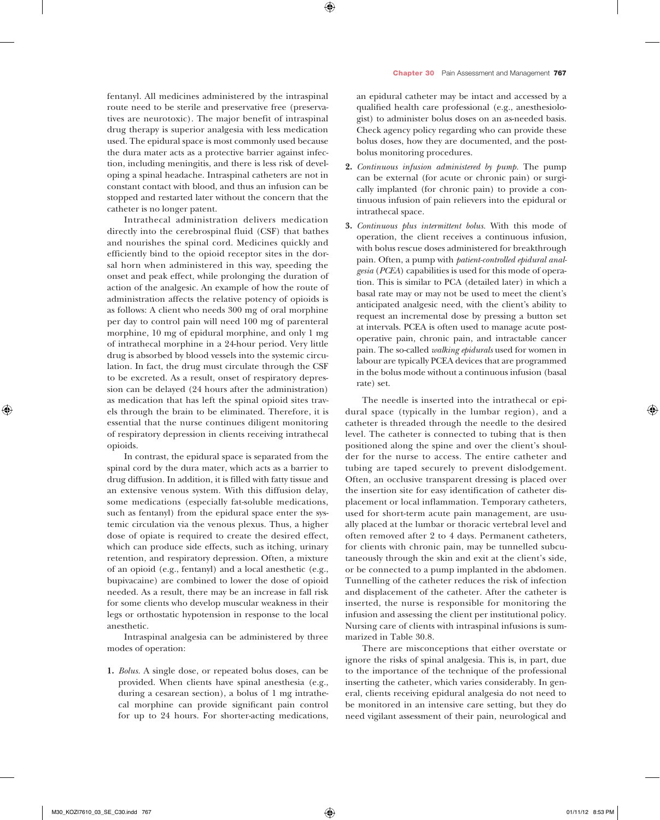fentanyl. All medicines administered by the intraspinal route need to be sterile and preservative free (preservatives are neurotoxic). The major benefit of intraspinal drug therapy is superior analgesia with less medication used. The epidural space is most commonly used because the dura mater acts as a protective barrier against infection, including meningitis, and there is less risk of developing a spinal headache. Intraspinal catheters are not in constant contact with blood, and thus an infusion can be stopped and restarted later without the concern that the catheter is no longer patent.

Intrathecal administration delivers medication directly into the cerebrospinal fluid (CSF) that bathes and nourishes the spinal cord. Medicines quickly and efficiently bind to the opioid receptor sites in the dorsal horn when administered in this way, speeding the onset and peak effect, while prolonging the duration of action of the analgesic. An example of how the route of administration affects the relative potency of opioids is as follows: A client who needs 300 mg of oral morphine per day to control pain will need 100 mg of parenteral morphine, 10 mg of epidural morphine, and only 1 mg of intrathecal morphine in a 24‐hour period. Very little drug is absorbed by blood vessels into the systemic circulation. In fact, the drug must circulate through the CSF to be excreted. As a result, onset of respiratory depression can be delayed (24 hours after the administration) as medication that has left the spinal opioid sites travels through the brain to be eliminated. Therefore, it is essential that the nurse continues diligent monitoring of respiratory depression in clients receiving intrathecal opioids.

In contrast, the epidural space is separated from the spinal cord by the dura mater, which acts as a barrier to drug diffusion. In addition, it is filled with fatty tissue and an extensive venous system. With this diffusion delay, some medications (especially fat-soluble medications, such as fentanyl) from the epidural space enter the systemic circulation via the venous plexus. Thus, a higher dose of opiate is required to create the desired effect, which can produce side effects, such as itching, urinary retention, and respiratory depression. Often, a mixture of an opioid (e.g., fentanyl) and a local anesthetic (e.g., bupivacaine) are combined to lower the dose of opioid needed. As a result, there may be an increase in fall risk for some clients who develop muscular weakness in their legs or orthostatic hypotension in response to the local anesthetic.

Intraspinal analgesia can be administered by three modes of operation:

**1.** *Bolus.* A single dose, or repeated bolus doses, can be provided. When clients have spinal anesthesia (e.g., during a cesarean section), a bolus of 1 mg intrathecal morphine can provide significant pain control for up to 24 hours. For shorter-acting medications,

an epidural catheter may be intact and accessed by a qualified health care professional (e.g., anesthesiologist) to administer bolus doses on an as‐needed basis. Check agency policy regarding who can provide these bolus doses, how they are documented, and the postbolus monitoring procedures.

- **2.** *Continuous infusion administered by pump.* The pump can be external (for acute or chronic pain) or surgically implanted (for chronic pain) to provide a continuous infusion of pain relievers into the epidural or intrathecal space.
- **3.** *Continuous plus intermittent bolus.* With this mode of operation, the client receives a continuous infusion, with bolus rescue doses administered for breakthrough pain. Often, a pump with *patient‐controlled epidural analgesia* ( *PCEA*) capabilities is used for this mode of operation. This is similar to PCA (detailed later) in which a basal rate may or may not be used to meet the client's anticipated analgesic need, with the client's ability to request an incremental dose by pressing a button set at intervals. PCEA is often used to manage acute postoperative pain, chronic pain, and intractable cancer pain. The so‐called *walking epidurals* used for women in labour are typically PCEA devices that are programmed in the bolus mode without a continuous infusion (basal rate) set.

The needle is inserted into the intrathecal or epidural space (typically in the lumbar region), and a catheter is threaded through the needle to the desired level. The catheter is connected to tubing that is then positioned along the spine and over the client's shoulder for the nurse to access. The entire catheter and tubing are taped securely to prevent dislodgement. Often, an occlusive transparent dressing is placed over the insertion site for easy identification of catheter displacement or local inflammation. Temporary catheters, used for short‐term acute pain management, are usually placed at the lumbar or thoracic vertebral level and often removed after 2 to 4 days. Permanent catheters, for clients with chronic pain, may be tunnelled subcutaneously through the skin and exit at the client's side, or be connected to a pump implanted in the abdomen. Tunnelling of the catheter reduces the risk of infection and displacement of the catheter. After the catheter is inserted, the nurse is responsible for monitoring the infusion and assessing the client per institutional policy. Nursing care of clients with intraspinal infusions is summarized in Table 30.8 .

There are misconceptions that either overstate or ignore the risks of spinal analgesia. This is, in part, due to the importance of the technique of the professional inserting the catheter, which varies considerably. In general, clients receiving epidural analgesia do not need to be monitored in an intensive care setting, but they do need vigilant assessment of their pain, neurological and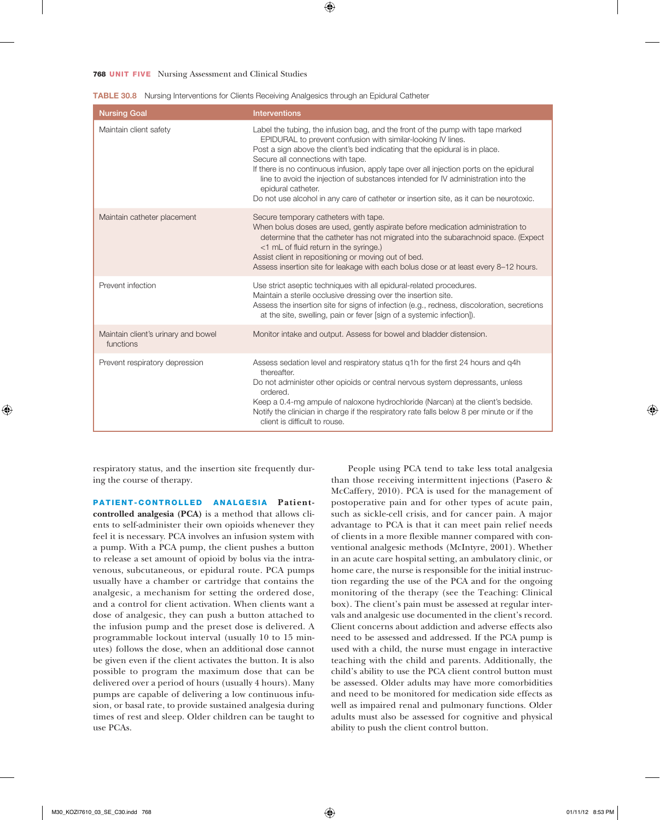| <b>TABLE 30.8</b> Nursing Interventions for Clients Receiving Analgesics through an Epidural Catheter |  |  |  |
|-------------------------------------------------------------------------------------------------------|--|--|--|
|                                                                                                       |  |  |  |

| <b>Nursing Goal</b>                              | <b>Interventions</b>                                                                                                                                                                                                                                                                                                                                                                                                                                                                                                                                                |
|--------------------------------------------------|---------------------------------------------------------------------------------------------------------------------------------------------------------------------------------------------------------------------------------------------------------------------------------------------------------------------------------------------------------------------------------------------------------------------------------------------------------------------------------------------------------------------------------------------------------------------|
| Maintain client safety                           | Label the tubing, the infusion bag, and the front of the pump with tape marked<br>EPIDURAL to prevent confusion with similar-looking IV lines.<br>Post a sign above the client's bed indicating that the epidural is in place.<br>Secure all connections with tape.<br>If there is no continuous infusion, apply tape over all injection ports on the epidural<br>line to avoid the injection of substances intended for IV administration into the<br>epidural catheter.<br>Do not use alcohol in any care of catheter or insertion site, as it can be neurotoxic. |
| Maintain catheter placement                      | Secure temporary catheters with tape.<br>When bolus doses are used, gently aspirate before medication administration to<br>determine that the catheter has not migrated into the subarachnoid space. (Expect<br><1 mL of fluid return in the syringe.)<br>Assist client in repositioning or moving out of bed.<br>Assess insertion site for leakage with each bolus dose or at least every 8-12 hours.                                                                                                                                                              |
| Prevent infection                                | Use strict aseptic techniques with all epidural-related procedures.<br>Maintain a sterile occlusive dressing over the insertion site.<br>Assess the insertion site for signs of infection (e.g., redness, discoloration, secretions<br>at the site, swelling, pain or fever [sign of a systemic infection]).                                                                                                                                                                                                                                                        |
| Maintain client's urinary and bowel<br>functions | Monitor intake and output. Assess for bowel and bladder distension.                                                                                                                                                                                                                                                                                                                                                                                                                                                                                                 |
| Prevent respiratory depression                   | Assess sedation level and respiratory status q1h for the first 24 hours and q4h<br>thereafter.<br>Do not administer other opioids or central nervous system depressants, unless<br>ordered.<br>Keep a 0.4-mg ampule of naloxone hydrochloride (Narcan) at the client's bedside.<br>Notify the clinician in charge if the respiratory rate falls below 8 per minute or if the<br>client is difficult to rouse.                                                                                                                                                       |

respiratory status, and the insertion site frequently during the course of therapy.

**PATIENT‐CONTROLLED ANALGESIA Patient‐ controlled analgesia (PCA)** is a method that allows clients to self‐administer their own opioids whenever they feel it is necessary. PCA involves an infusion system with a pump. With a PCA pump, the client pushes a button to release a set amount of opioid by bolus via the intravenous, subcutaneous, or epidural route. PCA pumps usually have a chamber or cartridge that contains the analgesic, a mechanism for setting the ordered dose, and a control for client activation. When clients want a dose of analgesic, they can push a button attached to the infusion pump and the preset dose is delivered. A programmable lockout interval (usually 10 to 15 minutes) follows the dose, when an additional dose cannot be given even if the client activates the button. It is also possible to program the maximum dose that can be delivered over a period of hours (usually 4 hours). Many pumps are capable of delivering a low continuous infusion, or basal rate, to provide sustained analgesia during times of rest and sleep. Older children can be taught to use PCAs.

People using PCA tend to take less total analgesia than those receiving intermittent injections (Pasero & McCaffery, 2010). PCA is used for the management of postoperative pain and for other types of acute pain, such as sickle‐cell crisis, and for cancer pain. A major advantage to PCA is that it can meet pain relief needs of clients in a more flexible manner compared with conventional analgesic methods (McIntyre, 2001). Whether in an acute care hospital setting, an ambulatory clinic, or home care, the nurse is responsible for the initial instruction regarding the use of the PCA and for the ongoing monitoring of the therapy (see the Teaching: Clinical box). The client's pain must be assessed at regular intervals and analgesic use documented in the client's record. Client concerns about addiction and adverse effects also need to be assessed and addressed. If the PCA pump is used with a child, the nurse must engage in interactive teaching with the child and parents. Additionally, the child's ability to use the PCA client control button must be assessed. Older adults may have more comorbidities and need to be monitored for medication side effects as well as impaired renal and pulmonary functions. Older adults must also be assessed for cognitive and physical ability to push the client control button.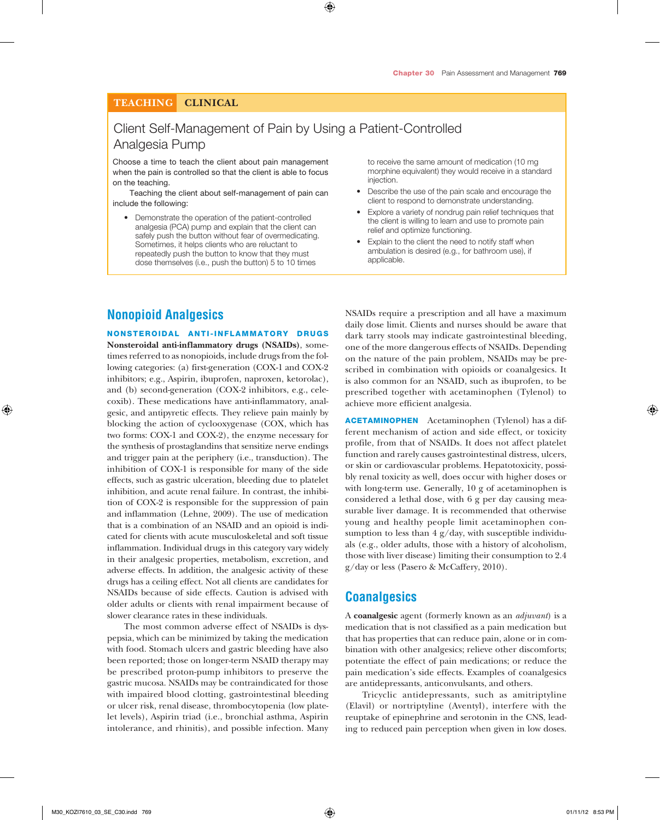### **TEACHING CLINICAL**

### Client Self‐Management of Pain by Using a Patient‐Controlled Analgesia Pump

Choose a time to teach the client about pain management when the pain is controlled so that the client is able to focus on the teaching.

Teaching the client about self‐management of pain can include the following:

● Demonstrate the operation of the patient-controlled analgesia (PCA) pump and explain that the client can safely push the button without fear of overmedicating. Sometimes, it helps clients who are reluctant to repeatedly push the button to know that they must dose themselves (i.e., push the button) 5 to 10 times

to receive the same amount of medication (10 mg morphine equivalent) they would receive in a standard injection.

- Describe the use of the pain scale and encourage the client to respond to demonstrate understanding.
- Explore a variety of nondrug pain relief techniques that the client is willing to learn and use to promote pain relief and optimize functioning.
- Explain to the client the need to notify staff when ambulation is desired (e.g., for bathroom use), if applicable.

### **Nonopioid Analgesics**

**NONSTEROIDAL ANTI-INFLAMMATORY DRUGS Nonsteroidal anti-inflammatory drugs (NSAIDs)**, sometimes referred to as nonopioids, include drugs from the following categories: (a) first‐generation (COX‐1 and COX‐2 inhibitors; e.g., Aspirin, ibuprofen, naproxen, ketorolac), and (b) second‐generation (COX‐2 inhibitors, e.g., celecoxib). These medications have anti-inflammatory, analgesic, and antipyretic effects. They relieve pain mainly by blocking the action of cyclooxygenase (COX, which has two forms: COX‐1 and COX‐2), the enzyme necessary for the synthesis of prostaglandins that sensitize nerve endings and trigger pain at the periphery (i.e., transduction). The inhibition of COX‐1 is responsible for many of the side effects, such as gastric ulceration, bleeding due to platelet inhibition, and acute renal failure. In contrast, the inhibition of COX‐2 is responsible for the suppression of pain and inflammation (Lehne, 2009). The use of medication that is a combination of an NSAID and an opioid is indicated for clients with acute musculoskeletal and soft tissue inflammation. Individual drugs in this category vary widely in their analgesic properties, metabolism, excretion, and adverse effects. In addition, the analgesic activity of these drugs has a ceiling effect. Not all clients are candidates for NSAIDs because of side effects. Caution is advised with older adults or clients with renal impairment because of slower clearance rates in these individuals.

The most common adverse effect of NSAIDs is dyspepsia, which can be minimized by taking the medication with food. Stomach ulcers and gastric bleeding have also been reported; those on longer-term NSAID therapy may be prescribed proton‐pump inhibitors to preserve the gastric mucosa. NSAIDs may be contraindicated for those with impaired blood clotting, gastrointestinal bleeding or ulcer risk, renal disease, thrombocytopenia (low platelet levels), Aspirin triad (i.e., bronchial asthma, Aspirin intolerance, and rhinitis), and possible infection. Many

NSAIDs require a prescription and all have a maximum daily dose limit. Clients and nurses should be aware that dark tarry stools may indicate gastrointestinal bleeding, one of the more dangerous effects of NSAIDs. Depending on the nature of the pain problem, NSAIDs may be prescribed in combination with opioids or coanalgesics. It is also common for an NSAID, such as ibuprofen, to be prescribed together with acetaminophen (Tylenol) to achieve more efficient analgesia.

**ACETAMINOPHEN** Acetaminophen (Tylenol) has a different mechanism of action and side effect, or toxicity profile, from that of NSAIDs. It does not affect platelet function and rarely causes gastrointestinal distress, ulcers, or skin or cardiovascular problems. Hepatotoxicity, possibly renal toxicity as well, does occur with higher doses or with long-term use. Generally, 10 g of acetaminophen is considered a lethal dose, with 6 g per day causing measurable liver damage. It is recommended that otherwise young and healthy people limit acetaminophen consumption to less than  $4 \frac{g}{day}$ , with susceptible individuals (e.g., older adults, those with a history of alcoholism, those with liver disease) limiting their consumption to 2.4 g/day or less (Pasero & McCaffery, 2010).

### **Coanalgesics**

A **coanalgesic** agent (formerly known as an *adjuvant*) is a medication that is not classified as a pain medication but that has properties that can reduce pain, alone or in combination with other analgesics; relieve other discomforts; potentiate the effect of pain medications; or reduce the pain medication's side effects. Examples of coanalgesics are antidepressants, anticonvulsants, and others.

Tricyclic antidepressants, such as amitriptyline (Elavil) or nortriptyline (Aventyl), interfere with the reuptake of epinephrine and serotonin in the CNS, leading to reduced pain perception when given in low doses.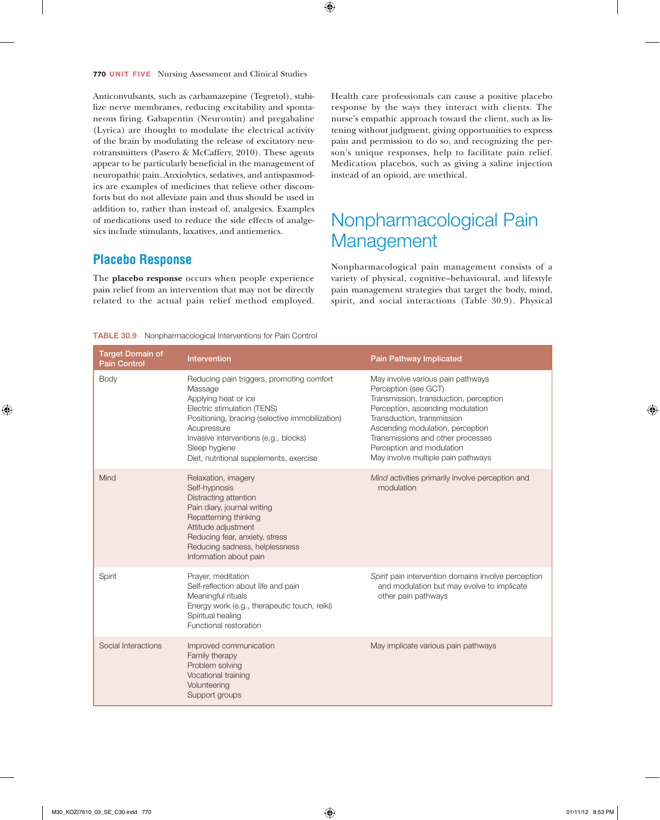Anticonvulsants, such as carbamazepine (Tegretol), stabilize nerve membranes, reducing excitability and spontaneous firing. Gabapentin (Neurontin) and pregabaline (Lyrica) are thought to modulate the electrical activity of the brain by modulating the release of excitatory neurotransmitters (Pasero & McCaffery, 2010). These agents appear to be particularly beneficial in the management of neuropathic pain. Anxiolytics, sedatives, and antispasmodics are examples of medicines that relieve other discomforts but do not alleviate pain and thus should be used in addition to, rather than instead of, analgesics. Examples of medications used to reduce the side effects of analgesics include stimulants, laxatives, and antiemetics.

### **Placebo Response**

The **placebo response** occurs when people experience pain relief from an intervention that may not be directly related to the actual pain relief method employed. Health care professionals can cause a positive placebo response by the ways they interact with clients. The nurse's empathic approach toward the client, such as listening without judgment, giving opportunities to express pain and permission to do so, and recognizing the person's unique responses, help to facilitate pain relief. Medication placebos, such as giving a saline injection instead of an opioid, are unethical.

# Nonpharmacological Pain **Management**

Nonpharmacological pain management consists of a variety of physical, cognitive–behavioural, and lifestyle pain management strategies that target the body, mind, spirit, and social interactions (Table 30.9). Physical

|  | <b>TABLE 30.9</b> Nonpharmacological Interventions for Pain Control |  |  |
|--|---------------------------------------------------------------------|--|--|
|--|---------------------------------------------------------------------|--|--|

| <b>Target Domain of</b><br><b>Pain Control</b> | <b>Intervention</b>                                                                                                                                                                                                                                                                | <b>Pain Pathway Implicated</b>                                                                                                                                                                                                                                                                                    |
|------------------------------------------------|------------------------------------------------------------------------------------------------------------------------------------------------------------------------------------------------------------------------------------------------------------------------------------|-------------------------------------------------------------------------------------------------------------------------------------------------------------------------------------------------------------------------------------------------------------------------------------------------------------------|
| Body                                           | Reducing pain triggers, promoting comfort<br>Massage<br>Applying heat or ice<br>Electric stimulation (TENS)<br>Positioning, bracing (selective immobilization)<br>Acupressure<br>Invasive interventions (e.g., blocks)<br>Sleep hygiene<br>Diet, nutritional supplements, exercise | May involve various pain pathways<br>Perception (see GCT)<br>Transmission, transduction, perception<br>Perception, ascending modulation<br>Transduction, transmission<br>Ascending modulation, perception<br>Transmissions and other processes<br>Perception and modulation<br>May involve multiple pain pathways |
| Mind                                           | Relaxation, imagery<br>Self-hypnosis<br>Distracting attention<br>Pain diary, journal writing<br>Repatterning thinking<br>Attitude adjustment<br>Reducing fear, anxiety, stress<br>Reducing sadness, helplessness<br>Information about pain                                         | Mind activities primarily involve perception and<br>modulation                                                                                                                                                                                                                                                    |
| Spirit                                         | Prayer, meditation<br>Self-reflection about life and pain<br>Meaningful rituals<br>Energy work (e.g., therapeutic touch, reiki)<br>Spiritual healing<br>Functional restoration                                                                                                     | Spirit pain intervention domains involve perception<br>and modulation but may evolve to implicate<br>other pain pathways                                                                                                                                                                                          |
| Social Interactions                            | Improved communication<br>Family therapy<br>Problem solving<br>Vocational training<br>Volunteering<br>Support groups                                                                                                                                                               | May implicate various pain pathways                                                                                                                                                                                                                                                                               |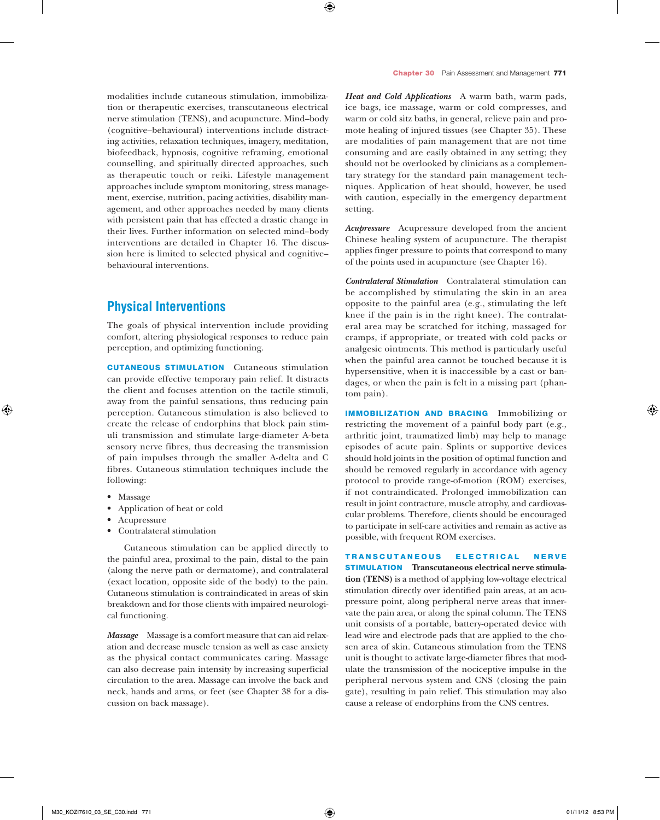modalities include cutaneous stimulation, immobilization or therapeutic exercises, transcutaneous electrical nerve stimulation (TENS), and acupuncture. Mind–body (cognitive–behavioural) interventions include distracting activities, relaxation techniques, imagery, meditation, biofeedback, hypnosis, cognitive reframing, emotional counselling, and spiritually directed approaches, such as therapeutic touch or reiki. Lifestyle management approaches include symptom monitoring, stress management, exercise, nutrition, pacing activities, disability management, and other approaches needed by many clients with persistent pain that has effected a drastic change in their lives. Further information on selected mind–body interventions are detailed in Chapter 16 . The discussion here is limited to selected physical and cognitive– behavioural interventions.

### **Physical Interventions**

The goals of physical intervention include providing comfort, altering physiological responses to reduce pain perception, and optimizing functioning.

**CUTANEOUS STIMULATION** Cutaneous stimulation can provide effective temporary pain relief. It distracts the client and focuses attention on the tactile stimuli, away from the painful sensations, thus reducing pain perception. Cutaneous stimulation is also believed to create the release of endorphins that block pain stimuli transmission and stimulate large‐diameter A‐beta sensory nerve fibres, thus decreasing the transmission of pain impulses through the smaller A‐delta and C fibres. Cutaneous stimulation techniques include the following:

- Massage
- Application of heat or cold
- Acupressure
- Contralateral stimulation

Cutaneous stimulation can be applied directly to the painful area, proximal to the pain, distal to the pain (along the nerve path or dermatome), and contralateral (exact location, opposite side of the body) to the pain. Cutaneous stimulation is contraindicated in areas of skin breakdown and for those clients with impaired neurological functioning.

*Massage* Massage is a comfort measure that can aid relaxation and decrease muscle tension as well as ease anxiety as the physical contact communicates caring. Massage can also decrease pain intensity by increasing superficial circulation to the area. Massage can involve the back and neck, hands and arms, or feet (see Chapter 38 for a discussion on back massage).

*Heat and Cold Applications* A warm bath, warm pads, ice bags, ice massage, warm or cold compresses, and warm or cold sitz baths, in general, relieve pain and promote healing of injured tissues (see Chapter 35). These are modalities of pain management that are not time consuming and are easily obtained in any setting; they should not be overlooked by clinicians as a complementary strategy for the standard pain management techniques. Application of heat should, however, be used with caution, especially in the emergency department setting.

*Acupressure* Acupressure developed from the ancient Chinese healing system of acupuncture. The therapist applies finger pressure to points that correspond to many of the points used in acupuncture (see Chapter 16).

*Contralateral Stimulation* Contralateral stimulation can be accomplished by stimulating the skin in an area opposite to the painful area (e.g., stimulating the left knee if the pain is in the right knee). The contralateral area may be scratched for itching, massaged for cramps, if appropriate, or treated with cold packs or analgesic ointments. This method is particularly useful when the painful area cannot be touched because it is hypersensitive, when it is inaccessible by a cast or bandages, or when the pain is felt in a missing part (phantom pain).

**IMMOBILIZATION AND BRACING** Immobilizing or restricting the movement of a painful body part (e.g., arthritic joint, traumatized limb) may help to manage episodes of acute pain. Splints or supportive devices should hold joints in the position of optimal function and should be removed regularly in accordance with agency protocol to provide range‐of‐motion (ROM) exercises, if not contraindicated. Prolonged immobilization can result in joint contracture, muscle atrophy, and cardiovascular problems. Therefore, clients should be encouraged to participate in self‐care activities and remain as active as possible, with frequent ROM exercises.

**TRANSCUTANEOUS ELECTRICAL NERVE STIMULATION Transcutaneous electrical nerve stimulation (TENS)** is a method of applying low‐voltage electrical stimulation directly over identified pain areas, at an acupressure point, along peripheral nerve areas that innervate the pain area, or along the spinal column. The TENS unit consists of a portable, battery‐operated device with lead wire and electrode pads that are applied to the chosen area of skin. Cutaneous stimulation from the TENS unit is thought to activate large‐diameter fibres that modulate the transmission of the nociceptive impulse in the peripheral nervous system and CNS (closing the pain gate), resulting in pain relief. This stimulation may also cause a release of endorphins from the CNS centres.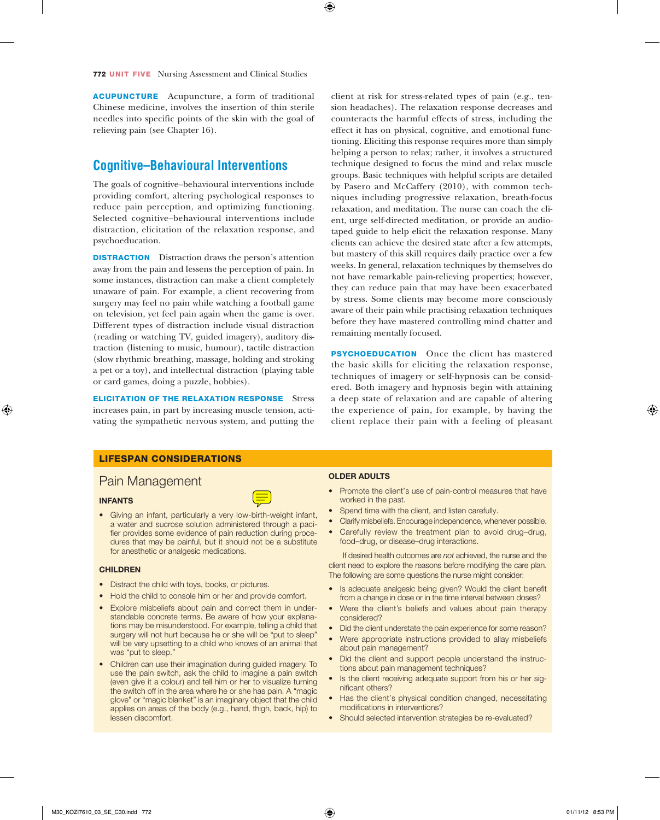**ACUPUNCTURE** Acupuncture, a form of traditional Chinese medicine, involves the insertion of thin sterile needles into specific points of the skin with the goal of relieving pain (see Chapter 16).

### **Cognitive–Behavioural Interventions**

The goals of cognitive–behavioural interventions include providing comfort, altering psychological responses to reduce pain perception, and optimizing functioning. Selected cognitive–behavioural interventions include distraction, elicitation of the relaxation response, and psychoeducation.

**DISTRACTION** Distraction draws the person's attention away from the pain and lessens the perception of pain. In some instances, distraction can make a client completely unaware of pain. For example, a client recovering from surgery may feel no pain while watching a football game on television, yet feel pain again when the game is over. Different types of distraction include visual distraction (reading or watching TV, guided imagery), auditory distraction (listening to music, humour), tactile distraction (slow rhythmic breathing, massage, holding and stroking a pet or a toy), and intellectual distraction (playing table or card games, doing a puzzle, hobbies).

**ELICITATION OF THE RELAXATION RESPONSE** Stress increases pain, in part by increasing muscle tension, activating the sympathetic nervous system, and putting the client at risk for stress‐related types of pain (e.g., tension headaches). The relaxation response decreases and counteracts the harmful effects of stress, including the effect it has on physical, cognitive, and emotional functioning. Eliciting this response requires more than simply helping a person to relax; rather, it involves a structured technique designed to focus the mind and relax muscle groups. Basic techniques with helpful scripts are detailed by Pasero and McCaffery (2010), with common techniques including progressive relaxation, breath‐focus relaxation, and meditation. The nurse can coach the client, urge self‐directed meditation, or provide an audiotaped guide to help elicit the relaxation response. Many clients can achieve the desired state after a few attempts, but mastery of this skill requires daily practice over a few weeks. In general, relaxation techniques by themselves do not have remarkable pain‐relieving properties; however, they can reduce pain that may have been exacerbated by stress. Some clients may become more consciously aware of their pain while practising relaxation techniques before they have mastered controlling mind chatter and remaining mentally focused.

**PSYCHOEDUCATION** Once the client has mastered the basic skills for eliciting the relaxation response, techniques of imagery or self‐hypnosis can be considered. Both imagery and hypnosis begin with attaining a deep state of relaxation and are capable of altering the experience of pain, for example, by having the client replace their pain with a feeling of pleasant

### **LIFESPAN CONSIDERATIONS**

### Pain Management

### **INFANTS**

• Giving an infant, particularly a very low-birth-weight infant, a water and sucrose solution administered through a pacifier provides some evidence of pain reduction during procedures that may be painful, but it should not be a substitute for anesthetic or analgesic medications.

#### **CHILDREN**

- Distract the child with toys, books, or pictures.
- Hold the child to console him or her and provide comfort.
- Explore misbeliefs about pain and correct them in understandable concrete terms. Be aware of how your explanations may be misunderstood. For example, telling a child that surgery will not hurt because he or she will be "put to sleep" will be very upsetting to a child who knows of an animal that was "put to sleep."
- Children can use their imagination during guided imagery. To use the pain switch, ask the child to imagine a pain switch (even give it a colour) and tell him or her to visualize turning the switch off in the area where he or she has pain. A "magic glove" or "magic blanket" is an imaginary object that the child applies on areas of the body (e.g., hand, thigh, back, hip) to lessen discomfort.

#### **OLDER ADULTS**

- Promote the client's use of pain-control measures that have worked in the past.
- Spend time with the client, and listen carefully.
- Clarify misbeliefs. Encourage independence, whenever possible.
- Carefully review the treatment plan to avoid drug–drug, food–drug, or disease–drug interactions.

If desired health outcomes are not achieved, the nurse and the client need to explore the reasons before modifying the care plan. The following are some questions the nurse might consider:

- Is adequate analgesic being given? Would the client benefit from a change in dose or in the time interval between doses?
- Were the client's beliefs and values about pain therapy considered?
- Did the client understate the pain experience for some reason?
- Were appropriate instructions provided to allay misbeliefs about pain management?
- Did the client and support people understand the instructions about pain management techniques?
- Is the client receiving adequate support from his or her significant others?
- Has the client's physical condition changed, necessitating modifications in interventions?
- Should selected intervention strategies be re-evaluated?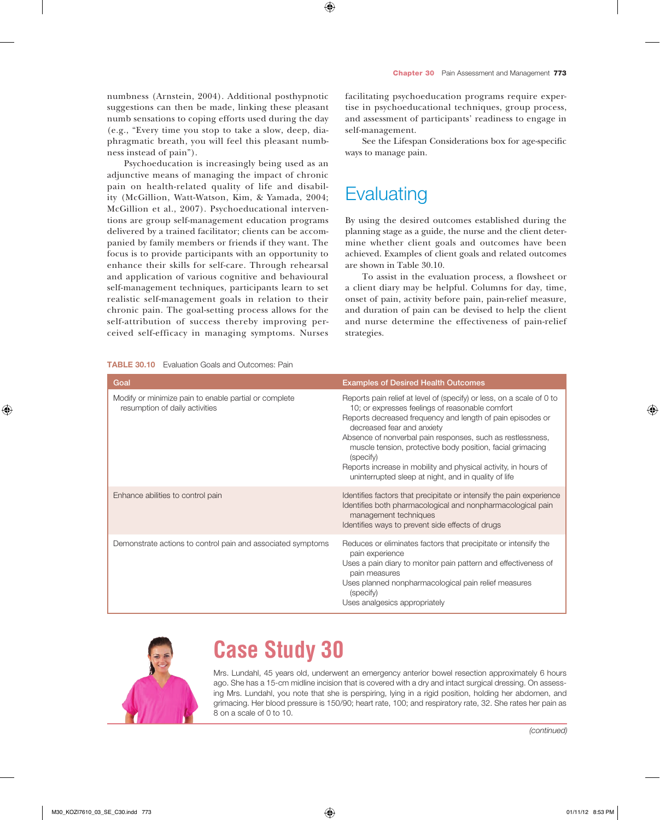numbness (Arnstein, 2004). Additional posthypnotic suggestions can then be made, linking these pleasant numb sensations to coping efforts used during the day (e.g., "Every time you stop to take a slow, deep, diaphragmatic breath, you will feel this pleasant numbness instead of pain").

Psychoeducation is increasingly being used as an adjunctive means of managing the impact of chronic pain on health‐related quality of life and disability (McGillion, Watt‐Watson, Kim, & Yamada, 2004; McGillion et al., 2007). Psychoeducational interventions are group self‐management education programs delivered by a trained facilitator; clients can be accompanied by family members or friends if they want. The focus is to provide participants with an opportunity to enhance their skills for self‐care. Through rehearsal and application of various cognitive and behavioural self‐management techniques, participants learn to set realistic self‐management goals in relation to their chronic pain. The goal‐setting process allows for the self‐attribution of success thereby improving perceived self‐efficacy in managing symptoms. Nurses

| <b>TABLE 30.10</b> | Evaluation Goals and Outcomes: Pain |  |  |  |
|--------------------|-------------------------------------|--|--|--|
|--------------------|-------------------------------------|--|--|--|

facilitating psychoeducation programs require expertise in psychoeducational techniques, group process, and assessment of participants' readiness to engage in self‐management.

See the Lifespan Considerations box for age-specific ways to manage pain.

# **Evaluating**

By using the desired outcomes established during the planning stage as a guide, the nurse and the client determine whether client goals and outcomes have been achieved. Examples of client goals and related outcomes are shown in Table 30.10.

To assist in the evaluation process, a flowsheet or a client diary may be helpful. Columns for day, time, onset of pain, activity before pain, pain‐relief measure, and duration of pain can be devised to help the client and nurse determine the effectiveness of pain‐relief strategies.

| Goal                                                                                    | <b>Examples of Desired Health Outcomes</b>                                                                                                                                                                                                                                                                                                                                                                                                                                               |
|-----------------------------------------------------------------------------------------|------------------------------------------------------------------------------------------------------------------------------------------------------------------------------------------------------------------------------------------------------------------------------------------------------------------------------------------------------------------------------------------------------------------------------------------------------------------------------------------|
| Modify or minimize pain to enable partial or complete<br>resumption of daily activities | Reports pain relief at level of (specify) or less, on a scale of 0 to<br>10; or expresses feelings of reasonable comfort<br>Reports decreased frequency and length of pain episodes or<br>decreased fear and anxiety<br>Absence of nonverbal pain responses, such as restlessness,<br>muscle tension, protective body position, facial grimacing<br>(specify)<br>Reports increase in mobility and physical activity, in hours of<br>uninterrupted sleep at night, and in quality of life |
| Enhance abilities to control pain                                                       | Identifies factors that precipitate or intensify the pain experience<br>Identifies both pharmacological and nonpharmacological pain<br>management techniques<br>Identifies ways to prevent side effects of drugs                                                                                                                                                                                                                                                                         |
| Demonstrate actions to control pain and associated symptoms                             | Reduces or eliminates factors that precipitate or intensify the<br>pain experience<br>Uses a pain diary to monitor pain pattern and effectiveness of<br>pain measures<br>Uses planned nonpharmacological pain relief measures<br>(specify)<br>Uses analgesics appropriately                                                                                                                                                                                                              |



# **Case Study 30**

Mrs. Lundahl, 45 years old, underwent an emergency anterior bowel resection approximately 6 hours ago. She has a 15-cm midline incision that is covered with a dry and intact surgical dressing. On assessing Mrs. Lundahl, you note that she is perspiring, lying in a rigid position, holding her abdomen, and grimacing. Her blood pressure is 150/90; heart rate, 100; and respiratory rate, 32. She rates her pain as 8 on a scale of 0 to 10.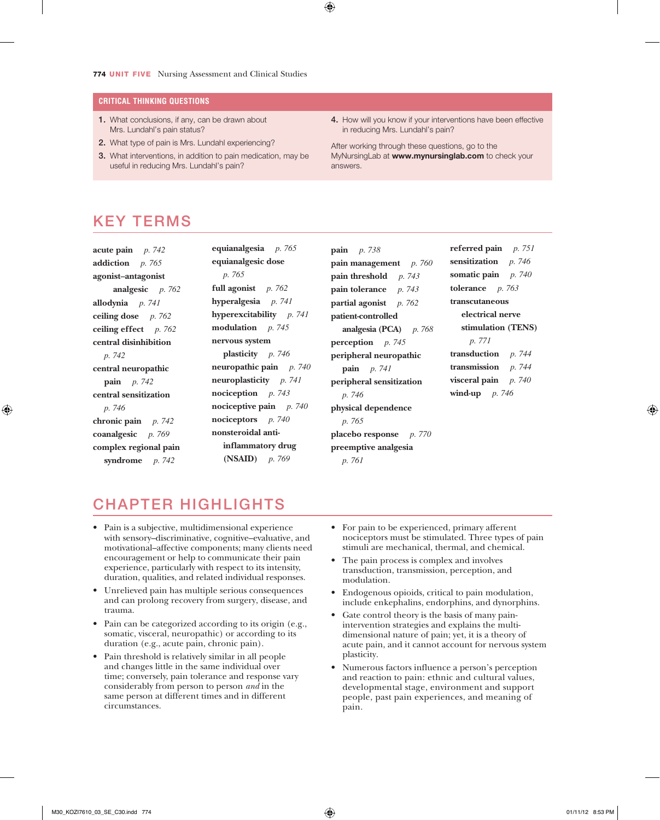### **CRITICAL THINKING QUESTIONS**

- **1.** What conclusions, if any, can be drawn about Mrs. Lundahl's pain status?
- **2.** What type of pain is Mrs. Lundahl experiencing?
- **3.** What interventions, in addition to pain medication, may be useful in reducing Mrs. Lundahl's pain?
- **4.** How will you know if your interventions have been effective in reducing Mrs. Lundahl's pain?

After working through these questions, go to the MyNursingLab at **www.mynursinglab.com** to check your answers.

### **KEY TERMS**

**acute pain** *p. 742* **addiction** *p. 765* **agonist–antagonist analgesic** *p. 762* **allodynia** *p. 741* **ceiling dose** *p. 762* **ceiling effect** *p. 762* **central disinhibition** *p. 742* **central neuropathic pain** *p. 742* **central sensitization** *p. 746* **chronic pain** *p. 742* **coanalgesic** *p. 769* **complex regional pain syndrome** *p. 742*

**equianalgesia** *p. 765* **equianalgesic dose** *p. 765* **full agonist** *p. 762* **hyperalgesia** *p. 741* **hyperexcitability** *p. 741* **modulation** *p. 745* **nervous system plasticity** *p. 746* **neuropathic pain** *p. 740* **neuroplasticity** *p. 741* **nociception** *p. 743* **nociceptive pain** *p. 740* **nociceptors** *p. 740* **nonsteroidal antiinflammatory drug (NSAID)** *p. 769*

**pain** *p. 738* **pain management** *p. 760* **pain threshold** *p. 743* **pain tolerance** *p. 743* **partial agonist** *p. 762* **patient‐controlled analgesia (PCA)** *p. 768* **perception** *p. 745* **peripheral neuropathic pain** *p. 741* **peripheral sensitization** *p. 746* **physical dependence** *p. 765* **placebo response** *p. 770* **preemptive analgesia** *p. 761*

**referred pain** *p. 751* **sensitization** *p. 746* **somatic pain** *p. 740* **tolerance** *p. 763* **transcutaneous electrical nerve stimulation (TENS)**  *p. 771* **transduction** *p. 744* **transmission** *p. 744* **visceral pain** *p. 740* **wind‐up** *p. 746*

### **CHAPTER HIGHLIGHTS**

- Pain is a subjective, multidimensional experience with sensory–discriminative, cognitive–evaluative, and motivational–affective components; many clients need encouragement or help to communicate their pain experience, particularly with respect to its intensity, duration, qualities, and related individual responses.
- Unrelieved pain has multiple serious consequences and can prolong recovery from surgery, disease, and trauma.
- Pain can be categorized according to its origin (e.g., somatic, visceral, neuropathic) or according to its duration (e.g., acute pain, chronic pain).
- Pain threshold is relatively similar in all people and changes little in the same individual over time; conversely, pain tolerance and response vary considerably from person to person *and* in the same person at different times and in different circumstances.
- For pain to be experienced, primary afferent nociceptors must be stimulated. Three types of pain stimuli are mechanical, thermal, and chemical.
- The pain process is complex and involves transduction, transmission, perception, and modulation.
- Endogenous opioids, critical to pain modulation, include enkephalins, endorphins, and dynorphins.
- Gate control theory is the basis of many painintervention strategies and explains the multidimensional nature of pain; yet, it is a theory of acute pain, and it cannot account for nervous system plasticity.
- Numerous factors influence a person's perception and reaction to pain: ethnic and cultural values, developmental stage, environment and support people, past pain experiences, and meaning of pain.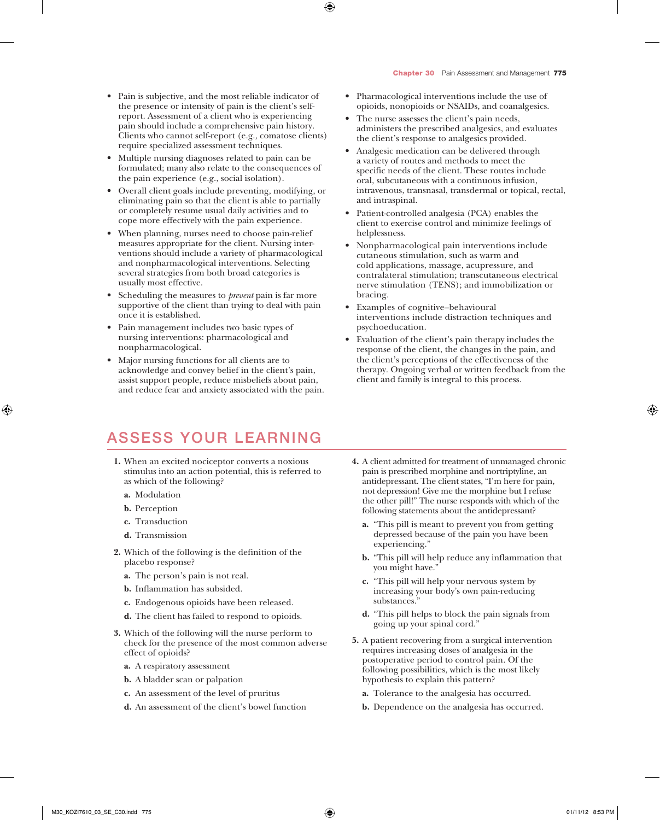- Pain is subjective, and the most reliable indicator of the presence or intensity of pain is the client's self‐ report. Assessment of a client who is experiencing pain should include a comprehensive pain history. Clients who cannot self‐report (e.g., comatose clients) require specialized assessment techniques.
- Multiple nursing diagnoses related to pain can be formulated; many also relate to the consequences of the pain experience (e.g., social isolation).
- Overall client goals include preventing, modifying, or eliminating pain so that the client is able to partially or completely resume usual daily activities and to cope more effectively with the pain experience.
- When planning, nurses need to choose pain-relief measures appropriate for the client. Nursing interventions should include a variety of pharmacological and nonpharmacological interventions. Selecting several strategies from both broad categories is usually most effective.
- Scheduling the measures to *prevent* pain is far more supportive of the client than trying to deal with pain once it is established.
- Pain management includes two basic types of nursing interventions: pharmacological and nonpharmacological.
- Major nursing functions for all clients are to acknowledge and convey belief in the client's pain, assist support people, reduce misbeliefs about pain, and reduce fear and anxiety associated with the pain.
- Pharmacological interventions include the use of opioids, nonopioids or NSAIDs, and coanalgesics.
- The nurse assesses the client's pain needs, administers the prescribed analgesics, and evaluates the client's response to analgesics provided.
- Analgesic medication can be delivered through a variety of routes and methods to meet the specific needs of the client. These routes include oral, subcutaneous with a continuous infusion, intravenous, transnasal, transdermal or topical, rectal, and intraspinal.
- Patient-controlled analgesia (PCA) enables the client to exercise control and minimize feelings of helplessness.
- Nonpharmacological pain interventions include cutaneous stimulation, such as warm and cold applications, massage, acupressure, and contralateral stimulation; transcutaneous electrical nerve stimulation (TENS); and immobilization or bracing.
- Examples of cognitive–behavioural interventions include distraction techniques and psychoeducation.
- Evaluation of the client's pain therapy includes the response of the client, the changes in the pain, and the client's perceptions of the effectiveness of the therapy. Ongoing verbal or written feedback from the client and family is integral to this process.

### **ASSESS YOUR LEARNING**

- **1.** When an excited nociceptor converts a noxious stimulus into an action potential, this is referred to as which of the following?
	- **a.** Modulation
	- **b.** Perception
	- **c.** Transduction
	- **d.** Transmission
- **2.** Which of the following is the definition of the placebo response?
	- **a.** The person's pain is not real.
	- **b.** Inflammation has subsided.
	- **c.** Endogenous opioids have been released.
	- **d.** The client has failed to respond to opioids.
- **3.** Which of the following will the nurse perform to check for the presence of the most common adverse effect of opioids?
	- **a.** A respiratory assessment
	- **b.** A bladder scan or palpation
	- **c.** An assessment of the level of pruritus
	- **d.** An assessment of the client's bowel function
- **4.** A client admitted for treatment of unmanaged chronic pain is prescribed morphine and nortriptyline, an antidepressant. The client states, "I'm here for pain, not depression! Give me the morphine but I refuse the other pill!" The nurse responds with which of the following statements about the antidepressant?
	- **a.** "This pill is meant to prevent you from getting depressed because of the pain you have been experiencing."
	- **b.** "This pill will help reduce any inflammation that you might have."
	- **c.** "This pill will help your nervous system by increasing your body's own pain‐reducing substances."
	- **d.** "This pill helps to block the pain signals from going up your spinal cord."
- **5.** A patient recovering from a surgical intervention requires increasing doses of analgesia in the postoperative period to control pain. Of the following possibilities, which is the most likely hypothesis to explain this pattern?
	- **a.** Tolerance to the analgesia has occurred.
	- **b.** Dependence on the analgesia has occurred.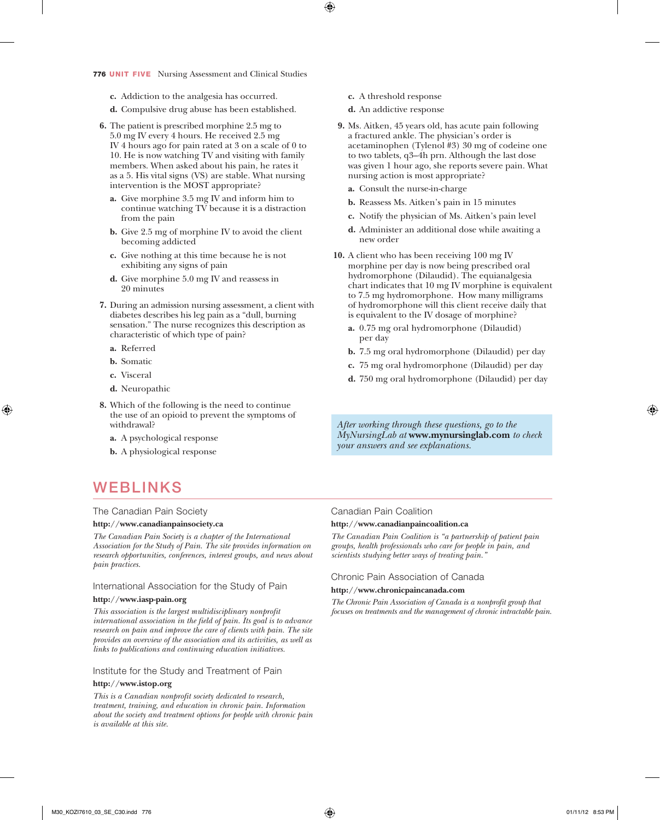- **c.** Addiction to the analgesia has occurred.
- **d.** Compulsive drug abuse has been established.
- **6.** The patient is prescribed morphine 2.5 mg to 5.0 mg IV every 4 hours. He received 2.5 mg IV 4 hours ago for pain rated at 3 on a scale of 0 to 10. He is now watching TV and visiting with family members. When asked about his pain, he rates it as a 5. His vital signs (VS) are stable. What nursing intervention is the MOST appropriate?
	- **a.** Give morphine 3.5 mg IV and inform him to continue watching TV because it is a distraction from the pain
	- **b.** Give 2.5 mg of morphine IV to avoid the client becoming addicted
	- **c.** Give nothing at this time because he is not exhibiting any signs of pain
	- **d.** Give morphine 5.0 mg IV and reassess in 20 minutes
- **7.** During an admission nursing assessment, a client with diabetes describes his leg pain as a "dull, burning sensation." The nurse recognizes this description as characteristic of which type of pain?
	- **a.** Referred
	- **b.** Somatic
	- **c.** Visceral
	- **d.** Neuropathic
- **8.** Which of the following is the need to continue the use of an opioid to prevent the symptoms of withdrawal?
	- **a.** A psychological response
	- **b.** A physiological response

### **WEBLINKS**

#### The Canadian Pain Society

#### **http://www.canadianpainsociety.ca**

*The Canadian Pain Society is a chapter of the International Association for the Study of Pain. The site provides information on research opportunities, conferences, interest groups, and news about pain practices.* 

#### International Association for the Study of Pain

#### **http://www.iasp‐pain.org**

 *This association is the largest multidisciplinary nonprofit international association in the field of pain. Its goal is to advance*  research on pain and improve the care of clients with pain. The site *provides an overview of the association and its activities, as well as links to publications and continuing education initiatives.* 

### Institute for the Study and Treatment of Pain

### **http://www.istop.org**

 *This is a Canadian nonprofit society dedicated to research, treatment, training, and education in chronic pain. Information about the society and treatment options for people with chronic pain is available at this site.* 

- **c.** A threshold response
- **d.** An addictive response
- **9.** Ms. Aitken, 45 years old, has acute pain following a fractured ankle. The physician's order is acetaminophen (Tylenol #3) 30 mg of codeine one to two tablets, q3–4h prn. Although the last dose was given 1 hour ago, she reports severe pain. What nursing action is most appropriate?
	- **a.** Consult the nurse‐in‐charge
	- **b.** Reassess Ms. Aitken's pain in 15 minutes
	- **c.** Notify the physician of Ms. Aitken's pain level
	- **d.** Administer an additional dose while awaiting a new order
- **10.** A client who has been receiving 100 mg IV morphine per day is now being prescribed oral hydromorphone (Dilaudid). The equianalgesia chart indicates that 10 mg IV morphine is equivalent to 7.5 mg hydromorphone. How many milligrams of hydromorphone will this client receive daily that is equivalent to the IV dosage of morphine?
	- **a.** 0.75 mg oral hydromorphone (Dilaudid) per day
	- **b.** 7.5 mg oral hydromorphone (Dilaudid) per day
	- **c.** 75 mg oral hydromorphone (Dilaudid) per day
	- **d.** 750 mg oral hydromorphone (Dilaudid) per day

 *After working through these questions, go to the MyNursingLab at* **www.mynursinglab.com** *to check your answers and see explanations.* 

### Canadian Pain Coalition

#### **http://www.canadianpaincoalition.ca**

 *The Canadian Pain Coalition is "a partnership of patient pain groups, health professionals who care for people in pain, and scientists studying better ways of treating pain."* 

### Chronic Pain Association of Canada

#### **http://www.chronicpaincanada.com**

*The Chronic Pain Association of Canada is a nonprofit group that focuses on treatments and the management of chronic intractable pain.*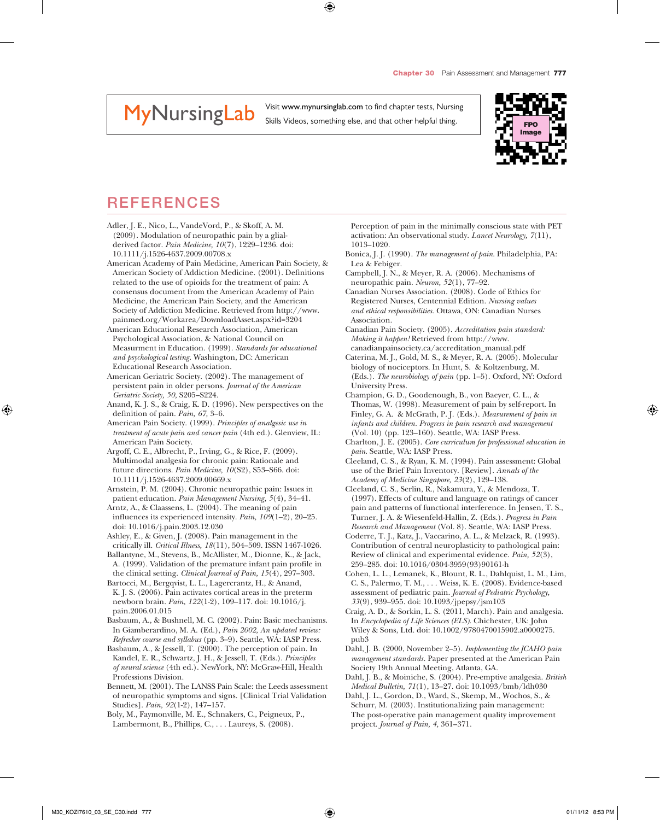

**MyNursingLab** Skills Videos, something else, and that other helpful thing.



### **REFERENCES**

- Adler, J. E., Nico, L., VandeVord, P., & Skoff, A. M. (2009). Modulation of neuropathic pain by a glial‐ derived factor. *Pain Medicine, 10* (7), 1229–1236. doi: 10.1111/j.1526‐4637.2009.00708.x
- American Academy of Pain Medicine, American Pain Society, & American Society of Addiction Medicine. (2001). Definitions related to the use of opioids for the treatment of pain: A consensus document from the American Academy of Pain Medicine, the American Pain Society, and the American Society of Addiction Medicine. Retrieved from http://www. painmed.org/Workarea/DownloadAsset.aspx?id=3204
- American Educational Research Association, American Psychological Association, & National Council on Measurment in Education. (1999). *Standards for educational and psychological testing* . Washington, DC: American Educational Research Association.
- American Geriatric Society. (2002). The management of persistent pain in older persons. *Journal of the American Geriatric Society, 50,* S205–S224.
- Anand, K. J. S., & Craig, K. D. (1996). New perspectives on the definition of pain. *Pain, 67,* 3–6.
- American Pain Society. (1999). *Principles of analgesic use in treatment of acute pain and cancer pain* (4th ed.). Glenview, IL: American Pain Society.
- Argoff, C. E., Albrecht, P., Irving, G., & Rice, F. (2009). Multimodal analgesia for chronic pain: Rationale and future directions. *Pain Medicine, 10* (S2), S53–S66. doi: 10.1111/j.1526‐4637.2009.00669.x
- Arnstein, P. M. (2004). Chronic neuropathic pain: Issues in patient education. *Pain Management Nursing, 5* (4), 34–41.
- Arntz, A., & Claassens, L. (2004). The meaning of pain influences its experienced intensity. *Pain, 109* (1–2), 20–25. doi: 10.1016/j.pain.2003.12.030
- Ashley, E., & Given, J. (2008). Pain management in the critically ill. *Critical Illness, 18* (11), 504–509. ISSN 1467‐1026.
- Ballantyne, M., Stevens, B., McAllister, M., Dionne, K., & Jack, A. (1999). Validation of the premature infant pain profile in the clinical setting. *Clinical Journal of Pain, 15* (4), 297–303.
- Bartocci, M., Bergqvist, L. L., Lagercrantz, H., & Anand, K. J. S. (2006). Pain activates cortical areas in the preterm newborn brain. *Pain, 122* (1‐2), 109–117. doi: 10.1016/j. pain.2006.01.015
- Basbaum, A., & Bushnell, M. C. (2002). Pain: Basic mechanisms. In Giamberardino, M. A. (Ed.), *Pain 2002, An updated review: Refresher course and syllabus* (pp. 3–9). Seattle, WA: IASP Press.
- Basbaum, A., & Jessell, T. (2000). The perception of pain. In Kandel, E. R., Schwartz, J. H., & Jessell, T. (Eds.). *Principles of neural science* (4th ed.). NewYork, NY: McGraw‐Hill, Health Professions Division.
- Bennett, M. (2001). The LANSS Pain Scale: the Leeds assessment of neuropathic symptoms and signs. [Clinical Trial Validation Studies]. *Pain, 92* (1‐2), 147–157.
- Boly, M., Faymonville, M. E., Schnakers, C., Peigneux, P., Lambermont, B., Phillips, C., . . . Laureys, S. (2008).

Perception of pain in the minimally conscious state with PET activation: An observational study. *Lancet Neurology, 7* (11), 1013–1020.

- Bonica, J. J. (1990). *The management of pain* . Philadelphia, PA: Lea & Febiger.
- Campbell, J. N., & Meyer, R. A. (2006). Mechanisms of neuropathic pain. *Neuron, 52* (1), 77–92.
- Canadian Nurses Association. (2008). Code of Ethics for Registered Nurses, Centennial Edition. *Nursing values and ethical responsibilities* . Ottawa, ON: Canadian Nurses Association.
- Canadian Pain Society. (2005). *Accreditation pain standard: Making it happen!* Retrieved from http://www. canadianpainsociety.ca/accreditation\_manual.pdf
- Caterina, M. J., Gold, M. S., & Meyer, R. A. (2005). Molecular biology of nociceptors. In Hunt, S. & Koltzenburg, M. (Eds.). *The neurobiology of pain* (pp. 1–5). Oxford, NY: Oxford University Press.
- Champion, G. D., Goodenough, B., von Baeyer, C. L., & Thomas, W. (1998). Measurement of pain by self‐report. In Finley, G. A. & McGrath, P. J. (Eds.). *Measurement of pain in infants and children. Progress in pain research and management* (Vol. 10) (pp. 123–160). Seattle, WA: IASP Press.
- Charlton, J. E. (2005). *Core curriculum for professional education in pain* . Seattle, WA: IASP Press.
- Cleeland, C. S., & Ryan, K. M. (1994). Pain assessment: Global use of the Brief Pain Inventory. [Review]. *Annals of the Academy of Medicine Singapore, 23* (2), 129–138.
- Cleeland, C. S., Serlin, R., Nakamura, Y., & Mendoza, T. (1997). Effects of culture and language on ratings of cancer pain and patterns of functional interference. In Jensen, T. S., Turner, J. A. & Wiesenfeld‐Hallin, Z. (Eds.). *Progress in Pain Research and Management* (Vol. 8). Seattle, WA: IASP Press.
- Coderre, T. J., Katz, J., Vaccarino, A. L., & Melzack, R. (1993). Contribution of central neuroplasticity to pathological pain: Review of clinical and experimental evidence. *Pain, 52* (3), 259–285. doi: 10.1016/0304‐3959(93)90161‐h
- Cohen, L. L., Lemanek, K., Blount, R. L., Dahlquist, L. M., Lim, C. S., Palermo, T. M., . . . Weiss, K. E. (2008). Evidence‐based assessment of pediatric pain. *Journal of Pediatric Psychology, 33* (9), 939–955. doi: 10.1093/jpepsy/jsm103
- Craig, A. D., & Sorkin, L. S. (2011, March). Pain and analgesia. In *Encyclopedia of Life Sciences (ELS)*. Chichester, UK: John Wiley & Sons, Ltd. doi: 10.1002/9780470015902.a0000275. pub3
- Dahl, J. B. (2000, November 2–5). *Implementing the JCAHO pain management standards.* Paper presented at the American Pain Society 19th Annual Meeting, Atlanta, GA.
- Dahl, J. B., & Moiniche, S. (2004). Pre‐emptive analgesia. *British Medical Bulletin, 71* (1), 13–27. doi: 10.1093/bmb/ldh030
- Dahl, J. L., Gordon, D., Ward, S., Skemp, M., Wochos, S., & Schurr, M. (2003). Institutionalizing pain management: The post-operative pain management quality improvement project. *Journal of Pain, 4,* 361–371.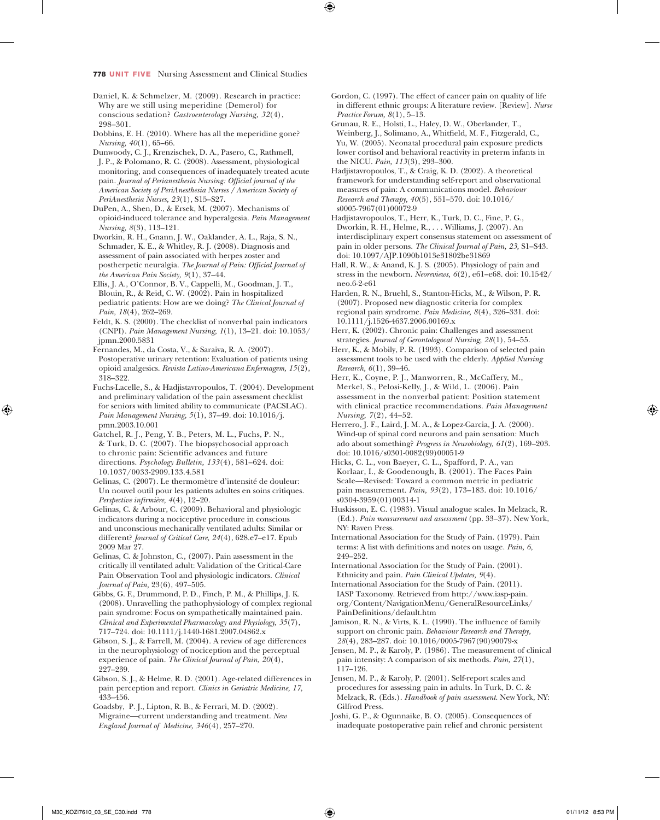Daniel, K. & Schmelzer, M. (2009). Research in practice: Why are we still using meperidine (Demerol) for conscious sedation? *Gastroenterology Nursing, 32*(4), 298–301.

 Dobbins, E. H. (2010). Where has all the meperidine gone? *Nursing, 40*(1), 65-66.

 Dunwoody, C. J., Krenzischek, D. A., Pasero, C., Rathmell, J. P., & Polomano, R. C. (2008). Assessment, physiological monitoring, and consequences of inadequately treated acute pain. *Journal of Perianesthesia Nursing: Official journal of the American Society of PeriAnesthesia Nurses / American Society of PeriAnesthesia Nurses, 23* (1), S15–S27.

 DuPen, A., Shen, D., & Ersek, M. (2007). Mechanisms of opioid‐induced tolerance and hyperalgesia. *Pain Management Nursing, 8* (3), 113–121.

 Dworkin, R. H., Gnann, J. W., Oaklander, A. L., Raja, S. N., Schmader, K. E., & Whitley, R. J. (2008). Diagnosis and assessment of pain associated with herpes zoster and postherpetic neuralgia. *The Journal of Pain: Official Journal of the American Pain Society, 9(1), 37–44.* 

 Ellis, J. A., O'Connor, B. V., Cappelli, M., Goodman, J. T., Blouin, R., & Reid, C. W. (2002). Pain in hospitalized pediatric patients: How are we doing? *The Clinical Journal of*  Pain, 18(4), 262-269.

 Feldt, K. S. (2000). The checklist of nonverbal pain indicators (CNPI). *Pain Management Nursing, 1* (1), 13–21. doi: 10.1053/ jpmn.2000.5831

 Fernandes, M., da Costa, V., & Saraiva, R. A. (2007). Postoperative urinary retention: Evaluation of patients using opioid analgesics. *Revista Latino‐Americana Enfermagem, 15*(2), 318–322.

 Fuchs‐Lacelle, S., & Hadjistavropoulos, T. (2004). Development and preliminary validation of the pain assessment checklist for seniors with limited ability to communicate (PACSLAC). *Pain Management Nursing, 5* (1), 37–49. doi: 10.1016/j. pmn.2003.10.001

Gatchel, R. J., Peng, Y. B., Peters, M. L., Fuchs, P. N., & Turk, D. C. (2007). The biopsychosocial approach to chronic pain: Scientific advances and future directions. *Psychology Bulletin, 133*(4), 581–624. doi: 10.1037/0033‐2909.133.4.581

 Gelinas, C. (2007). Le thermomètre d'intensité de douleur: Un nouvel outil pour les patients adultes en soins critiques. *Perspective infirmière, 4* (4), 12–20.

 Gelinas, C. & Arbour, C. (2009). Behavioral and physiologic indicators during a nociceptive procedure in conscious and unconscious mechanically ventilated adults: Similar or different? *Journal of Critical Care, 24* (4), 628.e7–e17. Epub 2009 Mar 27.

 Gelinas, C. & Johnston, C., (2007). Pain assessment in the critically ill ventilated adult: Validation of the Critical‐Care Pain Observation Tool and physiologic indicators. *Clinical Journal of Pain,* 23(6), 497–505.

 Gibbs, G. F., Drummond, P. D., Finch, P. M., & Phillips, J. K. (2008). Unravelling the pathophysiology of complex regional pain syndrome: Focus on sympathetically maintained pain. *Clinical and Experimental Pharmacology and Physiology, 35* (7), 717–724. doi: 10.1111/j.1440‐1681.2007.04862.x

 Gibson, S. J., & Farrell, M. (2004). A review of age differences in the neurophysiology of nociception and the perceptual experience of pain. *The Clinical Journal of Pain*, 20(4), 227–239.

Gibson, S. J., & Helme, R. D. (2001). Age-related differences in pain perception and report. *Clinics in Geriatric Medicine, 17,* 433–456.

 Goadsby, P. J., Lipton, R. B., & Ferrari, M. D. (2002). Migraine—current understanding and treatment. *New England Journal of Medicine, 346* (4), 257–270.

 Gordon, C. (1997). The effect of cancer pain on quality of life in different ethnic groups: A literature review. [Review]. *Nurse Practice Forum, 8* (1), 5–13.

 Grunau, R. E., Holsti, L., Haley, D. W., Oberlander, T., Weinberg, J., Solimano, A., Whitfield, M. F., Fitzgerald, C., Yu, W. (2005). Neonatal procedural pain exposure predicts lower cortisol and behavioral reactivity in preterm infants in the NICU. *Pain, 113* (3), 293–300.

 Hadjistavropoulos, T., & Craig, K. D. (2002). A theoretical framework for understanding self‐report and observational measures of pain: A communications model. *Behaviour Research and Therapy, 40* (5), 551–570. doi: 10.1016/ s0005‐7967(01)00072‐9

 Hadjistavropoulos, T., Herr, K., Turk, D. C., Fine, P. G., Dworkin, R. H., Helme, R., . . . Williams, J. (2007). An interdisciplinary expert consensus statement on assessment of pain in older persons. *The Clinical Journal of Pain, 23,* S1–S43. doi: 10.1097/AJP.1090b1013e31802be31869

 Hall, R. W., & Anand, K. J. S. (2005). Physiology of pain and stress in the newborn. *Neoreviews, 6* (2), e61–e68. doi: 10.1542/ neo.6‐2‐e61

 Harden, R. N., Bruehl, S., Stanton‐Hicks, M., & Wilson, P. R. (2007). Proposed new diagnostic criteria for complex regional pain syndrome. *Pain Medicine, 8* (4), 326–331. doi: 10.1111/j.1526‐4637.2006.00169.x

 Herr, K. (2002). Chronic pain: Challenges and assessment strategies. *Journal of Gerontologocal Nursing*, 28(1), 54-55.

 Herr, K., & Mobily, P. R. (1993). Comparison of selected pain assessment tools to be used with the elderly. *Applied Nursing Research, 6* (1), 39–46.

Herr, K., Coyne, P. J., Manworren, R., McCaffery, M., Merkel, S., Pelosi‐Kelly, J., & Wild, L. (2006). Pain assessment in the nonverbal patient: Position statement with clinical practice recommendations. *Pain Management Nursing, 7*(2), 44–52.

 Herrero, J. F., Laird, J. M. A., & Lopez‐Garcia, J. A. (2000). Wind‐up of spinal cord neurons and pain sensation: Much ado about something? *Progress in Neurobiology, 61* (2), 169–203. doi: 10.1016/s0301‐0082(99)00051‐9

Hicks, C. L., von Baeyer, C. L., Spafford, P. A., van Korlaar, I., & Goodenough, B. (2001). The Faces Pain Scale—Revised: Toward a common metric in pediatric pain measurement. *Pain, 93*(2), 173–183. doi: 10.1016/ s0304‐3959(01)00314‐1

 Huskisson, E. C. (1983). Visual analogue scales. In Melzack, R. (Ed.). *Pain measurement and assessment* (pp. 33–37). New York, NY: Raven Press.

 International Association for the Study of Pain. (1979). Pain terms: A list with definitions and notes on usage. *Pain, 6,* 249–252.

 International Association for the Study of Pain. (2001). Ethnicity and pain. *Pain Clinical Updates, 9* (4).

 International Association for the Study of Pain. (2011). IASP Taxonomy. Retrieved from http://www.iasp‐pain. org/Content/NavigationMenu/GeneralResourceLinks/ PainDefinitions/default.htm

 Jamison, R. N., & Virts, K. L. (1990). The influence of family support on chronic pain. *Behaviour Research and Therapy, 28* (4), 283–287. doi: 10.1016/0005‐7967(90)90079‐x

 Jensen, M. P., & Karoly, P. (1986). The measurement of clinical pain intensity: A comparison of six methods. *Pain, 27* (1), 117–126.

Jensen, M. P., & Karoly, P. (2001). Self-report scales and procedures for assessing pain in adults. In Turk, D. C. & Melzack, R. (Eds.). *Handbook of pain assessment* . New York, NY: Gilfrod Press.

 Joshi, G. P., & Ogunnaike, B. O. (2005). Consequences of inadequate postoperative pain relief and chronic persistent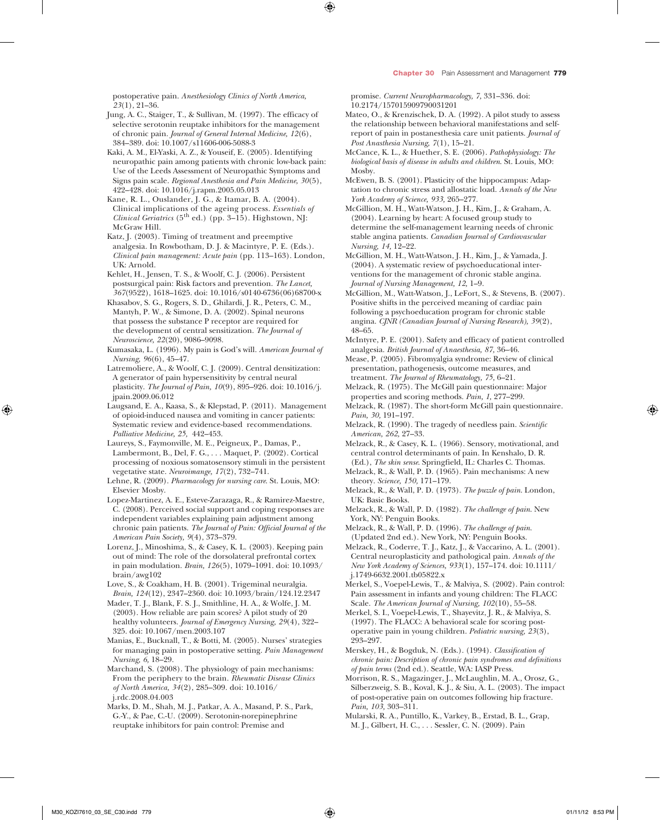postoperative pain. *Anesthesiology Clinics of North America, 23* (1), 21–36.

 Jung, A. C., Staiger, T., & Sullivan, M. (1997). The efficacy of selective serotonin reuptake inhibitors for the management of chronic pain. *Journal of General Internal Medicine, 12* (6), 384–389. doi: 10.1007/s11606‐006‐5088‐3

 Kaki, A. M., El‐Yaski, A. Z., & Youseif, E. (2005). Identifying neuropathic pain among patients with chronic low‐back pain: Use of the Leeds Assessment of Neuropathic Symptoms and Signs pain scale. *Regional Anesthesia and Pain Medicine*, 30(5), 422–428. doi: 10.1016/j.rapm.2005.05.013

Kane, R. L., Ouslander, J. G., & Itamar, B. A. (2004). Clinical implications of the ageing process. *Essentials of Clinical Geriatrics* (5<sup>th</sup> ed.) (pp. 3–15). Highstown, NJ: McGraw Hill.

Katz, J. (2003). Timing of treatment and preemptive analgesia. In Rowbotham, D. J. & Macintyre, P. E. (Eds.). *Clinical pain management: Acute pain* (pp. 113–163). London, UK: Arnold.

 Kehlet, H., Jensen, T. S., & Woolf, C. J. (2006). Persistent postsurgical pain: Risk factors and prevention. *The Lancet, 367* (9522), 1618–1625. doi: 10.1016/s0140‐6736(06)68700‐x

 Khasabov, S. G., Rogers, S. D., Ghilardi, J. R., Peters, C. M., Mantyh, P. W., & Simone, D. A. (2002). Spinal neurons that possess the substance P receptor are required for the development of central sensitization. *The Journal of Neuroscience, 22* (20), 9086–9098.

 Kumasaka, L. (1996). My pain is God's will. *American Journal of Nursing, 96* (6), 45–47.

 Latremoliere, A., & Woolf, C. J. (2009). Central densitization: A generator of pain hypersensitivity by central neural plasticity. *The Journal of Pain, 10* (9), 895–926. doi: 10.1016/j. jpain.2009.06.012

 Laugsand, E. A., Kaasa, S., & Klepstad, P. (2011). Management of opioid‐induced nausea and vomiting in cancer patients: Systematic review and evidence‐based recommendations. *Palliative Medicine, 25,* 442–453.

 Laureys, S., Faymonville, M. E., Peigneux, P., Damas, P., Lambermont, B., Del, F. G., . . . Maquet, P. (2002). Cortical processing of noxious somatosensory stimuli in the persistent vegetative state. *Neuroimange, 17* (2), 732–741.

 Lehne, R. (2009). *Pharmacology for nursing care* . St. Louis, MO: Elsevier Mosby.

 Lopez‐Martinez, A. E., Esteve‐Zarazaga, R., & Ramirez‐Maestre, C. (2008). Perceived social support and coping responses are independent variables explaining pain adjustment among chronic pain patients. *The Journal of Pain: Official Journal of the American Pain Society, 9* (4), 373–379.

 Lorenz, J., Minoshima, S., & Casey, K. L. (2003). Keeping pain out of mind: The role of the dorsolateral prefrontal cortex in pain modulation. *Brain, 126* (5), 1079–1091. doi: 10.1093/ brain/awg102

 Love, S., & Coakham, H. B. (2001). Trigeminal neuralgia. *Brain, 124* (12), 2347–2360. doi: 10.1093/brain/124.12.2347

 Mader, T. J., Blank, F. S. J., Smithline, H. A., & Wolfe, J. M. (2003). How reliable are pain scores? A pilot study of 20 healthy volunteers. *Journal of Emergency Nursing, 29*(4), 322-325. doi: 10.1067/men.2003.107

 Manias, E., Bucknall, T., & Botti, M. (2005). Nurses' strategies for managing pain in postoperative setting. *Pain Management Nursing, 6,* 18–29.

Marchand, S. (2008). The physiology of pain mechanisms: From the periphery to the brain. *Rheumatic Disease Clinics of North America, 34*(2), 285–309. doi: 10.1016/ j.rdc.2008.04.003

 Marks, D. M., Shah, M. J., Patkar, A. A., Masand, P. S., Park, G.‐Y., & Pae, C.‐U. (2009). Serotonin‐norepinephrine reuptake inhibitors for pain control: Premise and

promise. *Current Neuropharmacology, 7,* 331–336. doi: 10.2174/157015909790031201

- Mateo, O., & Krenzischek, D. A. (1992). A pilot study to assess the relationship between behavioral manifestations and self‐ report of pain in postanesthesia care unit patients. *Journal of Post Anasthesia Nursing, 7(1), 15-21.*
- McCance, K. L., & Huether, S. E. (2006). *Pathophysiology: The biological basis of disease in adults and children* . St. Louis, MO: Mosby.

 McEwen, B. S. (2001). Plasticity of the hippocampus: Adaptation to chronic stress and allostatic load. *Annals of the New York Academy of Science, 933,* 265–277.

 McGillion, M. H., Watt‐Watson, J. H., Kim, J., & Graham, A. (2004). Learning by heart: A focused group study to determine the self‐management learning needs of chronic stable angina patients. *Canadian Journal of Cardiovascular Nursing, 14,* 12–22.

 McGillion, M. H., Watt‐Watson, J. H., Kim, J., & Yamada, J. (2004). A systematic review of psychoeducational interventions for the management of chronic stable angina. *Journal of Nursing Management, 12,* 1–9.

- McGillion, M., Watt‐Watson, J., LeFort, S., & Stevens, B. (2007). Positive shifts in the perceived meaning of cardiac pain following a psychoeducation program for chronic stable angina. *CJNR (Canadian Journal of Nursing Research), 39* (2), 48–65.
- McIntyre, P. E. (2001). Safety and efficacy of patient controlled analgesia. *British Journal of Anaesthesia, 87,* 36–46.

 Mease, P. (2005). Fibromyalgia syndrome: Review of clinical presentation, pathogenesis, outcome measures, and treatment. *The Journal of Rheumatology, 75,* 6–21.

 Melzack, R. (1975). The McGill pain questionnaire: Major properties and scoring methods. *Pain, 1,* 277–299.

 Melzack, R. (1987). The short‐form McGill pain questionnaire. *Pain, 30,* 191–197.

- Melzack, R. (1990). The tragedy of needless pain. *Scientific American, 262,* 27–33.
- Melzack, R., & Casey, K. L. (1966). Sensory, motivational, and central control determinants of pain. In Kenshalo, D. R. (Ed.), *The skin sense* . Springfield, IL: Charles C. Thomas.

 Melzack, R., & Wall, P. D. (1965). Pain mechanisms: A new theory. *Science, 150,* 171–179.

- Melzack, R., & Wall, P. D. (1973). *The puzzle of pain* . London, UK: Basic Books.
- Melzack, R., & Wall, P. D. (1982). *The challenge of pain* . New York, NY: Penguin Books.

 Melzack, R., & Wall, P. D. (1996). *The challenge of pain* . (Updated 2nd ed.). New York, NY: Penguin Books.

 Melzack, R., Coderre, T. J., Katz, J., & Vaccarino, A. L. (2001). Central neuroplasticity and pathological pain. *Annals of the New York Academy of Sciences, 933* (1), 157–174. doi: 10.1111/ j.1749‐6632.2001.tb05822.x

 Merkel, S., Voepel‐Lewis, T., & Malviya, S. (2002). Pain control: Pain assessment in infants and young children: The FLACC Scale. *The American Journal of Nursing, 102*(10), 55-58.

 Merkel, S. I., Voepel‐Lewis, T., Shayevitz, J. R., & Malviya, S. (1997). The FLACC: A behavioral scale for scoring postoperative pain in young children. *Pediatric nursing, 23* (3), 293–297.

 Merskey, H., & Bogduk, N. (Eds.). (1994). *Classification of chronic pain: Description of chronic pain syndromes and definitions of pain terms* (2nd ed.). Seattle, WA: IASP Press.

 Morrison, R. S., Magazinger, J., McLaughlin, M. A., Orosz, G., Silberzweig, S. B., Koval, K. J., & Siu, A. L. (2003). The impact of post‐operative pain on outcomes following hip fracture. *Pain, 103,* 303–311.

 Mularski, R. A., Puntillo, K., Varkey, B., Erstad, B. L., Grap, M. J., Gilbert, H. C., . . . Sessler, C. N. (2009). Pain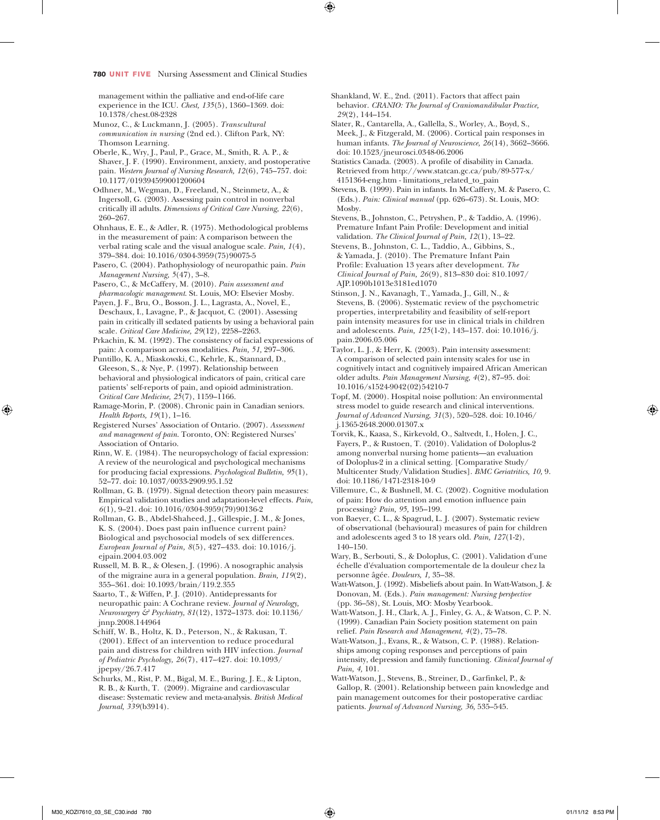management within the palliative and end-of-life care experience in the ICU. *Chest, 135* (5), 1360–1369. doi: 10.1378/chest.08‐2328

Munoz, C., & Luckmann, J. (2005). *Transcultural communication in nursing* (2nd ed.). Clifton Park, NY: Thomson Learning.

 Oberle, K., Wry, J., Paul, P., Grace, M., Smith, R. A. P., & Shaver, J. F. (1990). Environment, anxiety, and postoperative pain. *Western Journal of Nursing Research, 12* (6), 745–757. doi: 10.1177/019394599001200604

 Odhner, M., Wegman, D., Freeland, N., Steinmetz, A., & Ingersoll, G. (2003). Assessing pain control in nonverbal critically ill adults. *Dimensions of Critical Care Nursing, 22* (6), 260–267.

 Ohnhaus, E. E., & Adler, R. (1975). Methodological problems in the measurement of pain: A comparison between the verbal rating scale and the visual analogue scale. *Pain, 1* (4), 379–384. doi: 10.1016/0304‐3959(75)90075‐5

 Pasero, C. (2004). Pathophysiology of neuropathic pain. *Pain Management Nursing, 5* (47), 3–8.

 Pasero, C., & McCaffery, M. (2010). *Pain assessment and pharmacologic management* . St. Louis, MO: Elsevier Mosby.

 Payen, J. F., Bru, O., Bosson, J. L., Lagrasta, A., Novel, E., Deschaux, I., Lavagne, P., & Jacquot, C. (2001). Assessing pain in critically ill sedated patients by using a behavioral pain scale. *Critical Care Medicine, 29* (12), 2258–2263.

 Prkachin, K. M. (1992). The consistency of facial expressions of pain: A comparison across modalities. *Pain, 51,* 297–306.

 Puntillo, K. A., Miaskowski, C., Kehrle, K., Stannard, D., Gleeson, S., & Nye, P. (1997). Relationship between behavioral and physiological indicators of pain, critical care patients' self‐reports of pain, and opioid administration. *Critical Care Medicine, 25* (7), 1159–1166.

 Ramage‐Morin, P. (2008). Chronic pain in Canadian seniors. *Health Reports, 19*(1), 1–16.

 Registered Nurses' Association of Ontario. (2007). *Assessment and management of pain* . Toronto, ON: Registered Nurses' Association of Ontario.

 Rinn, W. E. (1984). The neuropsychology of facial expression: A review of the neurological and psychological mechanisms for producing facial expressions. *Psychological Bulletin, 95* (1), 52–77. doi: 10.1037/0033‐2909.95.1.52

 Rollman, G. B. (1979). Signal detection theory pain measures: Empirical validation studies and adaptation‐level effects. *Pain, 6* (1), 9–21. doi: 10.1016/0304‐3959(79)90136‐2

Rollman, G. B., Abdel‐Shaheed, J., Gillespie, J. M., & Jones, K. S. (2004). Does past pain influence current pain? Biological and psychosocial models of sex differences. *European Journal of Pain, 8*(5), 427–433. doi: 10.1016/j. ejpain.2004.03.002

 Russell, M. B. R., & Olesen, J. (1996). A nosographic analysis of the migraine aura in a general population. *Brain, 119* (2), 355–361. doi: 10.1093/brain/119.2.355

 Saarto, T., & Wiffen, P. J. (2010). Antidepressants for neuropathic pain: A Cochrane review. *Journal of Neurology, Neurosurgery & Psychiatry, 81* (12), 1372–1373. doi: 10.1136/ jnnp.2008.144964

Schiff, W. B., Holtz, K. D., Peterson, N., & Rakusan, T. (2001). Effect of an intervention to reduce procedural pain and distress for children with HIV infection. *Journal of Pediatric Psychology, 26*(7), 417–427. doi: 10.1093/ jpepsy/26.7.417

 Schurks, M., Rist, P. M., Bigal, M. E., Buring, J. E., & Lipton, R. B., & Kurth, T. (2009). Migraine and cardiovascular disease: Systematic review and meta‐analysis. *British Medical Journal, 339* (b3914).

 Shankland, W. E., 2nd. (2011). Factors that affect pain behavior. *CRANIO: The Journal of Craniomandibular Practice, 29* (2), 144–154.

 Slater, R., Cantarella, A., Gallella, S., Worley, A., Boyd, S., Meek, J., & Fitzgerald, M. (2006). Cortical pain responses in human infants. *The Journal of Neuroscience, 26* (14), 3662–3666. doi: 10.1523/jneurosci.0348‐06.2006

 Statistics Canada. (2003). A profile of disability in Canada. Retrieved from http://www.statcan.gc.ca/pub/89‐577‐x/ 4151364‐eng.htm ‐ limitations\_related\_to\_pain

Stevens, B. (1999). Pain in infants. In McCaffery, M. & Pasero, C. (Eds.). *Pain: Clinical manual* (pp. 626–673). St. Louis, MO: Mosby.

 Stevens, B., Johnston, C., Petryshen, P., & Taddio, A. (1996). Premature Infant Pain Profile: Development and initial validation. *The Clinical Journal of Pain*,  $12(1)$ , 13-22.

Stevens, B., Johnston, C. L., Taddio, A., Gibbins, S., & Yamada, J. (2010). The Premature Infant Pain Profile: Evaluation 13 years after development. *The Clinical Journal of Pain, 26*(9), 813–830 doi: 810.1097/ AJP.1090b1013e3181ed1070

Stinson, J. N., Kavanagh, T., Yamada, J., Gill, N., & Stevens, B. (2006). Systematic review of the psychometric properties, interpretability and feasibility of self‐report pain intensity measures for use in clinical trials in children and adolescents. *Pain, 125*(1‐2), 143–157. doi: 10.1016/j. pain.2006.05.006

 Taylor, L. J., & Herr, K. (2003). Pain intensity assessment: A comparison of selected pain intensity scales for use in cognitively intact and cognitively impaired African American older adults. *Pain Management Nursing, 4* (2), 87–95. doi: 10.1016/s1524‐9042(02)54210‐7

 Topf, M. (2000). Hospital noise pollution: An environmental stress model to guide research and clinical interventions. *Journal of Advanced Nursing, 31* (3), 520–528. doi: 10.1046/ j.1365‐2648.2000.01307.x

 Torvik, K., Kaasa, S., Kirkevold, O., Saltvedt, I., Holen, J. C., Fayers, P., & Rustoen, T. (2010). Validation of Doloplus‐2 among nonverbal nursing home patients—an evaluation of Doloplus‐2 in a clinical setting. [Comparative Study/ Multicenter Study/Validation Studies]. *BMC Geriatritics, 10,* 9. doi: 10.1186/1471‐2318‐10‐9

 Villemure, C., & Bushnell, M. C. (2002). Cognitive modulation of pain: How do attention and emotion influence pain processing? *Pain, 95,* 195–199.

 von Baeyer, C. L., & Spagrud, L. J. (2007). Systematic review of observational (behavioural) measures of pain for children and adolescents aged 3 to 18 years old. *Pain, 127* (1‐2), 140–150.

 Wary, B., Serbouti, S., & Doloplus, C. (2001). Validation d'une échelle d'évaluation comportementale de la douleur chez la personne âgée. *Douleurs, 1,* 35–38.

Watt-Watson, J. (1992). Misbeliefs about pain. In Watt-Watson, J. & Donovan, M. (Eds.). *Pain management: Nursing perspective* (pp. 36–58), St. Louis, MO: Mosby Yearbook.

 Watt‐Watson, J. H., Clark, A. J., Finley, G. A., & Watson, C. P. N. (1999). Canadian Pain Society position statement on pain relief. *Pain Research and Management, 4* (2), 75–78.

Watt-Watson, J., Evans, R., & Watson, C. P. (1988). Relationships among coping responses and perceptions of pain intensity, depression and family functioning. *Clinical Journal of Pain, 4,* 101.

 Watt‐Watson, J., Stevens, B., Streiner, D., Garfinkel, P., & Gallop, R. (2001). Relationship between pain knowledge and pain management outcomes for their postoperative cardiac patients. *Journal of Advanced Nursing, 36,* 535–545.